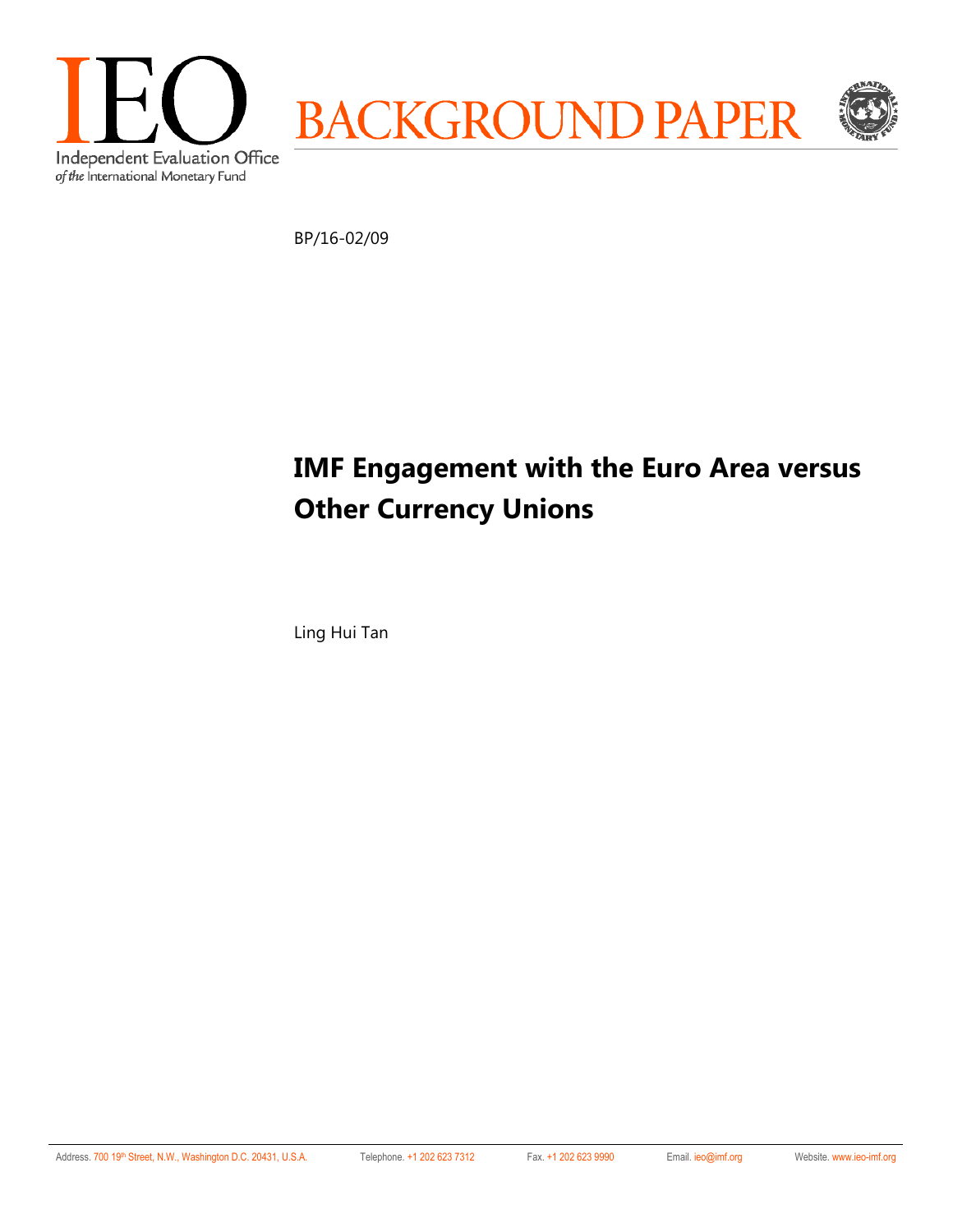

BP/16-02/09

# **IMF Engagement with the Euro Area versus Other Currency Unions**

Ling Hui Tan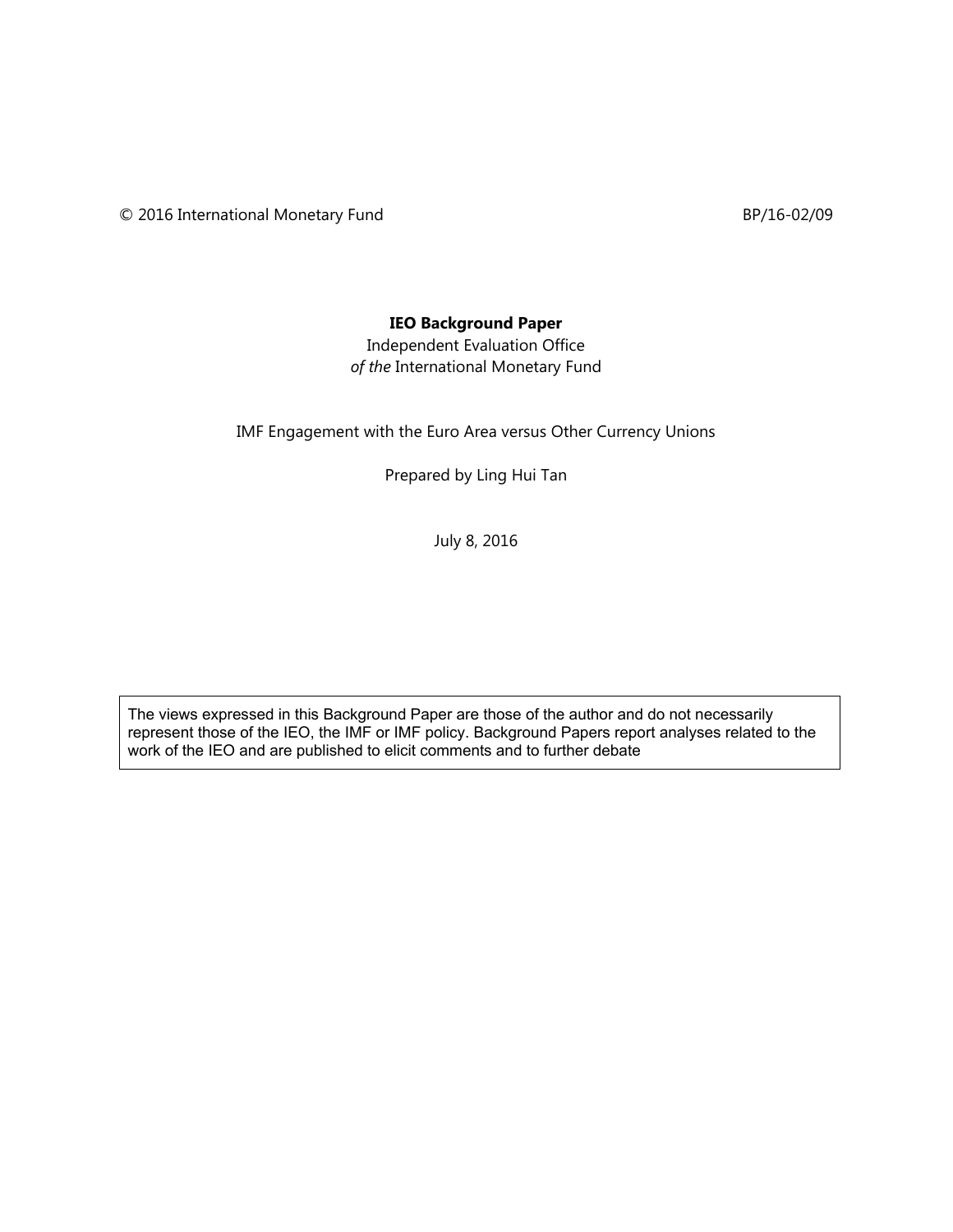© 2016 International Monetary Fund BP/16-02/09

## **IEO Background Paper**

Independent Evaluation Office *of the* International Monetary Fund

IMF Engagement with the Euro Area versus Other Currency Unions

Prepared by Ling Hui Tan

July 8, 2016

The views expressed in this Background Paper are those of the author and do not necessarily represent those of the IEO, the IMF or IMF policy. Background Papers report analyses related to the work of the IEO and are published to elicit comments and to further debate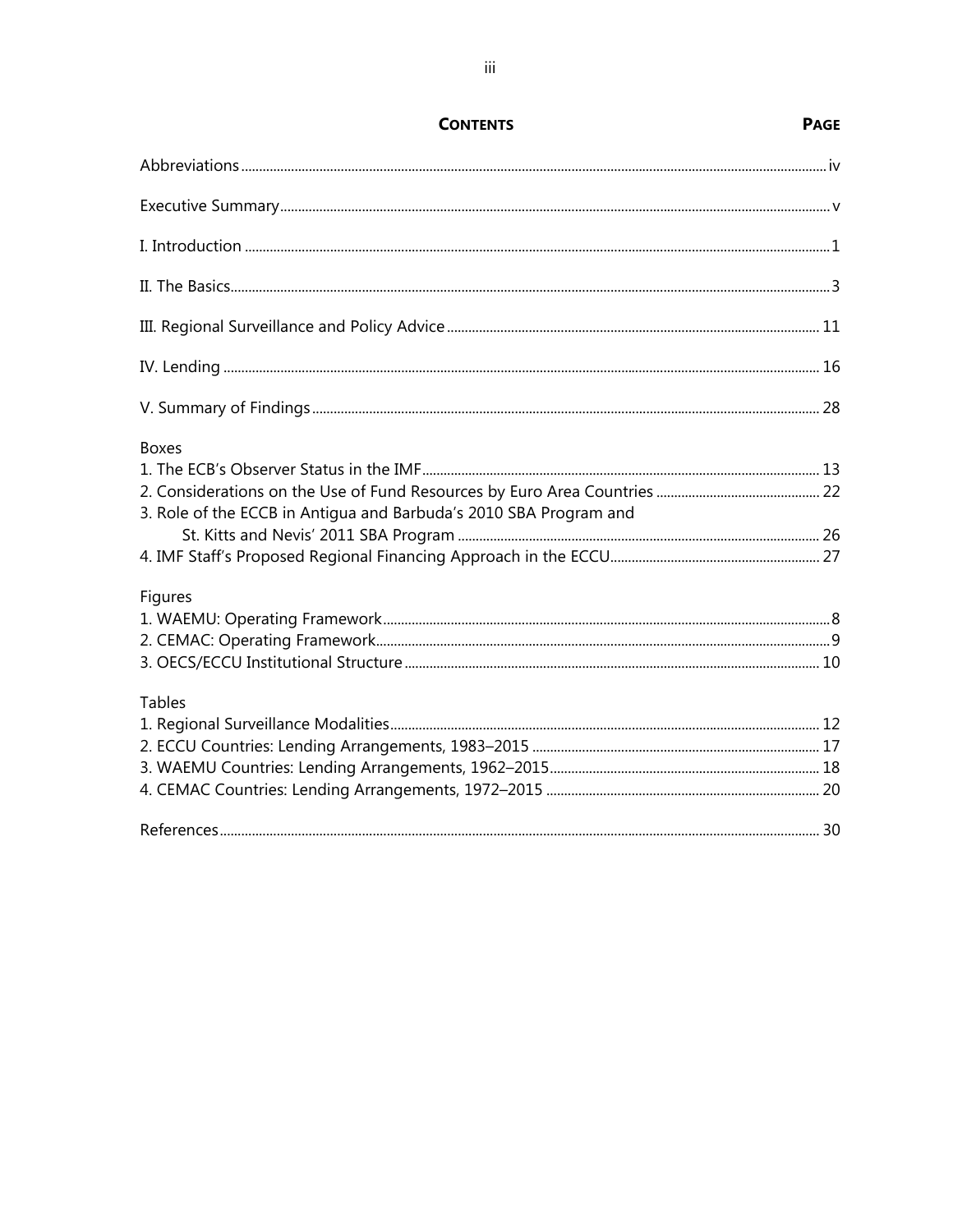| <b>CONTENTS</b>                                                   | <b>PAGE</b> |
|-------------------------------------------------------------------|-------------|
|                                                                   |             |
|                                                                   |             |
|                                                                   |             |
|                                                                   |             |
|                                                                   |             |
|                                                                   |             |
|                                                                   |             |
| <b>Boxes</b>                                                      |             |
|                                                                   |             |
| 3. Role of the ECCB in Antigua and Barbuda's 2010 SBA Program and |             |
|                                                                   |             |
| Figures                                                           |             |
|                                                                   |             |
|                                                                   |             |
|                                                                   |             |
| <b>Tables</b>                                                     |             |
|                                                                   |             |
|                                                                   |             |
|                                                                   |             |
|                                                                   |             |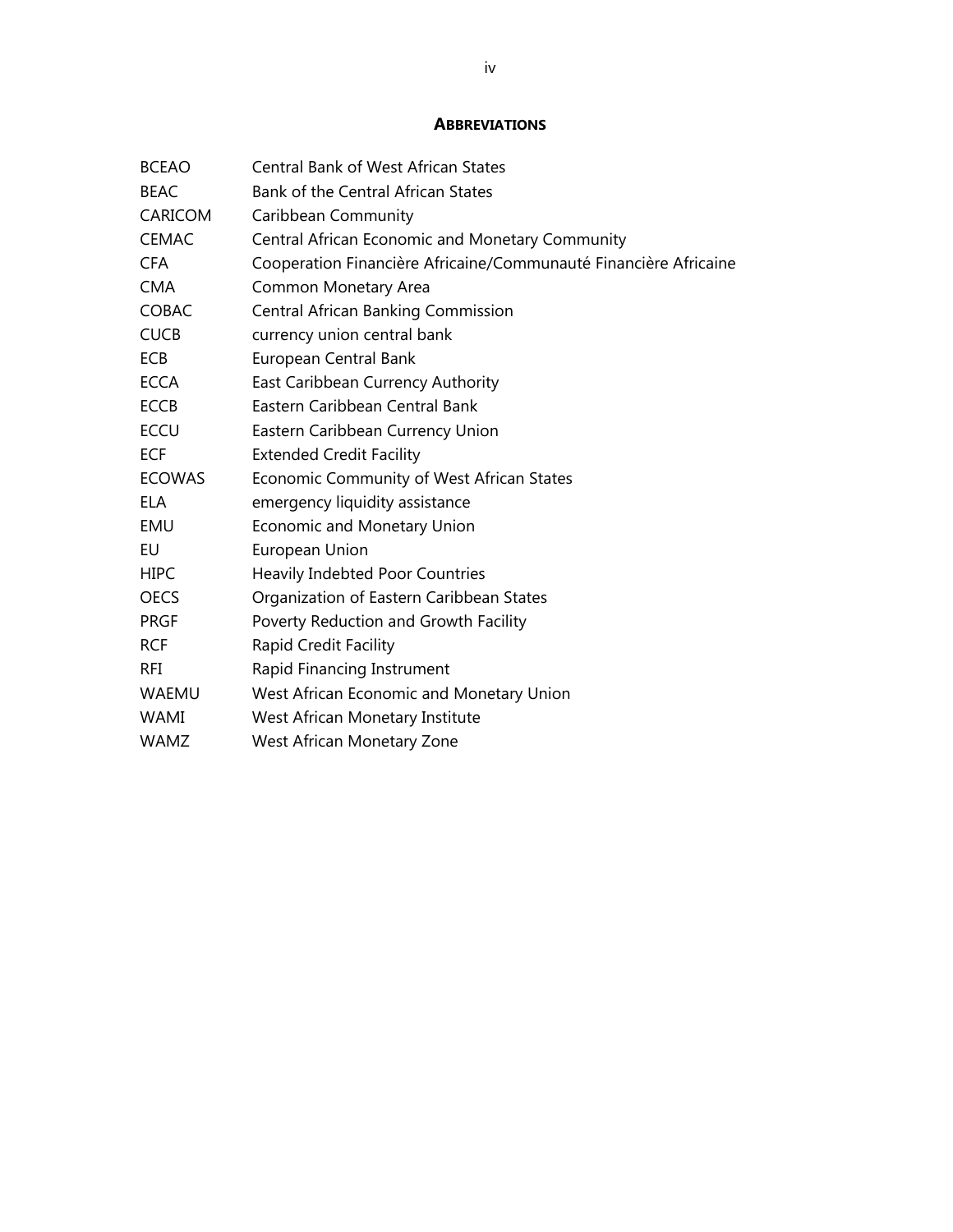## **ABBREVIATIONS**

| <b>BCEAO</b>  | <b>Central Bank of West African States</b>                       |
|---------------|------------------------------------------------------------------|
| <b>BEAC</b>   | Bank of the Central African States                               |
| CARICOM       | Caribbean Community                                              |
| <b>CEMAC</b>  | Central African Economic and Monetary Community                  |
| <b>CFA</b>    | Cooperation Financière Africaine/Communauté Financière Africaine |
| <b>CMA</b>    | Common Monetary Area                                             |
| <b>COBAC</b>  | <b>Central African Banking Commission</b>                        |
| <b>CUCB</b>   | currency union central bank                                      |
| <b>ECB</b>    | European Central Bank                                            |
| <b>ECCA</b>   | East Caribbean Currency Authority                                |
| <b>ECCB</b>   | Eastern Caribbean Central Bank                                   |
| <b>ECCU</b>   | Eastern Caribbean Currency Union                                 |
| <b>ECF</b>    | <b>Extended Credit Facility</b>                                  |
| <b>ECOWAS</b> | Economic Community of West African States                        |
| EL A          | emergency liquidity assistance                                   |
| EMU           | <b>Economic and Monetary Union</b>                               |
| EU            | European Union                                                   |
| <b>HIPC</b>   | <b>Heavily Indebted Poor Countries</b>                           |
| <b>OECS</b>   | Organization of Eastern Caribbean States                         |
| <b>PRGF</b>   | Poverty Reduction and Growth Facility                            |
| <b>RCF</b>    | Rapid Credit Facility                                            |
| RFI           | Rapid Financing Instrument                                       |
| <b>WAEMU</b>  | West African Economic and Monetary Union                         |
| <b>WAMI</b>   | West African Monetary Institute                                  |
| <b>WAMZ</b>   | West African Monetary Zone                                       |
|               |                                                                  |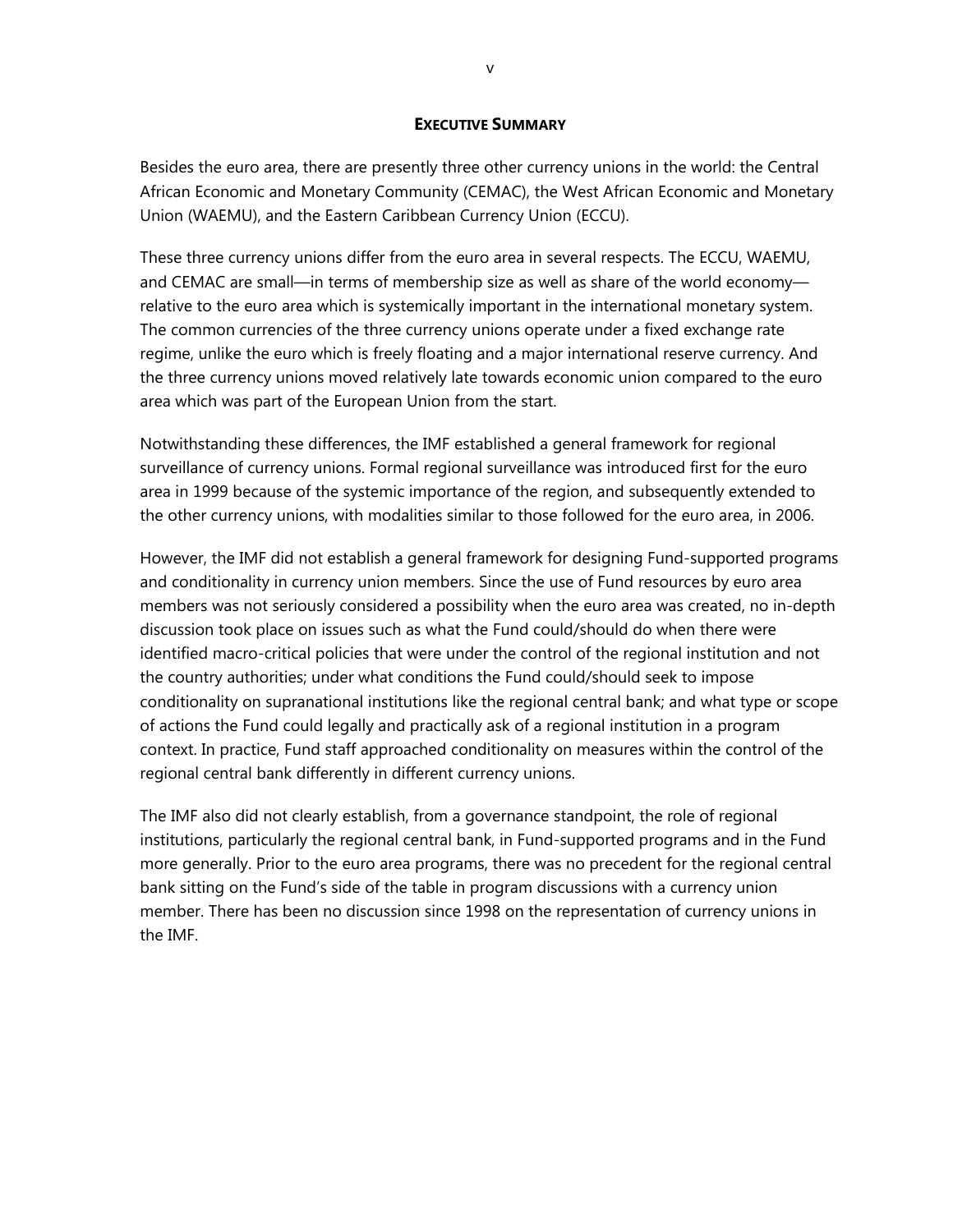#### **EXECUTIVE SUMMARY**

Besides the euro area, there are presently three other currency unions in the world: the Central African Economic and Monetary Community (CEMAC), the West African Economic and Monetary Union (WAEMU), and the Eastern Caribbean Currency Union (ECCU).

These three currency unions differ from the euro area in several respects. The ECCU, WAEMU, and CEMAC are small—in terms of membership size as well as share of the world economy relative to the euro area which is systemically important in the international monetary system. The common currencies of the three currency unions operate under a fixed exchange rate regime, unlike the euro which is freely floating and a major international reserve currency. And the three currency unions moved relatively late towards economic union compared to the euro area which was part of the European Union from the start.

Notwithstanding these differences, the IMF established a general framework for regional surveillance of currency unions. Formal regional surveillance was introduced first for the euro area in 1999 because of the systemic importance of the region, and subsequently extended to the other currency unions, with modalities similar to those followed for the euro area, in 2006.

However, the IMF did not establish a general framework for designing Fund-supported programs and conditionality in currency union members. Since the use of Fund resources by euro area members was not seriously considered a possibility when the euro area was created, no in-depth discussion took place on issues such as what the Fund could/should do when there were identified macro-critical policies that were under the control of the regional institution and not the country authorities; under what conditions the Fund could/should seek to impose conditionality on supranational institutions like the regional central bank; and what type or scope of actions the Fund could legally and practically ask of a regional institution in a program context. In practice, Fund staff approached conditionality on measures within the control of the regional central bank differently in different currency unions.

The IMF also did not clearly establish, from a governance standpoint, the role of regional institutions, particularly the regional central bank, in Fund-supported programs and in the Fund more generally. Prior to the euro area programs, there was no precedent for the regional central bank sitting on the Fund's side of the table in program discussions with a currency union member. There has been no discussion since 1998 on the representation of currency unions in the IMF.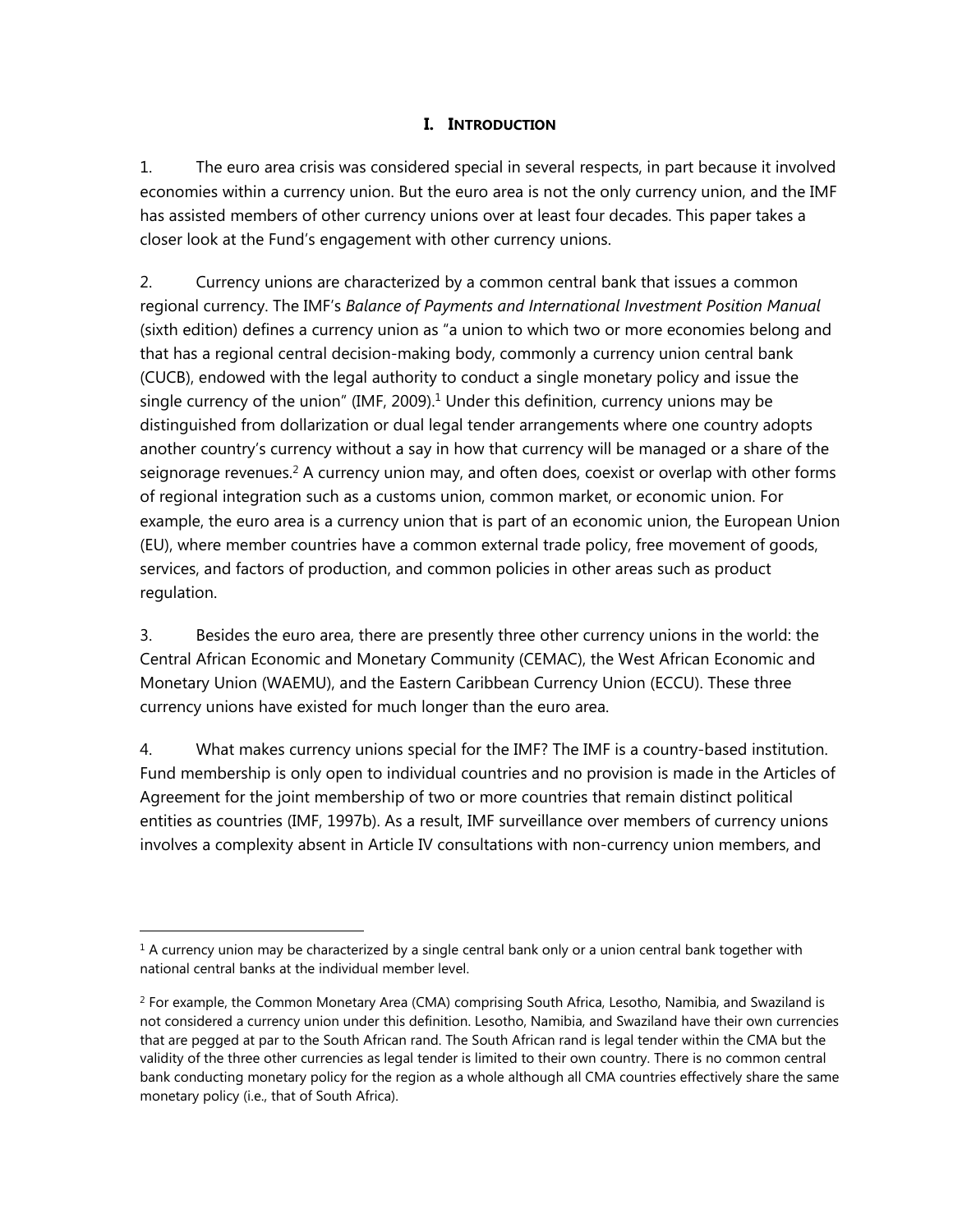# **I. INTRODUCTION**

1. The euro area crisis was considered special in several respects, in part because it involved economies within a currency union. But the euro area is not the only currency union, and the IMF has assisted members of other currency unions over at least four decades. This paper takes a closer look at the Fund's engagement with other currency unions.

2. Currency unions are characterized by a common central bank that issues a common regional currency. The IMF's *Balance of Payments and International Investment Position Manual* (sixth edition) defines a currency union as "a union to which two or more economies belong and that has a regional central decision-making body, commonly a currency union central bank (CUCB), endowed with the legal authority to conduct a single monetary policy and issue the single currency of the union" (IMF, 2009).<sup>1</sup> Under this definition, currency unions may be distinguished from dollarization or dual legal tender arrangements where one country adopts another country's currency without a say in how that currency will be managed or a share of the seignorage revenues.<sup>2</sup> A currency union may, and often does, coexist or overlap with other forms of regional integration such as a customs union, common market, or economic union. For example, the euro area is a currency union that is part of an economic union, the European Union (EU), where member countries have a common external trade policy, free movement of goods, services, and factors of production, and common policies in other areas such as product regulation.

3. Besides the euro area, there are presently three other currency unions in the world: the Central African Economic and Monetary Community (CEMAC), the West African Economic and Monetary Union (WAEMU), and the Eastern Caribbean Currency Union (ECCU). These three currency unions have existed for much longer than the euro area.

4. What makes currency unions special for the IMF? The IMF is a country-based institution. Fund membership is only open to individual countries and no provision is made in the Articles of Agreement for the joint membership of two or more countries that remain distinct political entities as countries (IMF, 1997b). As a result, IMF surveillance over members of currency unions involves a complexity absent in Article IV consultations with non-currency union members, and

 $1$  A currency union may be characterized by a single central bank only or a union central bank together with national central banks at the individual member level.

<sup>&</sup>lt;sup>2</sup> For example, the Common Monetary Area (CMA) comprising South Africa, Lesotho, Namibia, and Swaziland is not considered a currency union under this definition. Lesotho, Namibia, and Swaziland have their own currencies that are pegged at par to the South African rand. The South African rand is legal tender within the CMA but the validity of the three other currencies as legal tender is limited to their own country. There is no common central bank conducting monetary policy for the region as a whole although all CMA countries effectively share the same monetary policy (i.e., that of South Africa).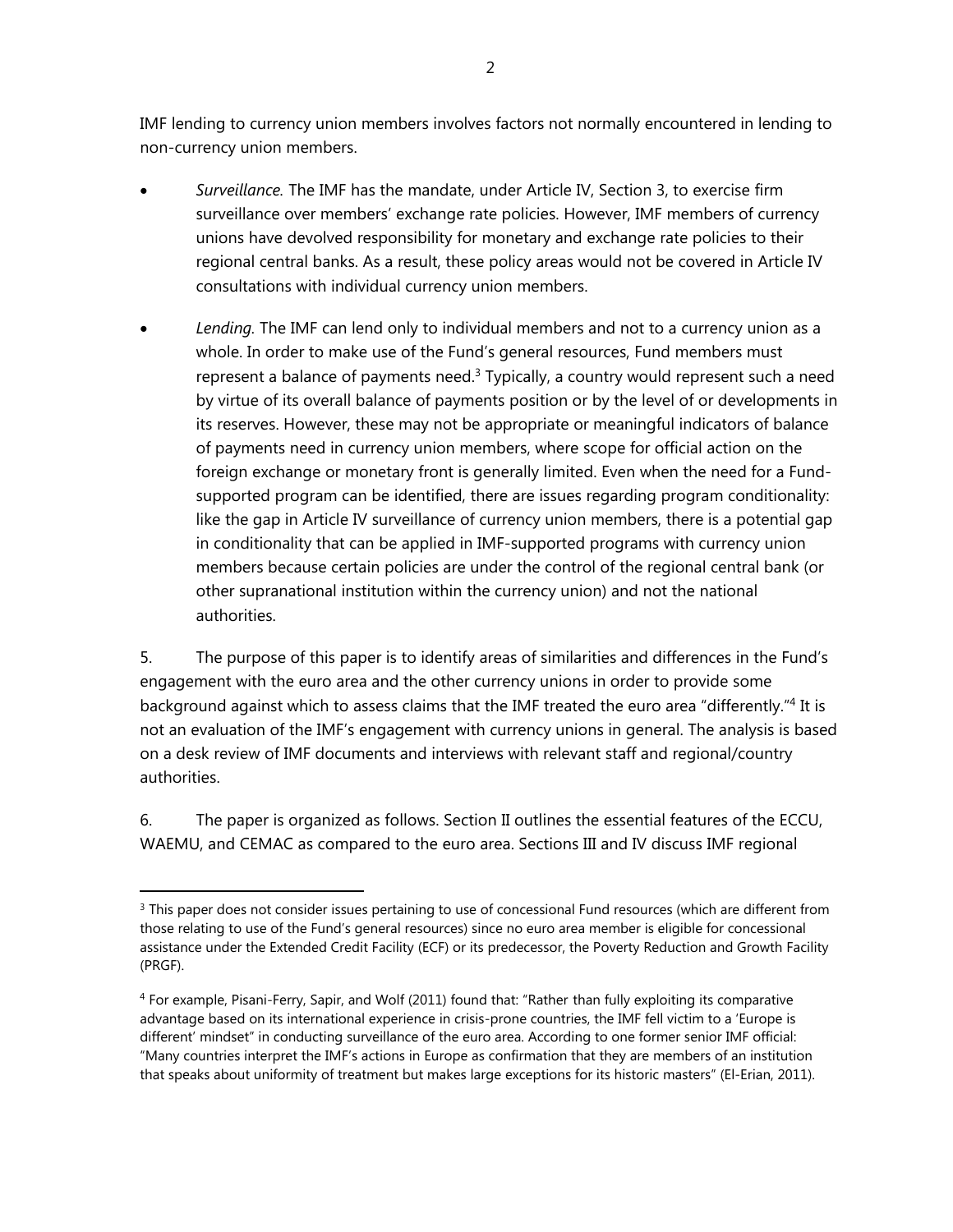IMF lending to currency union members involves factors not normally encountered in lending to non-currency union members.

- *Surveillance.* The IMF has the mandate, under Article IV, Section 3, to exercise firm surveillance over members' exchange rate policies. However, IMF members of currency unions have devolved responsibility for monetary and exchange rate policies to their regional central banks. As a result, these policy areas would not be covered in Article IV consultations with individual currency union members.
- *Lending.* The IMF can lend only to individual members and not to a currency union as a whole. In order to make use of the Fund's general resources, Fund members must represent a balance of payments need. $3$  Typically, a country would represent such a need by virtue of its overall balance of payments position or by the level of or developments in its reserves. However, these may not be appropriate or meaningful indicators of balance of payments need in currency union members, where scope for official action on the foreign exchange or monetary front is generally limited. Even when the need for a Fundsupported program can be identified, there are issues regarding program conditionality: like the gap in Article IV surveillance of currency union members, there is a potential gap in conditionality that can be applied in IMF-supported programs with currency union members because certain policies are under the control of the regional central bank (or other supranational institution within the currency union) and not the national authorities.

5. The purpose of this paper is to identify areas of similarities and differences in the Fund's engagement with the euro area and the other currency unions in order to provide some background against which to assess claims that the IMF treated the euro area "differently."4 It is not an evaluation of the IMF's engagement with currency unions in general. The analysis is based on a desk review of IMF documents and interviews with relevant staff and regional/country authorities.

6. The paper is organized as follows. Section II outlines the essential features of the ECCU, WAEMU, and CEMAC as compared to the euro area. Sections III and IV discuss IMF regional

<sup>&</sup>lt;sup>3</sup> This paper does not consider issues pertaining to use of concessional Fund resources (which are different from those relating to use of the Fund's general resources) since no euro area member is eligible for concessional assistance under the Extended Credit Facility (ECF) or its predecessor, the Poverty Reduction and Growth Facility (PRGF).

<sup>4</sup> For example, Pisani-Ferry, Sapir, and Wolf (2011) found that: "Rather than fully exploiting its comparative advantage based on its international experience in crisis-prone countries, the IMF fell victim to a 'Europe is different' mindset" in conducting surveillance of the euro area. According to one former senior IMF official: "Many countries interpret the IMF's actions in Europe as confirmation that they are members of an institution that speaks about uniformity of treatment but makes large exceptions for its historic masters" (El-Erian, 2011).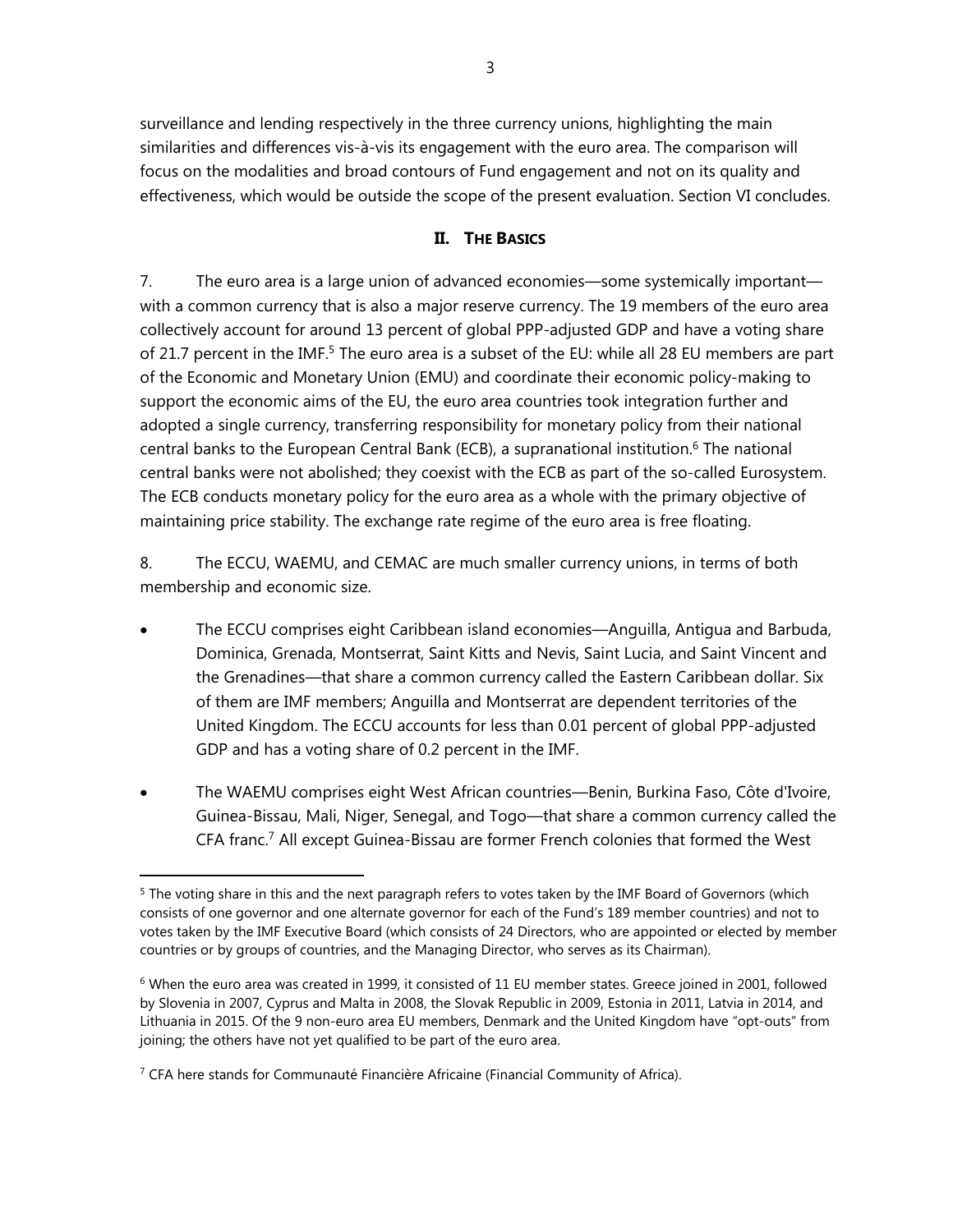surveillance and lending respectively in the three currency unions, highlighting the main similarities and differences vis-à-vis its engagement with the euro area. The comparison will focus on the modalities and broad contours of Fund engagement and not on its quality and effectiveness, which would be outside the scope of the present evaluation. Section VI concludes.

# **II. THE BASICS**

7. The euro area is a large union of advanced economies—some systemically important with a common currency that is also a major reserve currency. The 19 members of the euro area collectively account for around 13 percent of global PPP-adjusted GDP and have a voting share of 21.7 percent in the IMF.<sup>5</sup> The euro area is a subset of the EU: while all 28 EU members are part of the Economic and Monetary Union (EMU) and coordinate their economic policy-making to support the economic aims of the EU, the euro area countries took integration further and adopted a single currency, transferring responsibility for monetary policy from their national central banks to the European Central Bank (ECB), a supranational institution.<sup>6</sup> The national central banks were not abolished; they coexist with the ECB as part of the so-called Eurosystem. The ECB conducts monetary policy for the euro area as a whole with the primary objective of maintaining price stability. The exchange rate regime of the euro area is free floating.

8. The ECCU, WAEMU, and CEMAC are much smaller currency unions, in terms of both membership and economic size.

- The ECCU comprises eight Caribbean island economies—Anguilla, Antigua and Barbuda, Dominica, Grenada, Montserrat, Saint Kitts and Nevis, Saint Lucia, and Saint Vincent and the Grenadines—that share a common currency called the Eastern Caribbean dollar. Six of them are IMF members; Anguilla and Montserrat are dependent territories of the United Kingdom. The ECCU accounts for less than 0.01 percent of global PPP-adjusted GDP and has a voting share of 0.2 percent in the IMF.
- The WAEMU comprises eight West African countries—Benin, Burkina Faso, Côte d'Ivoire, Guinea-Bissau, Mali, Niger, Senegal, and Togo—that share a common currency called the CFA franc.7 All except Guinea-Bissau are former French colonies that formed the West

<sup>7</sup> CFA here stands for Communauté Financière Africaine (Financial Community of Africa).

<sup>&</sup>lt;sup>5</sup> The voting share in this and the next paragraph refers to votes taken by the IMF Board of Governors (which consists of one governor and one alternate governor for each of the Fund's 189 member countries) and not to votes taken by the IMF Executive Board (which consists of 24 Directors, who are appointed or elected by member countries or by groups of countries, and the Managing Director, who serves as its Chairman).

 $6$  When the euro area was created in 1999, it consisted of 11 EU member states. Greece joined in 2001, followed by Slovenia in 2007, Cyprus and Malta in 2008, the Slovak Republic in 2009, Estonia in 2011, Latvia in 2014, and Lithuania in 2015. Of the 9 non-euro area EU members, Denmark and the United Kingdom have "opt-outs" from joining; the others have not yet qualified to be part of the euro area.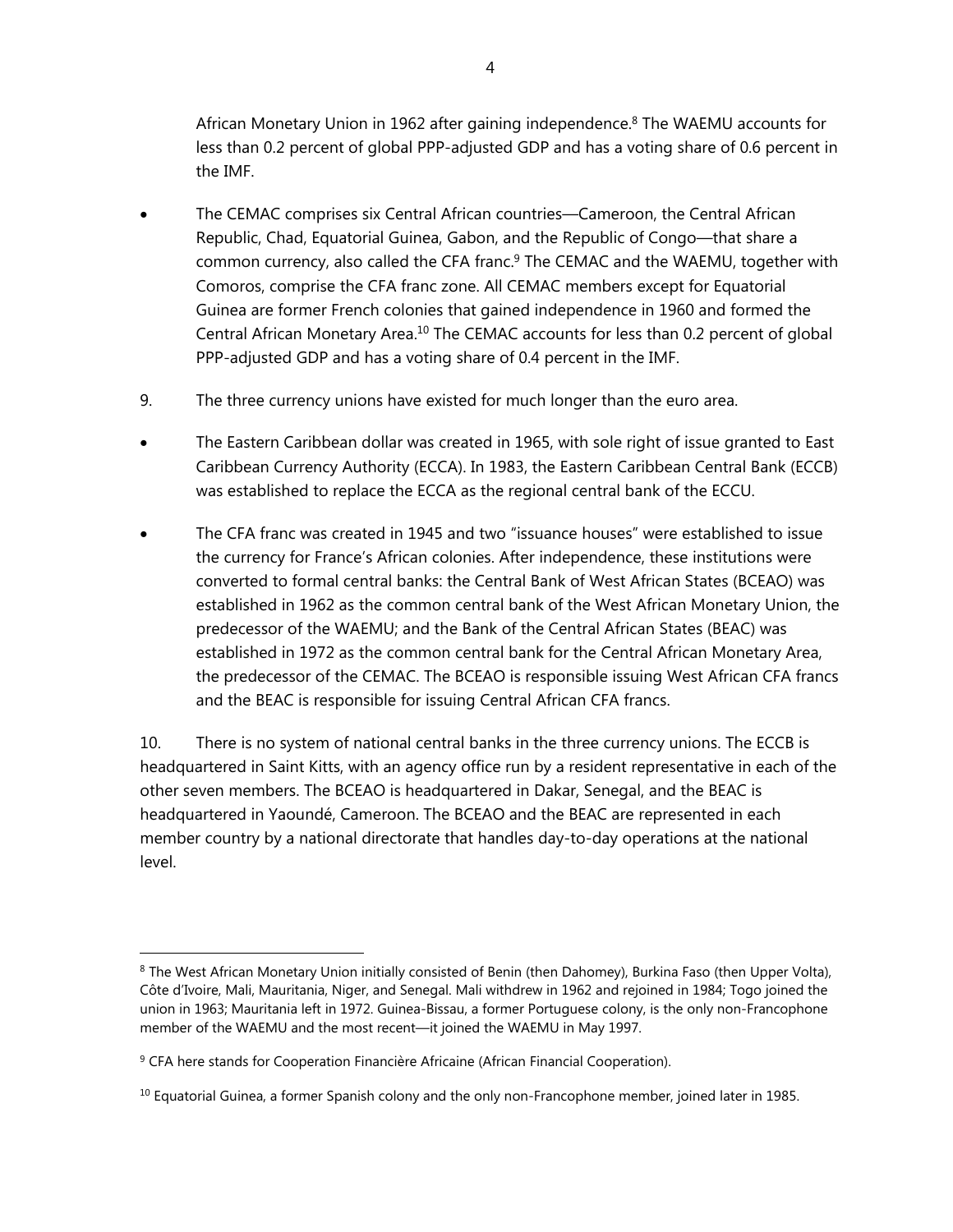African Monetary Union in 1962 after gaining independence.8 The WAEMU accounts for less than 0.2 percent of global PPP-adjusted GDP and has a voting share of 0.6 percent in the IMF.

- The CEMAC comprises six Central African countries—Cameroon, the Central African Republic, Chad, Equatorial Guinea, Gabon, and the Republic of Congo—that share a common currency, also called the CFA franc.9 The CEMAC and the WAEMU, together with Comoros, comprise the CFA franc zone. All CEMAC members except for Equatorial Guinea are former French colonies that gained independence in 1960 and formed the Central African Monetary Area.<sup>10</sup> The CEMAC accounts for less than 0.2 percent of global PPP-adjusted GDP and has a voting share of 0.4 percent in the IMF.
- 9. The three currency unions have existed for much longer than the euro area.
- The Eastern Caribbean dollar was created in 1965, with sole right of issue granted to East Caribbean Currency Authority (ECCA). In 1983, the Eastern Caribbean Central Bank (ECCB) was established to replace the ECCA as the regional central bank of the ECCU.
- The CFA franc was created in 1945 and two "issuance houses" were established to issue the currency for France's African colonies. After independence, these institutions were converted to formal central banks: the Central Bank of West African States (BCEAO) was established in 1962 as the common central bank of the West African Monetary Union, the predecessor of the WAEMU; and the Bank of the Central African States (BEAC) was established in 1972 as the common central bank for the Central African Monetary Area, the predecessor of the CEMAC. The BCEAO is responsible issuing West African CFA francs and the BEAC is responsible for issuing Central African CFA francs.

10. There is no system of national central banks in the three currency unions. The ECCB is headquartered in Saint Kitts, with an agency office run by a resident representative in each of the other seven members. The BCEAO is headquartered in Dakar, Senegal, and the BEAC is headquartered in Yaoundé, Cameroon. The BCEAO and the BEAC are represented in each member country by a national directorate that handles day-to-day operations at the national level.

<sup>&</sup>lt;sup>8</sup> The West African Monetary Union initially consisted of Benin (then Dahomey), Burkina Faso (then Upper Volta), Côte d'Ivoire, Mali, Mauritania, Niger, and Senegal. Mali withdrew in 1962 and rejoined in 1984; Togo joined the union in 1963; Mauritania left in 1972. Guinea-Bissau, a former Portuguese colony, is the only non-Francophone member of the WAEMU and the most recent—it joined the WAEMU in May 1997.

<sup>&</sup>lt;sup>9</sup> CFA here stands for Cooperation Financière Africaine (African Financial Cooperation).

 $10$  Equatorial Guinea, a former Spanish colony and the only non-Francophone member, joined later in 1985.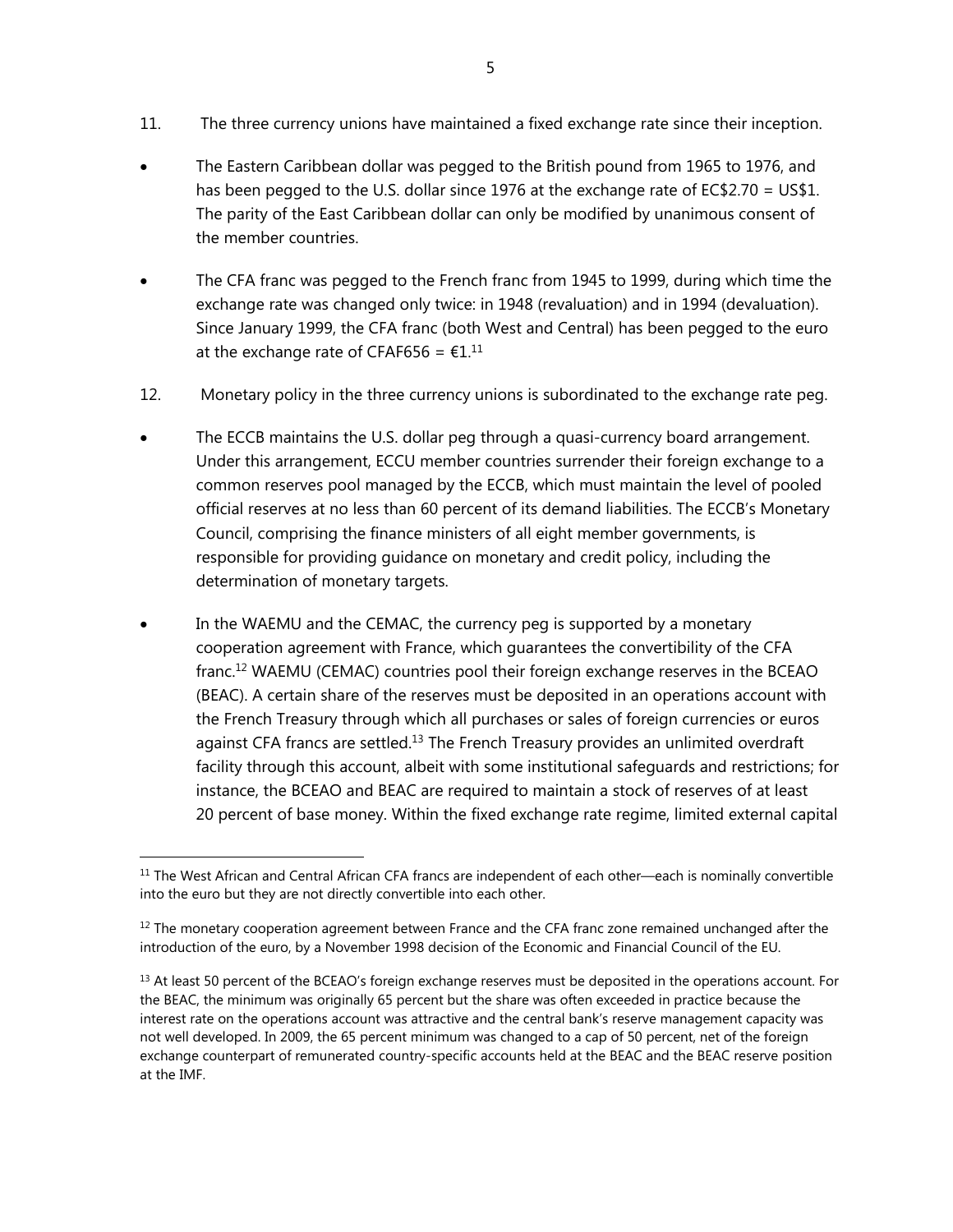- 11. The three currency unions have maintained a fixed exchange rate since their inception.
- The Eastern Caribbean dollar was pegged to the British pound from 1965 to 1976, and has been pegged to the U.S. dollar since 1976 at the exchange rate of EC\$2.70 = US\$1. The parity of the East Caribbean dollar can only be modified by unanimous consent of the member countries.
- The CFA franc was pegged to the French franc from 1945 to 1999, during which time the exchange rate was changed only twice: in 1948 (revaluation) and in 1994 (devaluation). Since January 1999, the CFA franc (both West and Central) has been pegged to the euro at the exchange rate of CFAF656 =  $\epsilon$ 1.<sup>11</sup>
- 12. Monetary policy in the three currency unions is subordinated to the exchange rate peg.
- The ECCB maintains the U.S. dollar peg through a quasi-currency board arrangement. Under this arrangement, ECCU member countries surrender their foreign exchange to a common reserves pool managed by the ECCB, which must maintain the level of pooled official reserves at no less than 60 percent of its demand liabilities. The ECCB's Monetary Council, comprising the finance ministers of all eight member governments, is responsible for providing guidance on monetary and credit policy, including the determination of monetary targets.
- In the WAEMU and the CEMAC, the currency peg is supported by a monetary cooperation agreement with France, which guarantees the convertibility of the CFA franc.12 WAEMU (CEMAC) countries pool their foreign exchange reserves in the BCEAO (BEAC). A certain share of the reserves must be deposited in an operations account with the French Treasury through which all purchases or sales of foreign currencies or euros against CFA francs are settled.<sup>13</sup> The French Treasury provides an unlimited overdraft facility through this account, albeit with some institutional safeguards and restrictions; for instance, the BCEAO and BEAC are required to maintain a stock of reserves of at least 20 percent of base money. Within the fixed exchange rate regime, limited external capital

<sup>&</sup>lt;sup>11</sup> The West African and Central African CFA francs are independent of each other—each is nominally convertible into the euro but they are not directly convertible into each other.

 $12$  The monetary cooperation agreement between France and the CFA franc zone remained unchanged after the introduction of the euro, by a November 1998 decision of the Economic and Financial Council of the EU.

 $<sup>13</sup>$  At least 50 percent of the BCEAO's foreign exchange reserves must be deposited in the operations account. For</sup> the BEAC, the minimum was originally 65 percent but the share was often exceeded in practice because the interest rate on the operations account was attractive and the central bank's reserve management capacity was not well developed. In 2009, the 65 percent minimum was changed to a cap of 50 percent, net of the foreign exchange counterpart of remunerated country-specific accounts held at the BEAC and the BEAC reserve position at the IMF.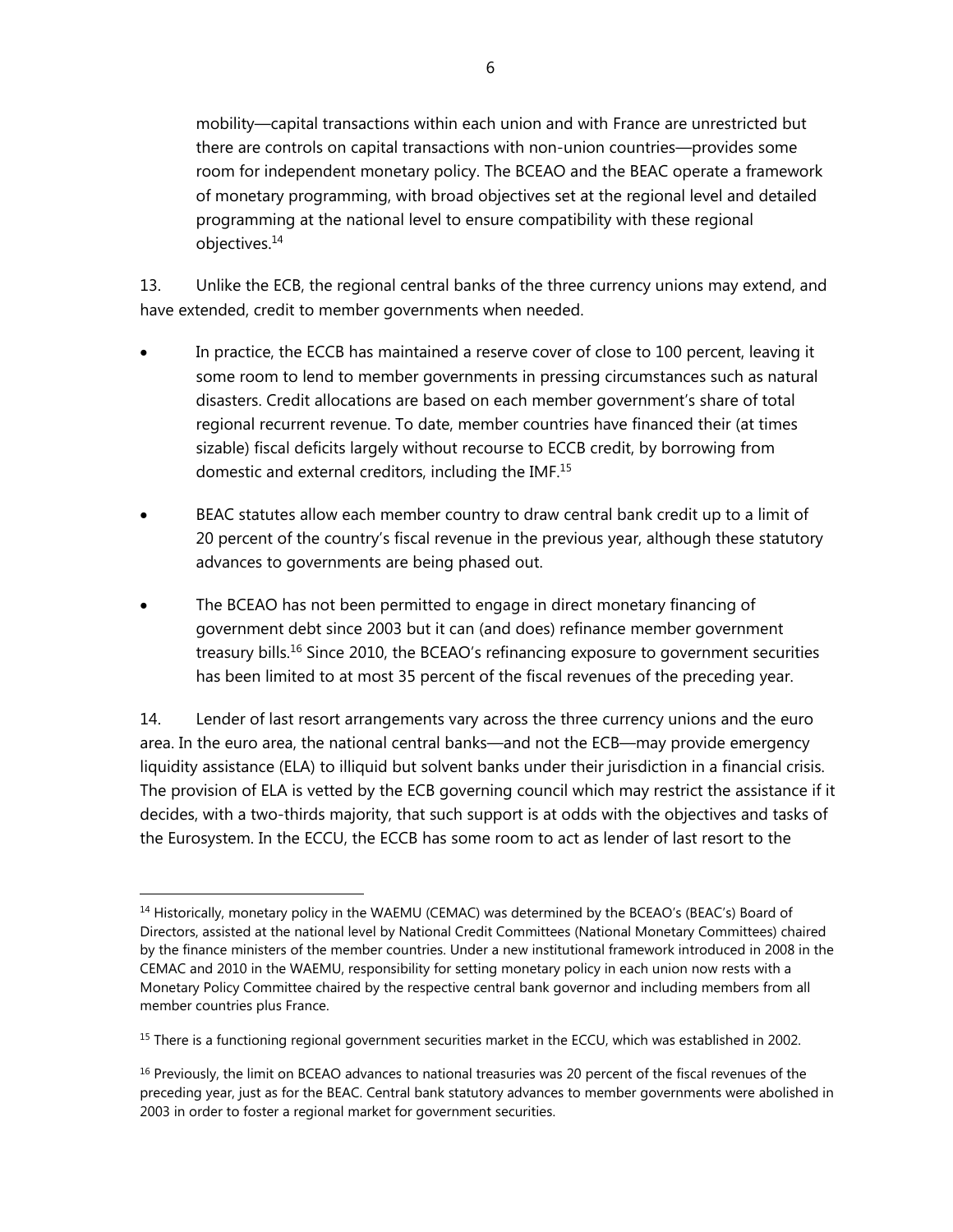mobility—capital transactions within each union and with France are unrestricted but there are controls on capital transactions with non-union countries—provides some room for independent monetary policy. The BCEAO and the BEAC operate a framework of monetary programming, with broad objectives set at the regional level and detailed programming at the national level to ensure compatibility with these regional objectives.14

13. Unlike the ECB, the regional central banks of the three currency unions may extend, and have extended, credit to member governments when needed.

- In practice, the ECCB has maintained a reserve cover of close to 100 percent, leaving it some room to lend to member governments in pressing circumstances such as natural disasters. Credit allocations are based on each member government's share of total regional recurrent revenue. To date, member countries have financed their (at times sizable) fiscal deficits largely without recourse to ECCB credit, by borrowing from domestic and external creditors, including the IMF.15
- BEAC statutes allow each member country to draw central bank credit up to a limit of 20 percent of the country's fiscal revenue in the previous year, although these statutory advances to governments are being phased out.
- The BCEAO has not been permitted to engage in direct monetary financing of government debt since 2003 but it can (and does) refinance member government treasury bills.<sup>16</sup> Since 2010, the BCEAO's refinancing exposure to government securities has been limited to at most 35 percent of the fiscal revenues of the preceding year.

14. Lender of last resort arrangements vary across the three currency unions and the euro area. In the euro area, the national central banks—and not the ECB—may provide emergency liquidity assistance (ELA) to illiquid but solvent banks under their jurisdiction in a financial crisis. The provision of ELA is vetted by the ECB governing council which may restrict the assistance if it decides, with a two-thirds majority, that such support is at odds with the objectives and tasks of the Eurosystem. In the ECCU, the ECCB has some room to act as lender of last resort to the

<sup>&</sup>lt;sup>14</sup> Historically, monetary policy in the WAEMU (CEMAC) was determined by the BCEAO's (BEAC's) Board of Directors, assisted at the national level by National Credit Committees (National Monetary Committees) chaired by the finance ministers of the member countries. Under a new institutional framework introduced in 2008 in the CEMAC and 2010 in the WAEMU, responsibility for setting monetary policy in each union now rests with a Monetary Policy Committee chaired by the respective central bank governor and including members from all member countries plus France.

<sup>&</sup>lt;sup>15</sup> There is a functioning regional government securities market in the ECCU, which was established in 2002.

<sup>&</sup>lt;sup>16</sup> Previously, the limit on BCEAO advances to national treasuries was 20 percent of the fiscal revenues of the preceding year, just as for the BEAC. Central bank statutory advances to member governments were abolished in 2003 in order to foster a regional market for government securities.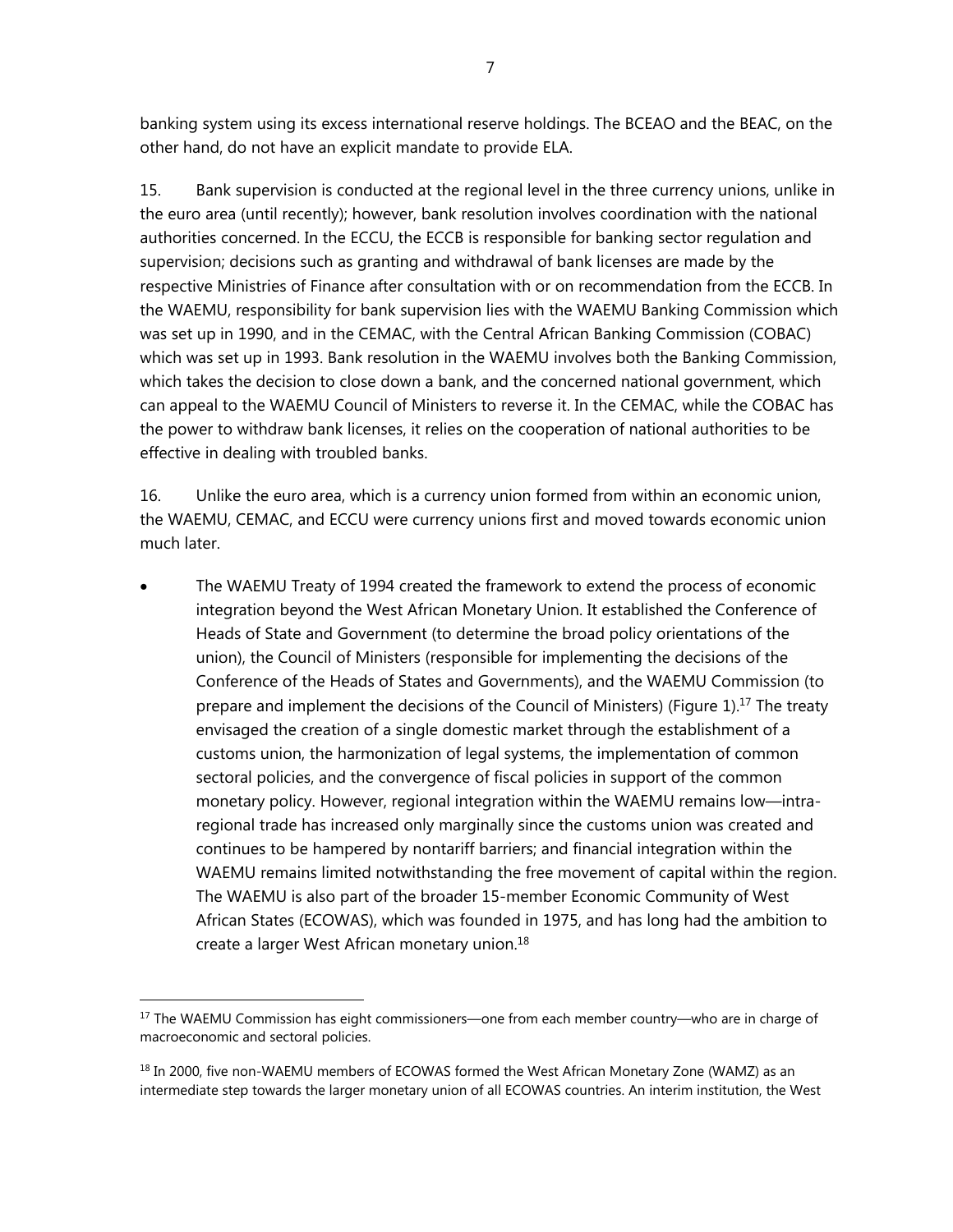banking system using its excess international reserve holdings. The BCEAO and the BEAC, on the other hand, do not have an explicit mandate to provide ELA.

15. Bank supervision is conducted at the regional level in the three currency unions, unlike in the euro area (until recently); however, bank resolution involves coordination with the national authorities concerned. In the ECCU, the ECCB is responsible for banking sector regulation and supervision; decisions such as granting and withdrawal of bank licenses are made by the respective Ministries of Finance after consultation with or on recommendation from the ECCB. In the WAEMU, responsibility for bank supervision lies with the WAEMU Banking Commission which was set up in 1990, and in the CEMAC, with the Central African Banking Commission (COBAC) which was set up in 1993. Bank resolution in the WAEMU involves both the Banking Commission, which takes the decision to close down a bank, and the concerned national government, which can appeal to the WAEMU Council of Ministers to reverse it. In the CEMAC, while the COBAC has the power to withdraw bank licenses, it relies on the cooperation of national authorities to be effective in dealing with troubled banks.

16. Unlike the euro area, which is a currency union formed from within an economic union, the WAEMU, CEMAC, and ECCU were currency unions first and moved towards economic union much later.

 The WAEMU Treaty of 1994 created the framework to extend the process of economic integration beyond the West African Monetary Union. It established the Conference of Heads of State and Government (to determine the broad policy orientations of the union), the Council of Ministers (responsible for implementing the decisions of the Conference of the Heads of States and Governments), and the WAEMU Commission (to prepare and implement the decisions of the Council of Ministers) (Figure 1).<sup>17</sup> The treaty envisaged the creation of a single domestic market through the establishment of a customs union, the harmonization of legal systems, the implementation of common sectoral policies, and the convergence of fiscal policies in support of the common monetary policy. However, regional integration within the WAEMU remains low—intraregional trade has increased only marginally since the customs union was created and continues to be hampered by nontariff barriers; and financial integration within the WAEMU remains limited notwithstanding the free movement of capital within the region. The WAEMU is also part of the broader 15-member Economic Community of West African States (ECOWAS), which was founded in 1975, and has long had the ambition to create a larger West African monetary union.18

<sup>&</sup>lt;sup>17</sup> The WAEMU Commission has eight commissioners—one from each member country—who are in charge of macroeconomic and sectoral policies.

<sup>&</sup>lt;sup>18</sup> In 2000, five non-WAEMU members of ECOWAS formed the West African Monetary Zone (WAMZ) as an intermediate step towards the larger monetary union of all ECOWAS countries. An interim institution, the West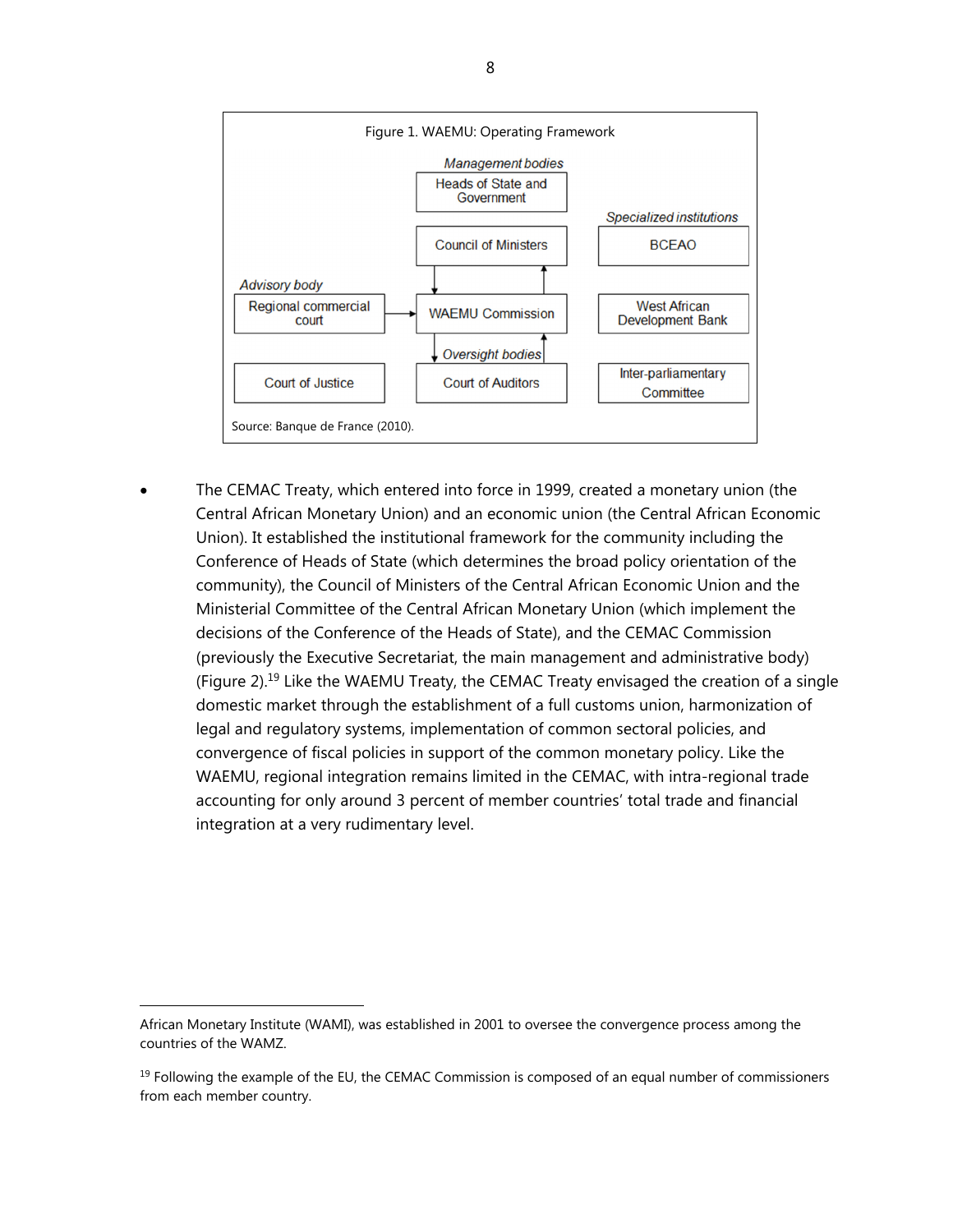

 The CEMAC Treaty, which entered into force in 1999, created a monetary union (the Central African Monetary Union) and an economic union (the Central African Economic Union). It established the institutional framework for the community including the Conference of Heads of State (which determines the broad policy orientation of the community), the Council of Ministers of the Central African Economic Union and the Ministerial Committee of the Central African Monetary Union (which implement the decisions of the Conference of the Heads of State), and the CEMAC Commission (previously the Executive Secretariat, the main management and administrative body) (Figure 2).<sup>19</sup> Like the WAEMU Treaty, the CEMAC Treaty envisaged the creation of a single domestic market through the establishment of a full customs union, harmonization of legal and regulatory systems, implementation of common sectoral policies, and convergence of fiscal policies in support of the common monetary policy. Like the WAEMU, regional integration remains limited in the CEMAC, with intra-regional trade accounting for only around 3 percent of member countries' total trade and financial integration at a very rudimentary level.

African Monetary Institute (WAMI), was established in 2001 to oversee the convergence process among the countries of the WAMZ.

 $<sup>19</sup>$  Following the example of the EU, the CEMAC Commission is composed of an equal number of commissioners</sup> from each member country.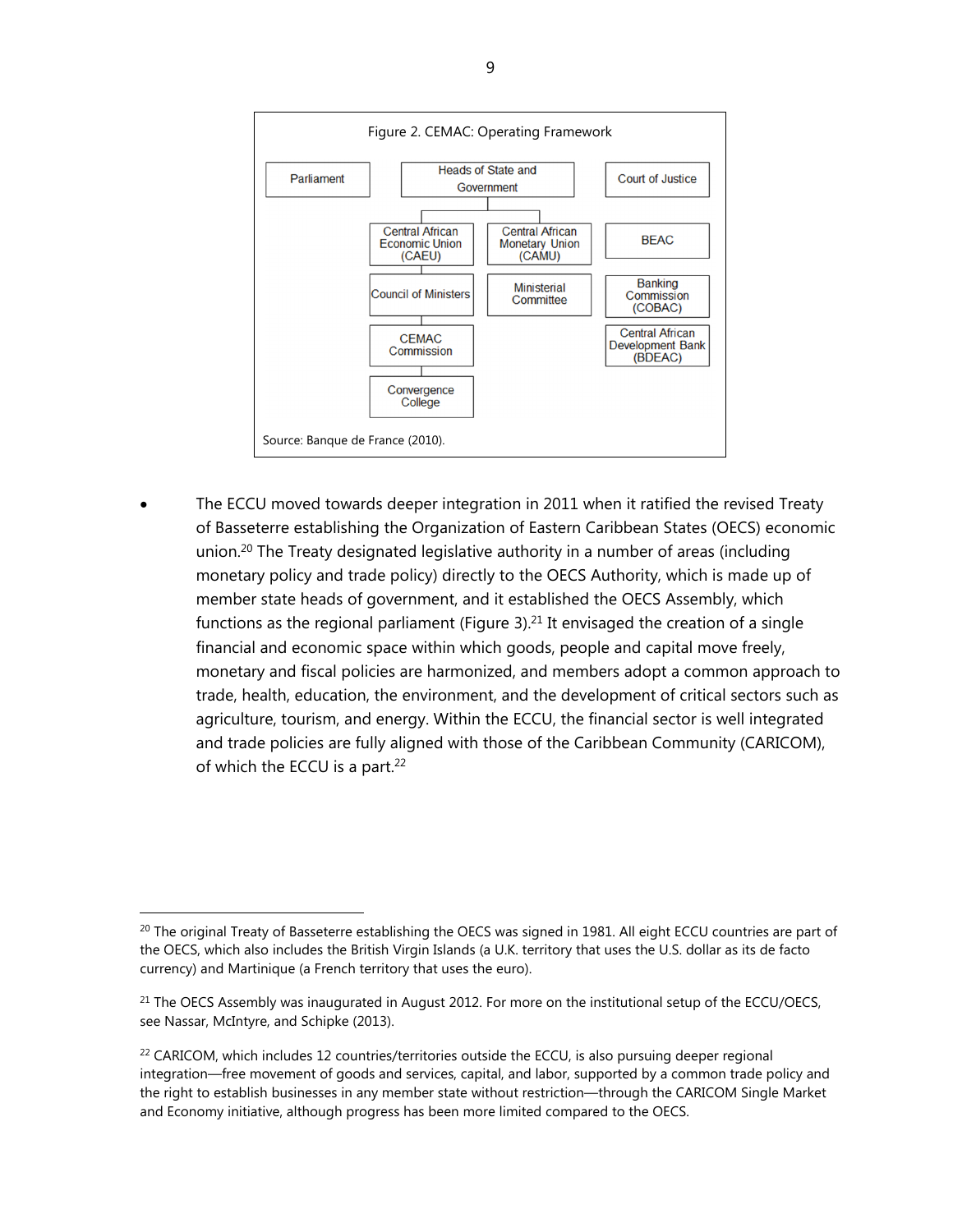

 The ECCU moved towards deeper integration in 2011 when it ratified the revised Treaty of Basseterre establishing the Organization of Eastern Caribbean States (OECS) economic union.<sup>20</sup> The Treaty designated legislative authority in a number of areas (including monetary policy and trade policy) directly to the OECS Authority, which is made up of member state heads of government, and it established the OECS Assembly, which functions as the regional parliament (Figure 3).<sup>21</sup> It envisaged the creation of a single financial and economic space within which goods, people and capital move freely, monetary and fiscal policies are harmonized, and members adopt a common approach to trade, health, education, the environment, and the development of critical sectors such as agriculture, tourism, and energy. Within the ECCU, the financial sector is well integrated and trade policies are fully aligned with those of the Caribbean Community (CARICOM), of which the ECCU is a part.<sup>22</sup>

 $^{20}$  The original Treaty of Basseterre establishing the OECS was signed in 1981. All eight ECCU countries are part of the OECS, which also includes the British Virgin Islands (a U.K. territory that uses the U.S. dollar as its de facto currency) and Martinique (a French territory that uses the euro).

 $21$  The OECS Assembly was inaugurated in August 2012. For more on the institutional setup of the ECCU/OECS, see Nassar, McIntyre, and Schipke (2013).

 $^{22}$  CARICOM, which includes 12 countries/territories outside the ECCU, is also pursuing deeper regional integration—free movement of goods and services, capital, and labor, supported by a common trade policy and the right to establish businesses in any member state without restriction—through the CARICOM Single Market and Economy initiative, although progress has been more limited compared to the OECS.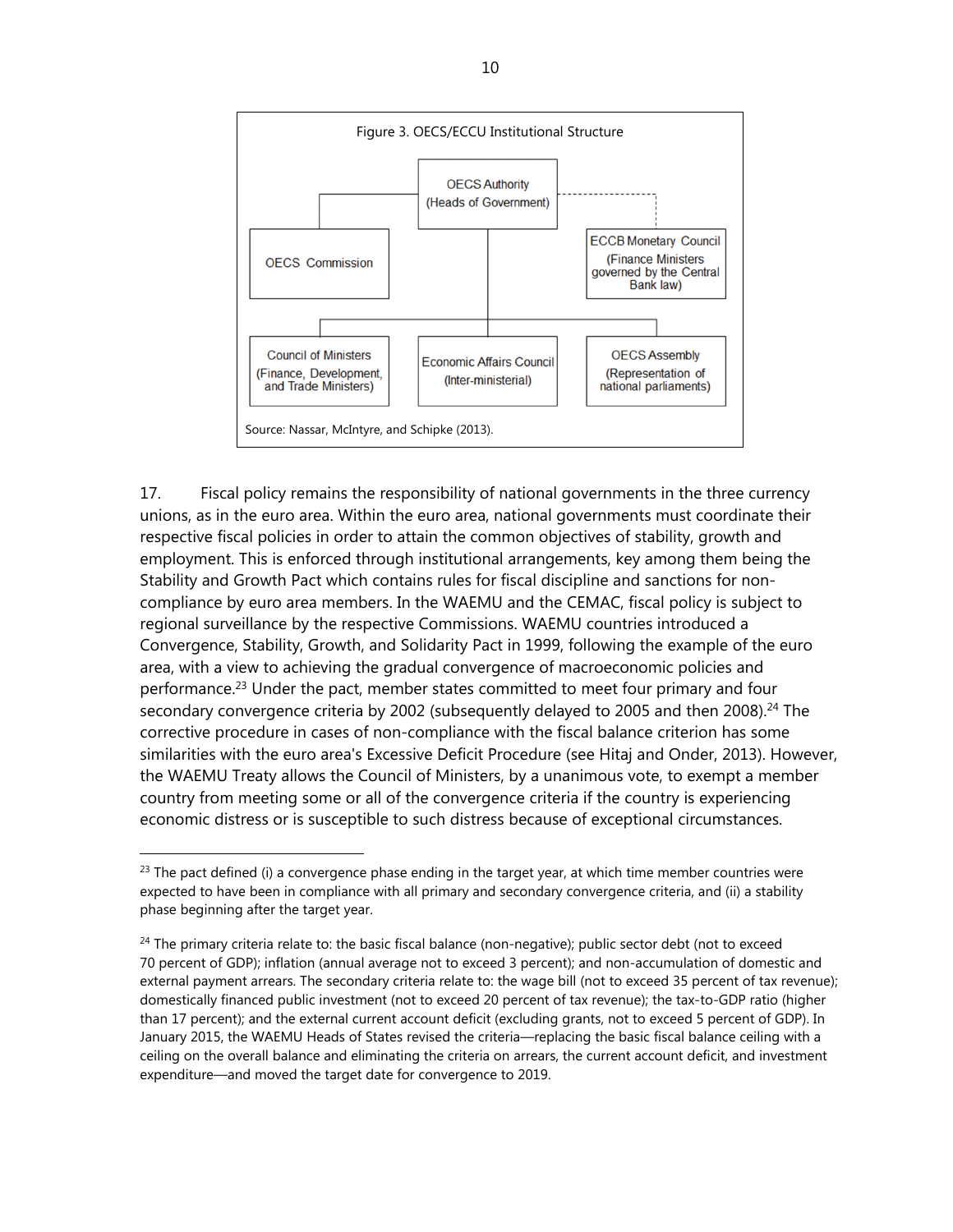

17. Fiscal policy remains the responsibility of national governments in the three currency unions, as in the euro area. Within the euro area, national governments must coordinate their respective fiscal policies in order to attain the common objectives of stability, growth and employment. This is enforced through institutional arrangements, key among them being the Stability and Growth Pact which contains rules for fiscal discipline and sanctions for noncompliance by euro area members. In the WAEMU and the CEMAC, fiscal policy is subject to regional surveillance by the respective Commissions. WAEMU countries introduced a Convergence, Stability, Growth, and Solidarity Pact in 1999, following the example of the euro area, with a view to achieving the gradual convergence of macroeconomic policies and performance.23 Under the pact, member states committed to meet four primary and four secondary convergence criteria by 2002 (subsequently delayed to 2005 and then 2008).<sup>24</sup> The corrective procedure in cases of non-compliance with the fiscal balance criterion has some similarities with the euro area's Excessive Deficit Procedure (see Hitaj and Onder, 2013). However, the WAEMU Treaty allows the Council of Ministers, by a unanimous vote, to exempt a member country from meeting some or all of the convergence criteria if the country is experiencing economic distress or is susceptible to such distress because of exceptional circumstances.

 $^{23}$  The pact defined (i) a convergence phase ending in the target year, at which time member countries were expected to have been in compliance with all primary and secondary convergence criteria, and (ii) a stability phase beginning after the target year.

 $^{24}$  The primary criteria relate to: the basic fiscal balance (non-negative); public sector debt (not to exceed 70 percent of GDP); inflation (annual average not to exceed 3 percent); and non-accumulation of domestic and external payment arrears. The secondary criteria relate to: the wage bill (not to exceed 35 percent of tax revenue); domestically financed public investment (not to exceed 20 percent of tax revenue); the tax-to-GDP ratio (higher than 17 percent); and the external current account deficit (excluding grants, not to exceed 5 percent of GDP). In January 2015, the WAEMU Heads of States revised the criteria—replacing the basic fiscal balance ceiling with a ceiling on the overall balance and eliminating the criteria on arrears, the current account deficit, and investment expenditure—and moved the target date for convergence to 2019.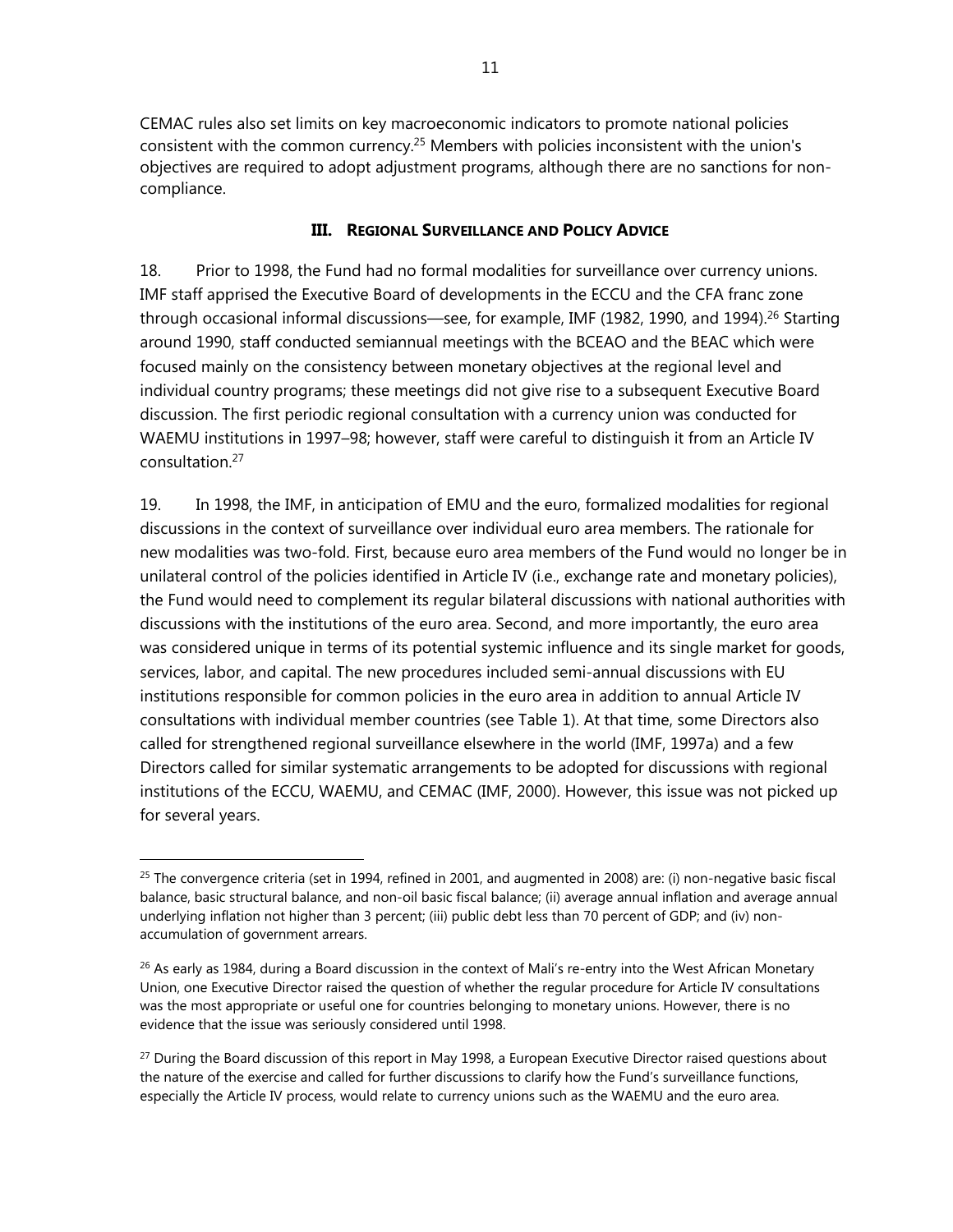CEMAC rules also set limits on key macroeconomic indicators to promote national policies consistent with the common currency.<sup>25</sup> Members with policies inconsistent with the union's objectives are required to adopt adjustment programs, although there are no sanctions for noncompliance.

## **III. REGIONAL SURVEILLANCE AND POLICY ADVICE**

18. Prior to 1998, the Fund had no formal modalities for surveillance over currency unions. IMF staff apprised the Executive Board of developments in the ECCU and the CFA franc zone through occasional informal discussions—see, for example, IMF (1982, 1990, and 1994).<sup>26</sup> Starting around 1990, staff conducted semiannual meetings with the BCEAO and the BEAC which were focused mainly on the consistency between monetary objectives at the regional level and individual country programs; these meetings did not give rise to a subsequent Executive Board discussion. The first periodic regional consultation with a currency union was conducted for WAEMU institutions in 1997–98; however, staff were careful to distinguish it from an Article IV consultation.27

19. In 1998, the IMF, in anticipation of EMU and the euro, formalized modalities for regional discussions in the context of surveillance over individual euro area members. The rationale for new modalities was two-fold. First, because euro area members of the Fund would no longer be in unilateral control of the policies identified in Article IV (i.e., exchange rate and monetary policies), the Fund would need to complement its regular bilateral discussions with national authorities with discussions with the institutions of the euro area. Second, and more importantly, the euro area was considered unique in terms of its potential systemic influence and its single market for goods, services, labor, and capital. The new procedures included semi-annual discussions with EU institutions responsible for common policies in the euro area in addition to annual Article IV consultations with individual member countries (see Table 1). At that time, some Directors also called for strengthened regional surveillance elsewhere in the world (IMF, 1997a) and a few Directors called for similar systematic arrangements to be adopted for discussions with regional institutions of the ECCU, WAEMU, and CEMAC (IMF, 2000). However, this issue was not picked up for several years.

 $25$  The convergence criteria (set in 1994, refined in 2001, and augmented in 2008) are: (i) non-negative basic fiscal balance, basic structural balance, and non-oil basic fiscal balance; (ii) average annual inflation and average annual underlying inflation not higher than 3 percent; (iii) public debt less than 70 percent of GDP; and (iv) nonaccumulation of government arrears.

 $^{26}$  As early as 1984, during a Board discussion in the context of Mali's re-entry into the West African Monetary Union, one Executive Director raised the question of whether the regular procedure for Article IV consultations was the most appropriate or useful one for countries belonging to monetary unions. However, there is no evidence that the issue was seriously considered until 1998.

<sup>&</sup>lt;sup>27</sup> During the Board discussion of this report in May 1998, a European Executive Director raised questions about the nature of the exercise and called for further discussions to clarify how the Fund's surveillance functions, especially the Article IV process, would relate to currency unions such as the WAEMU and the euro area.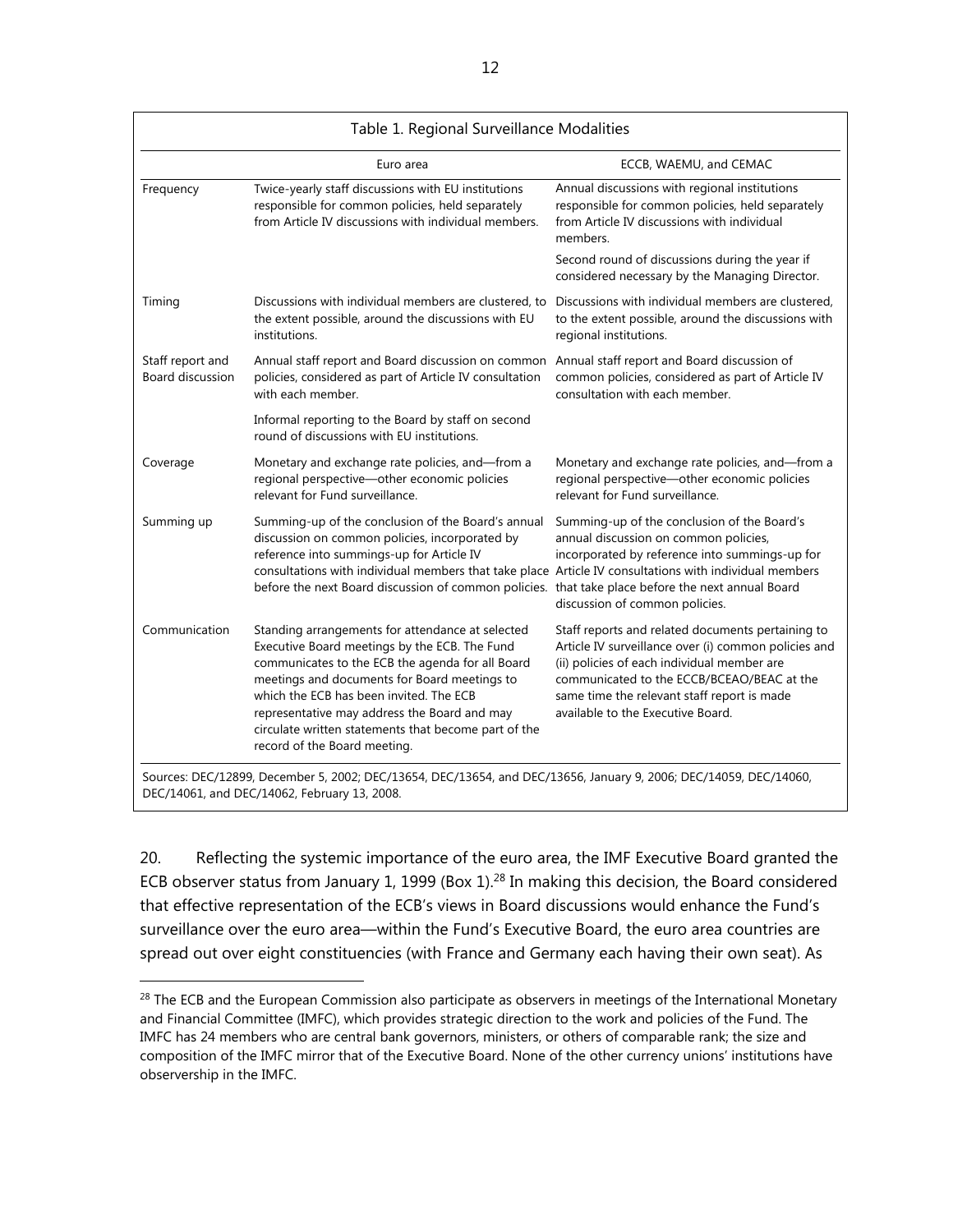| Table 1. Regional Surveillance Modalities                                                                                                                                    |                                                                                                                                                                                                                                                                                                                                                                                          |                                                                                                                                                                                                                                                                                            |  |
|------------------------------------------------------------------------------------------------------------------------------------------------------------------------------|------------------------------------------------------------------------------------------------------------------------------------------------------------------------------------------------------------------------------------------------------------------------------------------------------------------------------------------------------------------------------------------|--------------------------------------------------------------------------------------------------------------------------------------------------------------------------------------------------------------------------------------------------------------------------------------------|--|
|                                                                                                                                                                              | Euro area                                                                                                                                                                                                                                                                                                                                                                                | ECCB, WAEMU, and CEMAC                                                                                                                                                                                                                                                                     |  |
| Twice-yearly staff discussions with EU institutions<br>Frequency<br>responsible for common policies, held separately<br>from Article IV discussions with individual members. |                                                                                                                                                                                                                                                                                                                                                                                          | Annual discussions with regional institutions<br>responsible for common policies, held separately<br>from Article IV discussions with individual<br>members.                                                                                                                               |  |
|                                                                                                                                                                              |                                                                                                                                                                                                                                                                                                                                                                                          | Second round of discussions during the year if<br>considered necessary by the Managing Director.                                                                                                                                                                                           |  |
| Timing                                                                                                                                                                       | Discussions with individual members are clustered, to<br>the extent possible, around the discussions with EU<br>institutions.                                                                                                                                                                                                                                                            | Discussions with individual members are clustered,<br>to the extent possible, around the discussions with<br>regional institutions.                                                                                                                                                        |  |
| Staff report and<br>Board discussion                                                                                                                                         | Annual staff report and Board discussion on common<br>policies, considered as part of Article IV consultation<br>with each member.                                                                                                                                                                                                                                                       | Annual staff report and Board discussion of<br>common policies, considered as part of Article IV<br>consultation with each member.                                                                                                                                                         |  |
|                                                                                                                                                                              | Informal reporting to the Board by staff on second<br>round of discussions with EU institutions.                                                                                                                                                                                                                                                                                         |                                                                                                                                                                                                                                                                                            |  |
| Coverage                                                                                                                                                                     | Monetary and exchange rate policies, and-from a<br>regional perspective-other economic policies<br>relevant for Fund surveillance.                                                                                                                                                                                                                                                       | Monetary and exchange rate policies, and-from a<br>regional perspective-other economic policies<br>relevant for Fund surveillance.                                                                                                                                                         |  |
| Summing up                                                                                                                                                                   | Summing-up of the conclusion of the Board's annual<br>discussion on common policies, incorporated by<br>reference into summings-up for Article IV<br>consultations with individual members that take place Article IV consultations with individual members<br>before the next Board discussion of common policies. that take place before the next annual Board                         | Summing-up of the conclusion of the Board's<br>annual discussion on common policies,<br>incorporated by reference into summings-up for<br>discussion of common policies.                                                                                                                   |  |
| Communication                                                                                                                                                                | Standing arrangements for attendance at selected<br>Executive Board meetings by the ECB. The Fund<br>communicates to the ECB the agenda for all Board<br>meetings and documents for Board meetings to<br>which the ECB has been invited. The ECB<br>representative may address the Board and may<br>circulate written statements that become part of the<br>record of the Board meeting. | Staff reports and related documents pertaining to<br>Article IV surveillance over (i) common policies and<br>(ii) policies of each individual member are<br>communicated to the ECCB/BCEAO/BEAC at the<br>same time the relevant staff report is made<br>available to the Executive Board. |  |

DEC/14061, and DEC/14062, February 13, 2008.

20. Reflecting the systemic importance of the euro area, the IMF Executive Board granted the ECB observer status from January 1, 1999 (Box 1).<sup>28</sup> In making this decision, the Board considered that effective representation of the ECB's views in Board discussions would enhance the Fund's surveillance over the euro area—within the Fund's Executive Board, the euro area countries are spread out over eight constituencies (with France and Germany each having their own seat). As

<sup>&</sup>lt;sup>28</sup> The ECB and the European Commission also participate as observers in meetings of the International Monetary and Financial Committee (IMFC), which provides strategic direction to the work and policies of the Fund. The IMFC has 24 members who are central bank governors, ministers, or others of comparable rank; the size and composition of the IMFC mirror that of the Executive Board. None of the other currency unions' institutions have observership in the IMFC.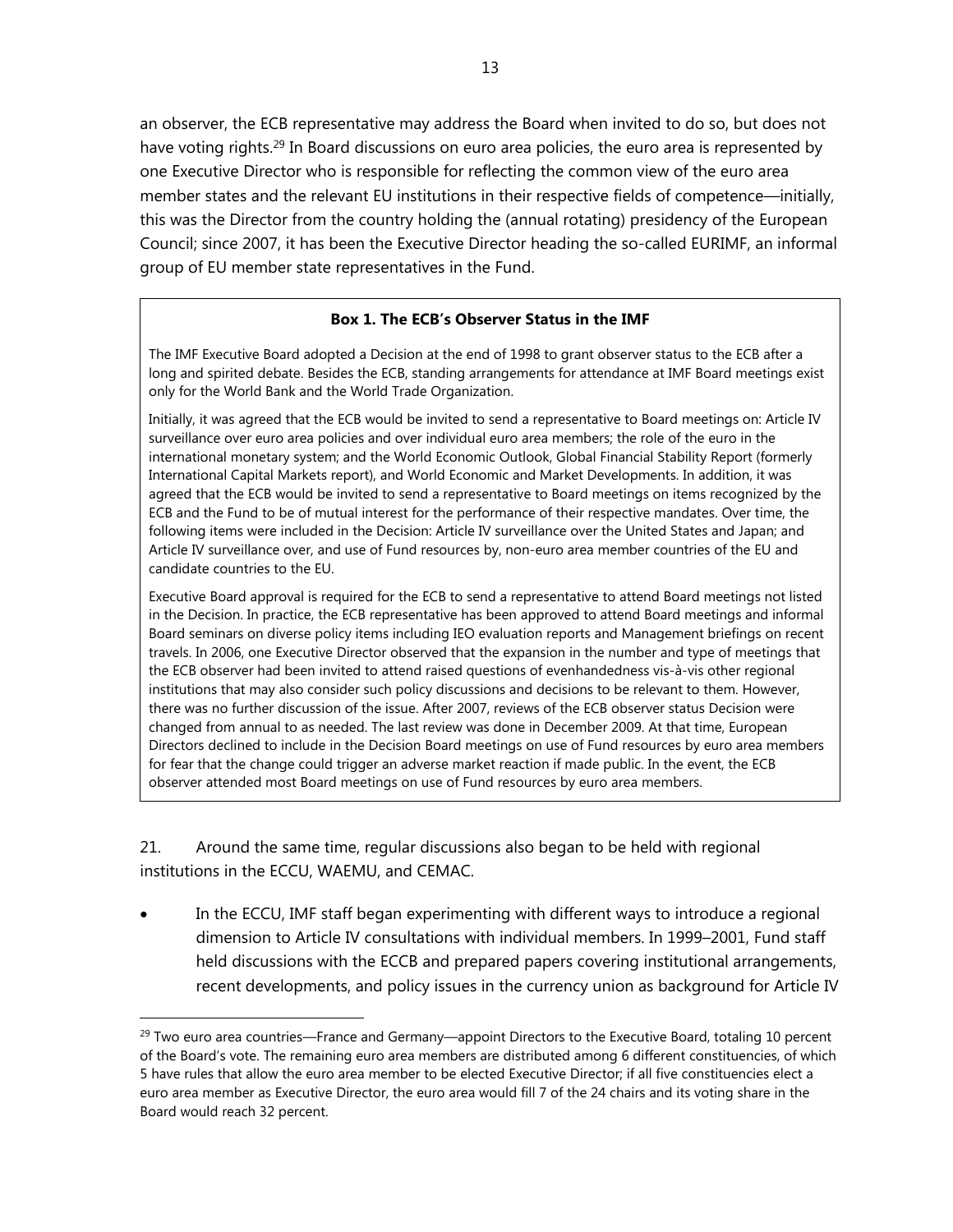an observer, the ECB representative may address the Board when invited to do so, but does not have voting rights.<sup>29</sup> In Board discussions on euro area policies, the euro area is represented by one Executive Director who is responsible for reflecting the common view of the euro area member states and the relevant EU institutions in their respective fields of competence—initially, this was the Director from the country holding the (annual rotating) presidency of the European Council; since 2007, it has been the Executive Director heading the so-called EURIMF, an informal group of EU member state representatives in the Fund.

## **Box 1. The ECB's Observer Status in the IMF**

The IMF Executive Board adopted a Decision at the end of 1998 to grant observer status to the ECB after a long and spirited debate. Besides the ECB, standing arrangements for attendance at IMF Board meetings exist only for the World Bank and the World Trade Organization.

Initially, it was agreed that the ECB would be invited to send a representative to Board meetings on: Article IV surveillance over euro area policies and over individual euro area members; the role of the euro in the international monetary system; and the World Economic Outlook, Global Financial Stability Report (formerly International Capital Markets report), and World Economic and Market Developments. In addition, it was agreed that the ECB would be invited to send a representative to Board meetings on items recognized by the ECB and the Fund to be of mutual interest for the performance of their respective mandates. Over time, the following items were included in the Decision: Article IV surveillance over the United States and Japan; and Article IV surveillance over, and use of Fund resources by, non-euro area member countries of the EU and candidate countries to the EU.

Executive Board approval is required for the ECB to send a representative to attend Board meetings not listed in the Decision. In practice, the ECB representative has been approved to attend Board meetings and informal Board seminars on diverse policy items including IEO evaluation reports and Management briefings on recent travels. In 2006, one Executive Director observed that the expansion in the number and type of meetings that the ECB observer had been invited to attend raised questions of evenhandedness vis-à-vis other regional institutions that may also consider such policy discussions and decisions to be relevant to them. However, there was no further discussion of the issue. After 2007, reviews of the ECB observer status Decision were changed from annual to as needed. The last review was done in December 2009. At that time, European Directors declined to include in the Decision Board meetings on use of Fund resources by euro area members for fear that the change could trigger an adverse market reaction if made public. In the event, the ECB observer attended most Board meetings on use of Fund resources by euro area members.

21. Around the same time, regular discussions also began to be held with regional institutions in the ECCU, WAEMU, and CEMAC.

 $\overline{a}$ 

 In the ECCU, IMF staff began experimenting with different ways to introduce a regional dimension to Article IV consultations with individual members. In 1999–2001, Fund staff held discussions with the ECCB and prepared papers covering institutional arrangements, recent developments, and policy issues in the currency union as background for Article IV

<sup>&</sup>lt;sup>29</sup> Two euro area countries—France and Germany—appoint Directors to the Executive Board, totaling 10 percent of the Board's vote. The remaining euro area members are distributed among 6 different constituencies, of which 5 have rules that allow the euro area member to be elected Executive Director; if all five constituencies elect a euro area member as Executive Director, the euro area would fill 7 of the 24 chairs and its voting share in the Board would reach 32 percent.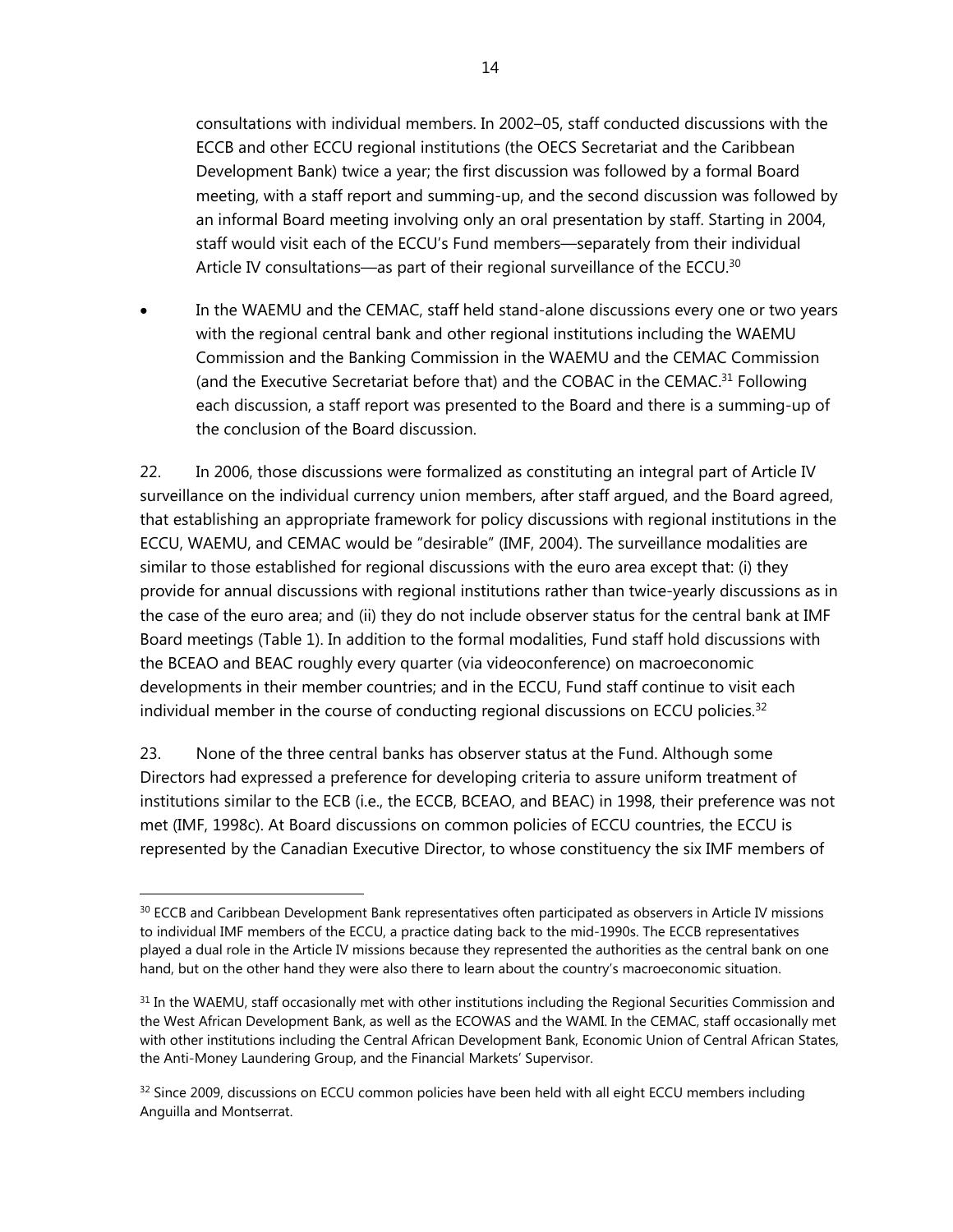consultations with individual members. In 2002–05, staff conducted discussions with the ECCB and other ECCU regional institutions (the OECS Secretariat and the Caribbean Development Bank) twice a year; the first discussion was followed by a formal Board meeting, with a staff report and summing-up, and the second discussion was followed by an informal Board meeting involving only an oral presentation by staff. Starting in 2004, staff would visit each of the ECCU's Fund members—separately from their individual Article IV consultations—as part of their regional surveillance of the ECCU.<sup>30</sup>

 In the WAEMU and the CEMAC, staff held stand-alone discussions every one or two years with the regional central bank and other regional institutions including the WAEMU Commission and the Banking Commission in the WAEMU and the CEMAC Commission (and the Executive Secretariat before that) and the COBAC in the CEMAC.<sup>31</sup> Following each discussion, a staff report was presented to the Board and there is a summing-up of the conclusion of the Board discussion.

22. In 2006, those discussions were formalized as constituting an integral part of Article IV surveillance on the individual currency union members, after staff argued, and the Board agreed, that establishing an appropriate framework for policy discussions with regional institutions in the ECCU, WAEMU, and CEMAC would be "desirable" (IMF, 2004). The surveillance modalities are similar to those established for regional discussions with the euro area except that: (i) they provide for annual discussions with regional institutions rather than twice-yearly discussions as in the case of the euro area; and (ii) they do not include observer status for the central bank at IMF Board meetings (Table 1). In addition to the formal modalities, Fund staff hold discussions with the BCEAO and BEAC roughly every quarter (via videoconference) on macroeconomic developments in their member countries; and in the ECCU, Fund staff continue to visit each individual member in the course of conducting regional discussions on ECCU policies.<sup>32</sup>

23. None of the three central banks has observer status at the Fund. Although some Directors had expressed a preference for developing criteria to assure uniform treatment of institutions similar to the ECB (i.e., the ECCB, BCEAO, and BEAC) in 1998, their preference was not met (IMF, 1998c). At Board discussions on common policies of ECCU countries, the ECCU is represented by the Canadian Executive Director, to whose constituency the six IMF members of

<sup>&</sup>lt;sup>30</sup> ECCB and Caribbean Development Bank representatives often participated as observers in Article IV missions to individual IMF members of the ECCU, a practice dating back to the mid-1990s. The ECCB representatives played a dual role in the Article IV missions because they represented the authorities as the central bank on one hand, but on the other hand they were also there to learn about the country's macroeconomic situation.

 $31$  In the WAEMU, staff occasionally met with other institutions including the Regional Securities Commission and the West African Development Bank, as well as the ECOWAS and the WAMI. In the CEMAC, staff occasionally met with other institutions including the Central African Development Bank, Economic Union of Central African States, the Anti-Money Laundering Group, and the Financial Markets' Supervisor.

 $32$  Since 2009, discussions on ECCU common policies have been held with all eight ECCU members including Anguilla and Montserrat.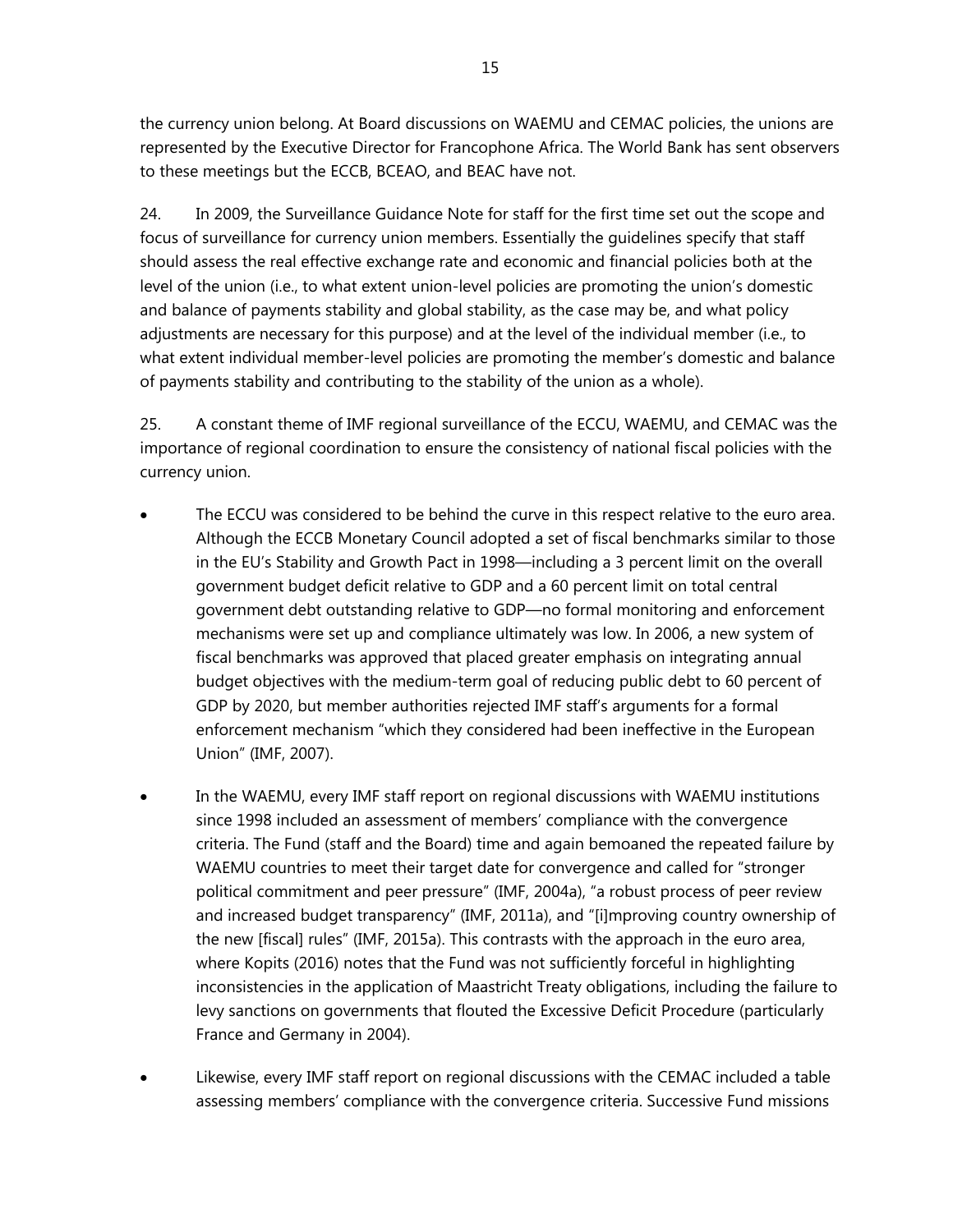the currency union belong. At Board discussions on WAEMU and CEMAC policies, the unions are represented by the Executive Director for Francophone Africa. The World Bank has sent observers to these meetings but the ECCB, BCEAO, and BEAC have not.

24. In 2009, the Surveillance Guidance Note for staff for the first time set out the scope and focus of surveillance for currency union members. Essentially the guidelines specify that staff should assess the real effective exchange rate and economic and financial policies both at the level of the union (i.e., to what extent union-level policies are promoting the union's domestic and balance of payments stability and global stability, as the case may be, and what policy adjustments are necessary for this purpose) and at the level of the individual member (i.e., to what extent individual member-level policies are promoting the member's domestic and balance of payments stability and contributing to the stability of the union as a whole).

25. A constant theme of IMF regional surveillance of the ECCU, WAEMU, and CEMAC was the importance of regional coordination to ensure the consistency of national fiscal policies with the currency union.

- The ECCU was considered to be behind the curve in this respect relative to the euro area. Although the ECCB Monetary Council adopted a set of fiscal benchmarks similar to those in the EU's Stability and Growth Pact in 1998—including a 3 percent limit on the overall government budget deficit relative to GDP and a 60 percent limit on total central government debt outstanding relative to GDP—no formal monitoring and enforcement mechanisms were set up and compliance ultimately was low. In 2006, a new system of fiscal benchmarks was approved that placed greater emphasis on integrating annual budget objectives with the medium-term goal of reducing public debt to 60 percent of GDP by 2020, but member authorities rejected IMF staff's arguments for a formal enforcement mechanism "which they considered had been ineffective in the European Union" (IMF, 2007).
- In the WAEMU, every IMF staff report on regional discussions with WAEMU institutions since 1998 included an assessment of members' compliance with the convergence criteria. The Fund (staff and the Board) time and again bemoaned the repeated failure by WAEMU countries to meet their target date for convergence and called for "stronger political commitment and peer pressure" (IMF, 2004a), "a robust process of peer review and increased budget transparency" (IMF, 2011a), and "[i]mproving country ownership of the new [fiscal] rules" (IMF, 2015a). This contrasts with the approach in the euro area, where Kopits (2016) notes that the Fund was not sufficiently forceful in highlighting inconsistencies in the application of Maastricht Treaty obligations, including the failure to levy sanctions on governments that flouted the Excessive Deficit Procedure (particularly France and Germany in 2004).
- Likewise, every IMF staff report on regional discussions with the CEMAC included a table assessing members' compliance with the convergence criteria. Successive Fund missions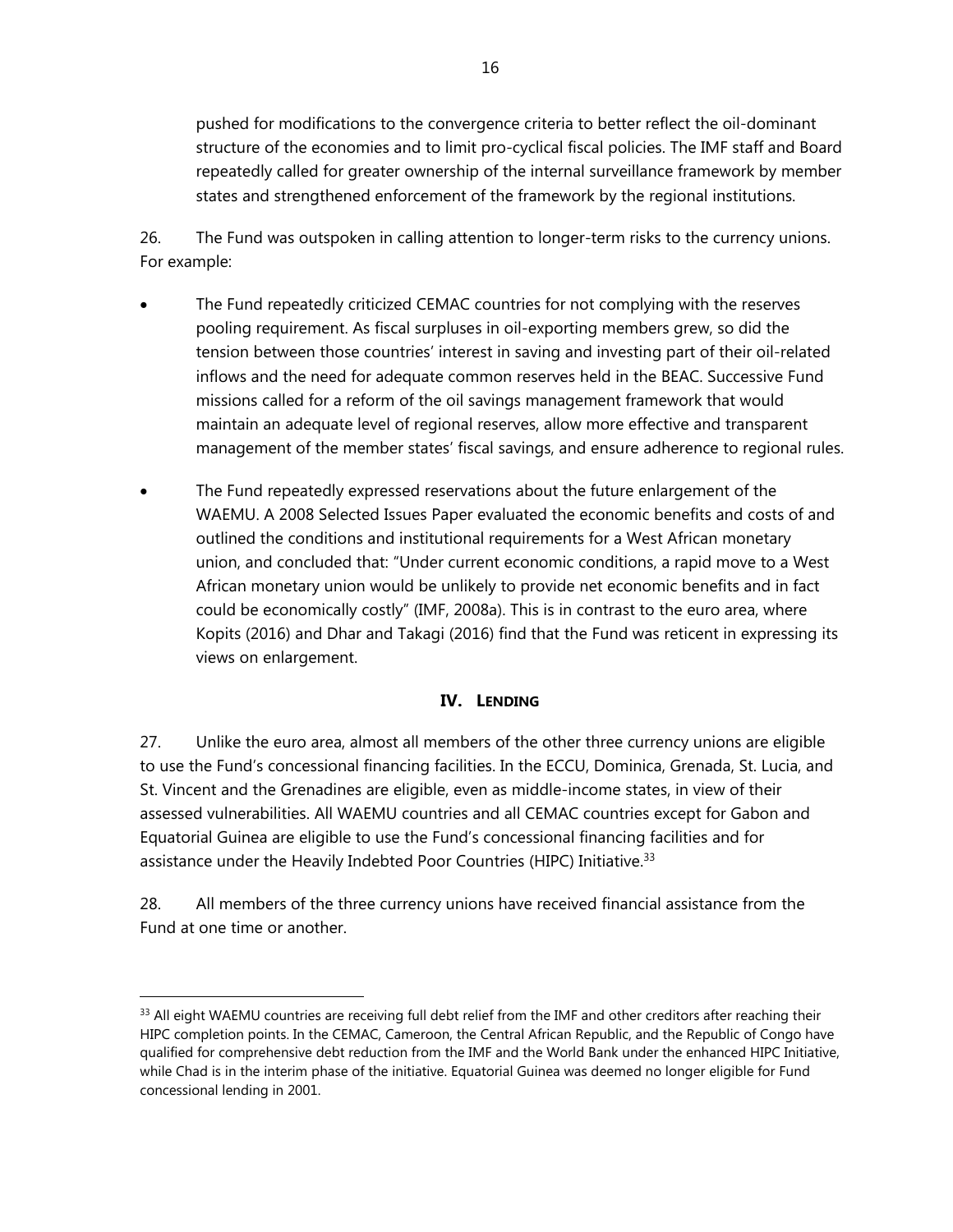pushed for modifications to the convergence criteria to better reflect the oil-dominant structure of the economies and to limit pro-cyclical fiscal policies. The IMF staff and Board repeatedly called for greater ownership of the internal surveillance framework by member states and strengthened enforcement of the framework by the regional institutions.

26. The Fund was outspoken in calling attention to longer-term risks to the currency unions. For example:

- The Fund repeatedly criticized CEMAC countries for not complying with the reserves pooling requirement. As fiscal surpluses in oil-exporting members grew, so did the tension between those countries' interest in saving and investing part of their oil-related inflows and the need for adequate common reserves held in the BEAC. Successive Fund missions called for a reform of the oil savings management framework that would maintain an adequate level of regional reserves, allow more effective and transparent management of the member states' fiscal savings, and ensure adherence to regional rules.
- The Fund repeatedly expressed reservations about the future enlargement of the WAEMU. A 2008 Selected Issues Paper evaluated the economic benefits and costs of and outlined the conditions and institutional requirements for a West African monetary union, and concluded that: "Under current economic conditions, a rapid move to a West African monetary union would be unlikely to provide net economic benefits and in fact could be economically costly" (IMF, 2008a). This is in contrast to the euro area, where Kopits (2016) and Dhar and Takagi (2016) find that the Fund was reticent in expressing its views on enlargement.

# **IV. LENDING**

27. Unlike the euro area, almost all members of the other three currency unions are eligible to use the Fund's concessional financing facilities. In the ECCU, Dominica, Grenada, St. Lucia, and St. Vincent and the Grenadines are eligible, even as middle-income states, in view of their assessed vulnerabilities. All WAEMU countries and all CEMAC countries except for Gabon and Equatorial Guinea are eligible to use the Fund's concessional financing facilities and for assistance under the Heavily Indebted Poor Countries (HIPC) Initiative.<sup>33</sup>

28. All members of the three currency unions have received financial assistance from the Fund at one time or another.

<sup>&</sup>lt;sup>33</sup> All eight WAEMU countries are receiving full debt relief from the IMF and other creditors after reaching their HIPC completion points. In the CEMAC, Cameroon, the Central African Republic, and the Republic of Congo have qualified for comprehensive debt reduction from the IMF and the World Bank under the enhanced HIPC Initiative, while Chad is in the interim phase of the initiative. Equatorial Guinea was deemed no longer eligible for Fund concessional lending in 2001.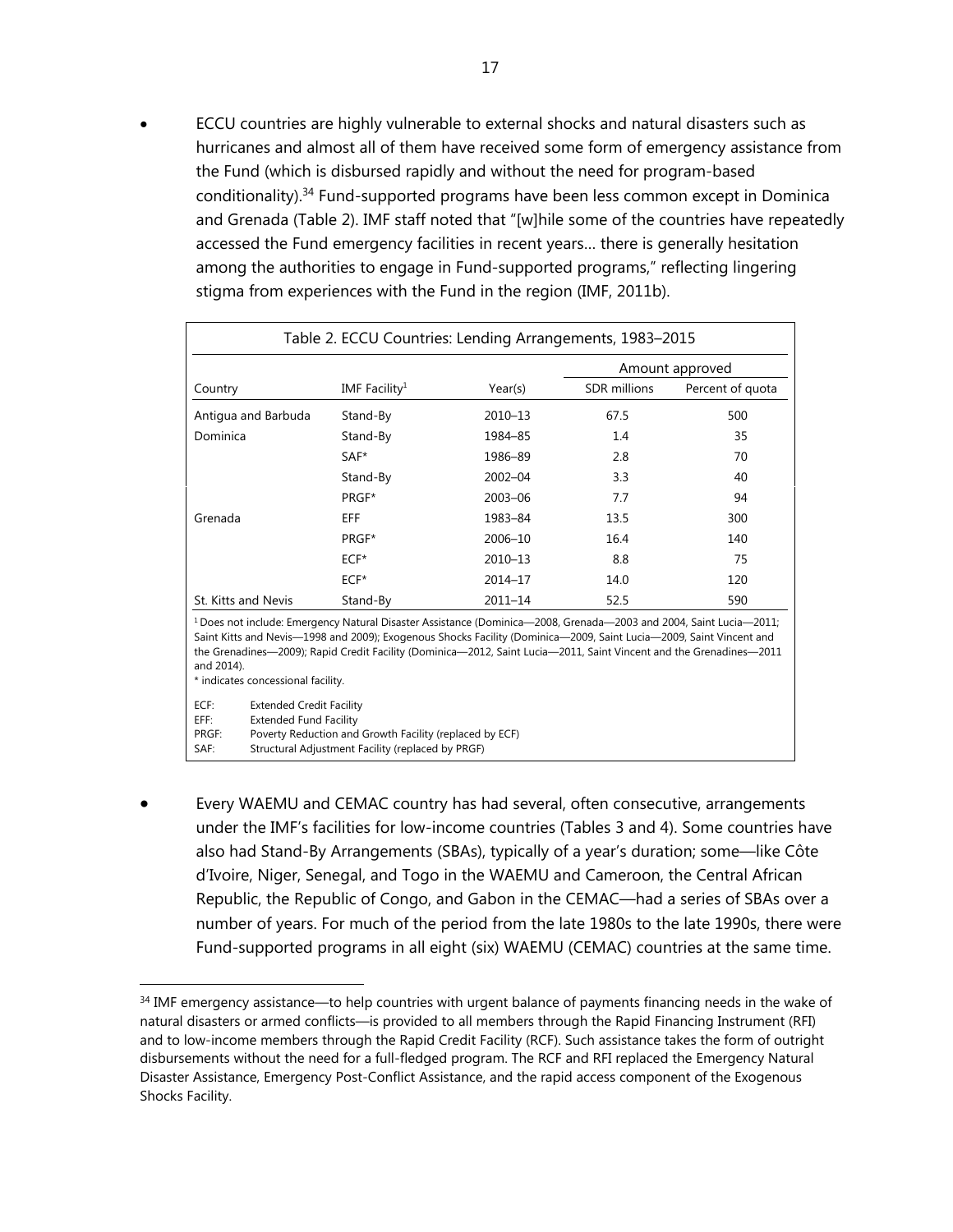ECCU countries are highly vulnerable to external shocks and natural disasters such as hurricanes and almost all of them have received some form of emergency assistance from the Fund (which is disbursed rapidly and without the need for program-based conditionality).34 Fund-supported programs have been less common except in Dominica and Grenada (Table 2). IMF staff noted that "[w]hile some of the countries have repeatedly accessed the Fund emergency facilities in recent years… there is generally hesitation among the authorities to engage in Fund-supported programs," reflecting lingering stigma from experiences with the Fund in the region (IMF, 2011b).

| Table 2. ECCU Countries: Lending Arrangements, 1983–2015                                                                                                                                                                                                                                                                                                                                  |                           |             |                     |                  |
|-------------------------------------------------------------------------------------------------------------------------------------------------------------------------------------------------------------------------------------------------------------------------------------------------------------------------------------------------------------------------------------------|---------------------------|-------------|---------------------|------------------|
|                                                                                                                                                                                                                                                                                                                                                                                           |                           |             | Amount approved     |                  |
| Country                                                                                                                                                                                                                                                                                                                                                                                   | IMF Facility <sup>1</sup> | Year(s)     | <b>SDR</b> millions | Percent of quota |
| Antigua and Barbuda                                                                                                                                                                                                                                                                                                                                                                       | Stand-By                  | 2010-13     | 67.5                | 500              |
| Dominica                                                                                                                                                                                                                                                                                                                                                                                  | Stand-By                  | 1984-85     | 1.4                 | 35               |
|                                                                                                                                                                                                                                                                                                                                                                                           | $SAF^*$                   | 1986-89     | 2.8                 | 70               |
|                                                                                                                                                                                                                                                                                                                                                                                           | Stand-By                  | $2002 - 04$ | 3.3                 | 40               |
|                                                                                                                                                                                                                                                                                                                                                                                           | PRGF*                     | 2003-06     | 7.7                 | 94               |
| Grenada                                                                                                                                                                                                                                                                                                                                                                                   | EFF                       | 1983-84     | 13.5                | 300              |
|                                                                                                                                                                                                                                                                                                                                                                                           | PRGF*                     | 2006-10     | 16.4                | 140              |
|                                                                                                                                                                                                                                                                                                                                                                                           | $ECF*$                    | $2010 - 13$ | 8.8                 | 75               |
|                                                                                                                                                                                                                                                                                                                                                                                           | $ECF*$                    | 2014-17     | 14.0                | 120              |
| St. Kitts and Nevis                                                                                                                                                                                                                                                                                                                                                                       | Stand-By                  | $2011 - 14$ | 52.5                | 590              |
| <sup>1</sup> Does not include: Emergency Natural Disaster Assistance (Dominica-2008, Grenada-2003 and 2004, Saint Lucia-2011;<br>Saint Kitts and Nevis—1998 and 2009); Exogenous Shocks Facility (Dominica—2009, Saint Lucia—2009, Saint Vincent and<br>the Grenadines-2009); Rapid Credit Facility (Dominica-2012, Saint Lucia-2011, Saint Vincent and the Grenadines-2011<br>and 2014). |                           |             |                     |                  |

\* indicates concessional facility.

 $\overline{a}$ 

| ECF:  | <b>Extended Credit Facility</b>                         |
|-------|---------------------------------------------------------|
| EFF:  | <b>Extended Fund Facility</b>                           |
| PRGF: | Poverty Reduction and Growth Facility (replaced by ECF) |
| SAF:  | Structural Adjustment Facility (replaced by PRGF)       |

 Every WAEMU and CEMAC country has had several, often consecutive, arrangements under the IMF's facilities for low-income countries (Tables 3 and 4). Some countries have also had Stand-By Arrangements (SBAs), typically of a year's duration; some—like Côte d'Ivoire, Niger, Senegal, and Togo in the WAEMU and Cameroon, the Central African Republic, the Republic of Congo, and Gabon in the CEMAC—had a series of SBAs over a number of years. For much of the period from the late 1980s to the late 1990s, there were Fund-supported programs in all eight (six) WAEMU (CEMAC) countries at the same time.

<sup>&</sup>lt;sup>34</sup> IMF emergency assistance—to help countries with urgent balance of payments financing needs in the wake of natural disasters or armed conflicts—is provided to all members through the Rapid Financing Instrument (RFI) and to low-income members through the Rapid Credit Facility (RCF). Such assistance takes the form of outright disbursements without the need for a full-fledged program. The RCF and RFI replaced the Emergency Natural Disaster Assistance, Emergency Post-Conflict Assistance, and the rapid access component of the Exogenous Shocks Facility.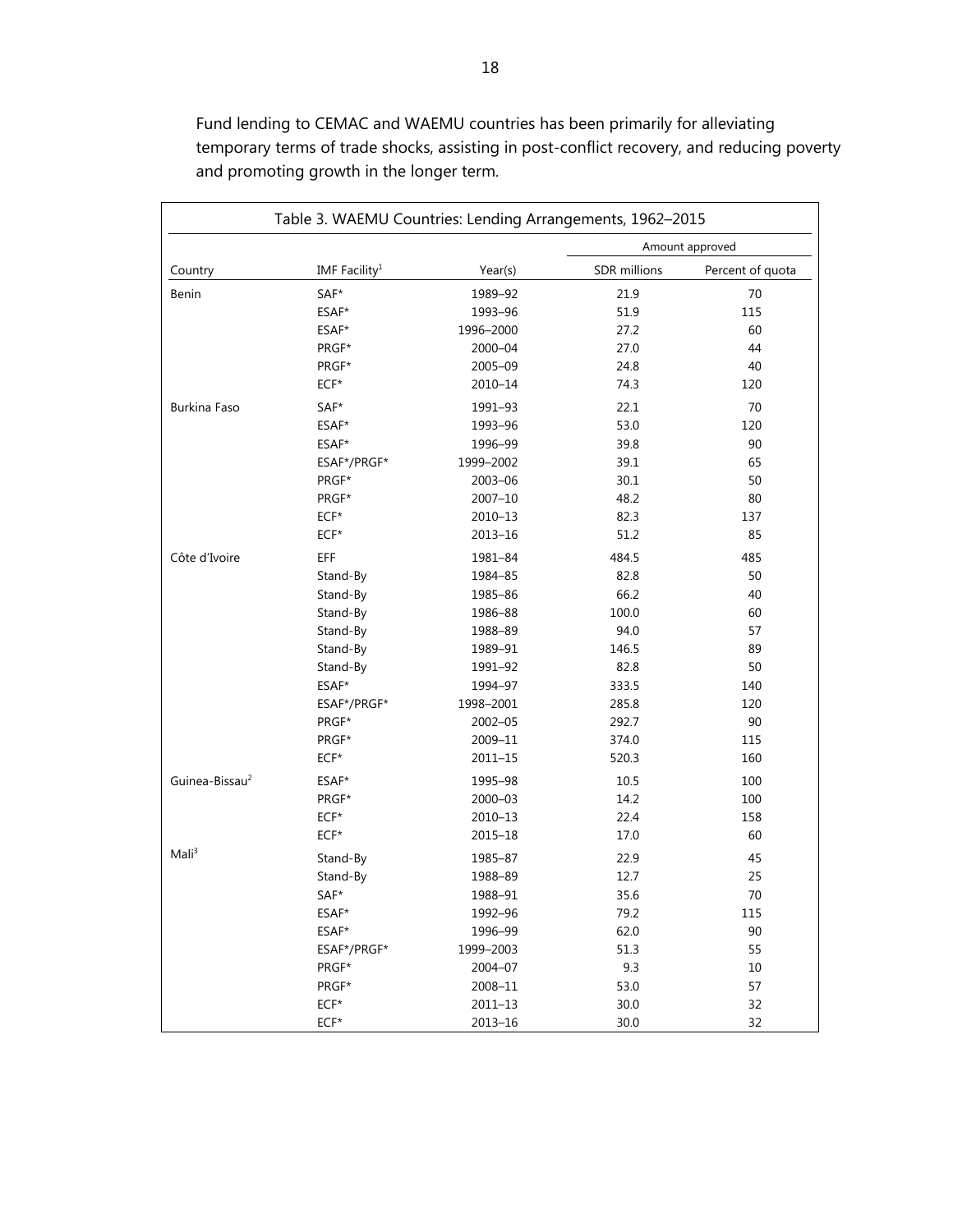Table 3. WAEMU Countries: Lending Arrangements, 1962–2015 Amount approved Country **IMF Facility**<sup>1</sup> Year(s) SDR millions Percent of quota Benin SAF\* 1989–92 21.9 70 ESAF\* 1993–96 51.9 115 ESAF\* 1996–2000 27.2 60 PRGF\* 2000–04 27.0 27.0 44  $PRGF^*$  2005–09 24.8 40 ECF\* 2010–14 74.3 120 Burkina Faso SAF\* 1991–93 22.1 70  $ESAF*$  1993–96 53.0 120  $ESAF*$  1996–99 39.8 90 ESAF\*/PRGF\* 1999–2002 39.1 65  $PRGF*$  2003–06 30.1 50 PRGF\* 2007–10 48.2 80 ECF\* 2010–13 82.3 137 ECF\* 2013–16 51.2 85 Côte d'Ivoire EFF 1981–84 484.5 485 Stand-By 1984–85 82.8 50 Stand-By 1985–86 66.2 40 Stand-By 1986–88 100.0 60 Stand-By 1988–89 94.0 57 Stand-By 1989–91 146.5 89 Stand-By 1991–92 82.8 50 ESAF\* 1994–97 333.5 140 ESAF\*/PRGF\* 1998–2001 285.8 120 **PRGF\*** 2002–05 2002–292.7 90 PRGF\* 2009–11 374.0 115 ECF\* 2011–15 520.3 160 Guinea-Bissau2 ESAF\* 1995–98 10.5 100 PRGF\* 2000–03 14.2 100 ECF\* 2010–13 22.4 158 ECF\* 2015–18 17.0 60 Mali<sup>3</sup> Stand-By 1985–87 22.9 45 Stand-By 1988–89 12.7 25  $SAF^*$  1988–91 35.6 70 ESAF\* 1992–96 79.2 115 ESAF\* 1996–99 62.0 90 ESAF\*/PRGF\* 1999–2003 51.3 55 PRGF\* 2004–07 9.3 10 **PRGF\*** 2008–11 53.0 57 ECF\* 2011–13 30.0 32 ECF\* 2013–16 30.0 32

Fund lending to CEMAC and WAEMU countries has been primarily for alleviating temporary terms of trade shocks, assisting in post-conflict recovery, and reducing poverty and promoting growth in the longer term.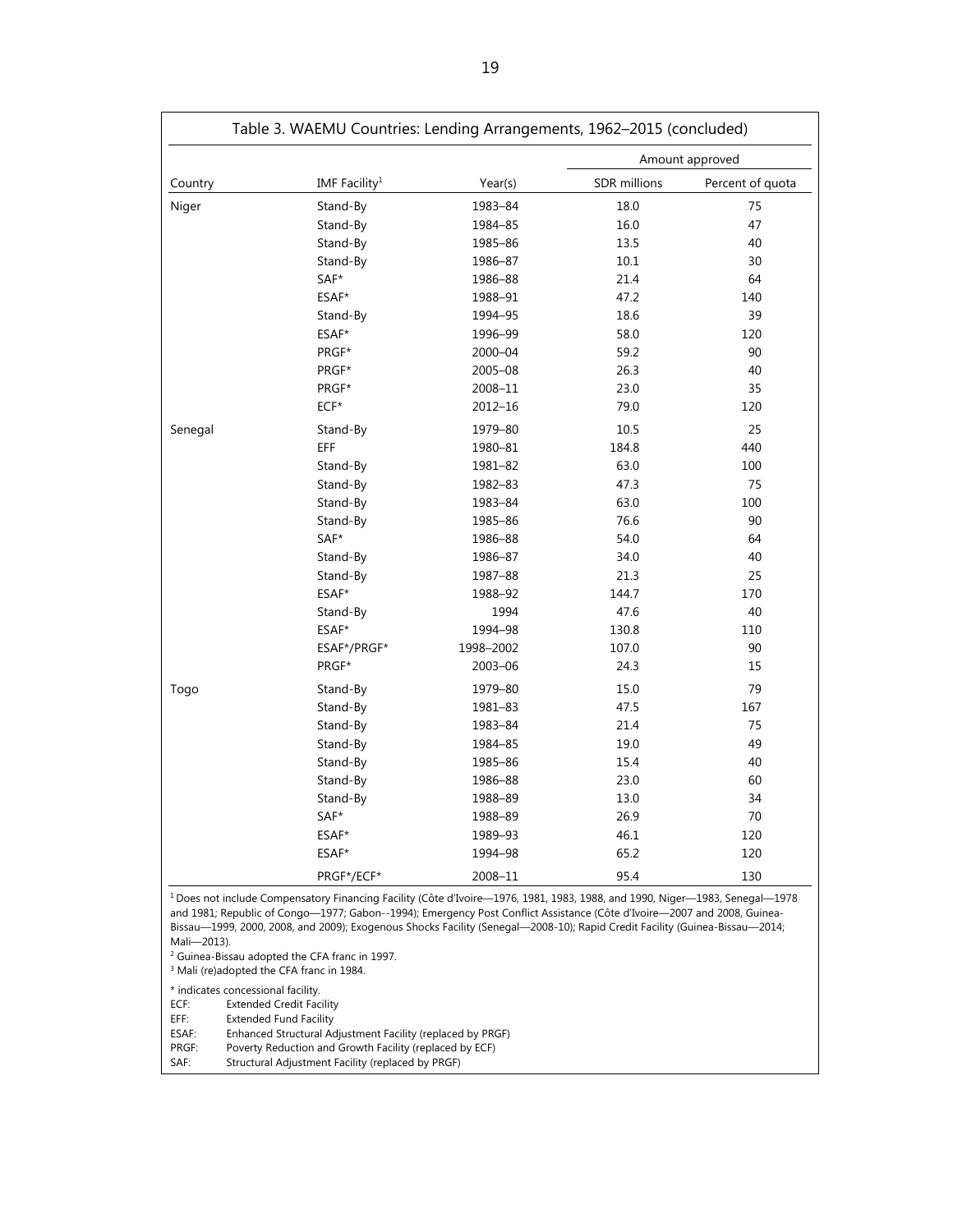|                                                                                                                                                                                                                                                                                                                                                                                                    |                           |           | Amount approved |                  |  |
|----------------------------------------------------------------------------------------------------------------------------------------------------------------------------------------------------------------------------------------------------------------------------------------------------------------------------------------------------------------------------------------------------|---------------------------|-----------|-----------------|------------------|--|
| Country                                                                                                                                                                                                                                                                                                                                                                                            | IMF Facility <sup>1</sup> | Year(s)   | SDR millions    | Percent of quota |  |
| Niger                                                                                                                                                                                                                                                                                                                                                                                              | Stand-By                  | 1983-84   | 18.0            | 75               |  |
|                                                                                                                                                                                                                                                                                                                                                                                                    | Stand-By                  | 1984-85   | 16.0            | 47               |  |
|                                                                                                                                                                                                                                                                                                                                                                                                    | Stand-By                  | 1985-86   | 13.5            | 40               |  |
|                                                                                                                                                                                                                                                                                                                                                                                                    | Stand-By                  | 1986-87   | $10.1\,$        | 30               |  |
|                                                                                                                                                                                                                                                                                                                                                                                                    | SAF*                      | 1986-88   | 21.4            | 64               |  |
|                                                                                                                                                                                                                                                                                                                                                                                                    | ESAF*                     | 1988-91   | 47.2            | 140              |  |
|                                                                                                                                                                                                                                                                                                                                                                                                    | Stand-By                  | 1994-95   | 18.6            | 39               |  |
|                                                                                                                                                                                                                                                                                                                                                                                                    | ESAF*                     | 1996-99   | 58.0            | 120              |  |
|                                                                                                                                                                                                                                                                                                                                                                                                    | PRGF*                     | 2000-04   | 59.2            | 90               |  |
|                                                                                                                                                                                                                                                                                                                                                                                                    | PRGF*                     | 2005-08   | 26.3            | 40               |  |
|                                                                                                                                                                                                                                                                                                                                                                                                    | PRGF*                     | 2008-11   | 23.0            | 35               |  |
|                                                                                                                                                                                                                                                                                                                                                                                                    | $ECF*$                    | 2012-16   | 79.0            | 120              |  |
| Senegal                                                                                                                                                                                                                                                                                                                                                                                            | Stand-By                  | 1979-80   | 10.5            | 25               |  |
|                                                                                                                                                                                                                                                                                                                                                                                                    | EFF                       | 1980-81   | 184.8           | 440              |  |
|                                                                                                                                                                                                                                                                                                                                                                                                    | Stand-By                  | 1981-82   | 63.0            | 100              |  |
|                                                                                                                                                                                                                                                                                                                                                                                                    | Stand-By                  | 1982-83   | 47.3            | 75               |  |
|                                                                                                                                                                                                                                                                                                                                                                                                    | Stand-By                  | 1983-84   | 63.0            | 100              |  |
|                                                                                                                                                                                                                                                                                                                                                                                                    | Stand-By                  | 1985-86   | 76.6            | 90               |  |
|                                                                                                                                                                                                                                                                                                                                                                                                    | SAF*                      | 1986-88   | 54.0            | 64               |  |
|                                                                                                                                                                                                                                                                                                                                                                                                    | Stand-By                  | 1986-87   | 34.0            | 40               |  |
|                                                                                                                                                                                                                                                                                                                                                                                                    | Stand-By                  | 1987-88   | 21.3            | 25               |  |
|                                                                                                                                                                                                                                                                                                                                                                                                    | ESAF*                     | 1988-92   | 144.7           | 170              |  |
|                                                                                                                                                                                                                                                                                                                                                                                                    | Stand-By                  | 1994      | 47.6            | 40               |  |
|                                                                                                                                                                                                                                                                                                                                                                                                    | ESAF*                     | 1994-98   | 130.8           | 110              |  |
|                                                                                                                                                                                                                                                                                                                                                                                                    | ESAF*/PRGF*               | 1998-2002 | 107.0           | 90               |  |
|                                                                                                                                                                                                                                                                                                                                                                                                    | PRGF*                     | 2003-06   | 24.3            | 15               |  |
| Togo                                                                                                                                                                                                                                                                                                                                                                                               | Stand-By                  | 1979-80   | 15.0            | 79               |  |
|                                                                                                                                                                                                                                                                                                                                                                                                    | Stand-By                  | 1981-83   | 47.5            | 167              |  |
|                                                                                                                                                                                                                                                                                                                                                                                                    | Stand-By                  | 1983-84   | 21.4            | 75               |  |
|                                                                                                                                                                                                                                                                                                                                                                                                    | Stand-By                  | 1984-85   | 19.0            | 49               |  |
|                                                                                                                                                                                                                                                                                                                                                                                                    | Stand-By                  | 1985-86   | 15.4            | 40               |  |
|                                                                                                                                                                                                                                                                                                                                                                                                    | Stand-By                  | 1986-88   | 23.0            | 60               |  |
|                                                                                                                                                                                                                                                                                                                                                                                                    | Stand-By                  | 1988-89   | 13.0            | 34               |  |
|                                                                                                                                                                                                                                                                                                                                                                                                    | SAF*                      | 1988-89   | 26.9            | 70               |  |
|                                                                                                                                                                                                                                                                                                                                                                                                    | ESAF*                     | 1989-93   | 46.1            | 120              |  |
|                                                                                                                                                                                                                                                                                                                                                                                                    | ESAF*                     | 1994-98   | 65.2            | 120              |  |
|                                                                                                                                                                                                                                                                                                                                                                                                    | PRGF*/ECF*                | 2008-11   | 95.4            | 130              |  |
| <sup>1</sup> Does not include Compensatory Financing Facility (Côte d'Ivoire-1976, 1981, 1983, 1988, and 1990, Niger-1983, Senegal-1978<br>and 1981; Republic of Congo-1977; Gabon--1994); Emergency Post Conflict Assistance (Côte d'Ivoire-2007 and 2008, Guinea-<br>Bissau—1999, 2000, 2008, and 2009); Exogenous Shocks Facility (Senegal—2008-10); Rapid Credit Facility (Guinea-Bissau—2014; |                           |           |                 |                  |  |

Mali—2013).

2 Guinea-Bissau adopted the CFA franc in 1997.

<sup>3</sup> Mali (re)adopted the CFA franc in 1984.

\* indicates concessional facility. ECF: Extended Credit Facility<br>EFF: Extended Fund Facility

EFF: Extended Fund Facility

ESAF: Enhanced Structural Adjustment Facility (replaced by PRGF)

PRGF: Poverty Reduction and Growth Facility (replaced by ECF)

SAF: Structural Adjustment Facility (replaced by PRGF)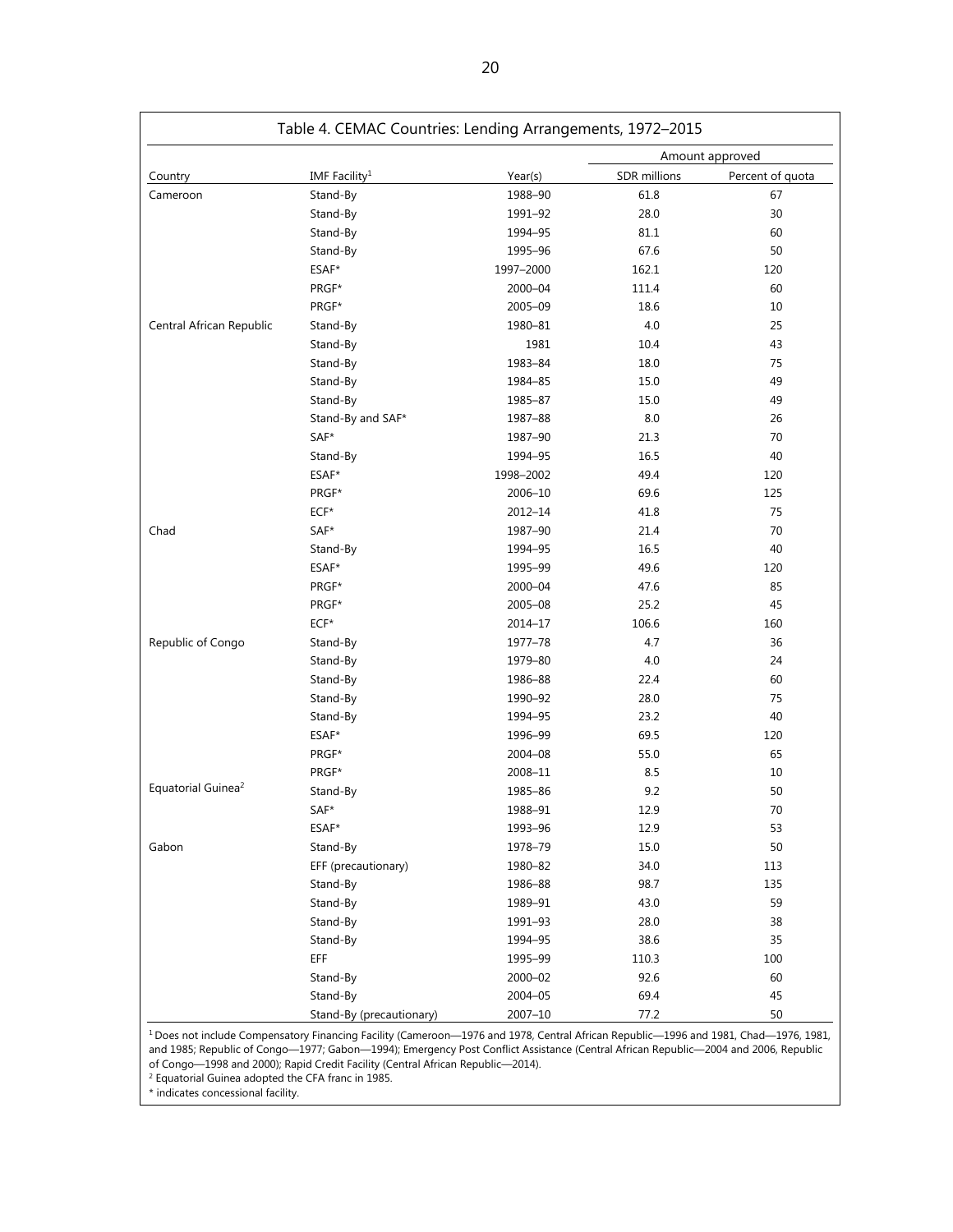| Table 4. CEMAC Countries: Lending Arrangements, 1972-2015 |                           |           |                 |                  |
|-----------------------------------------------------------|---------------------------|-----------|-----------------|------------------|
|                                                           |                           |           | Amount approved |                  |
| Country                                                   | IMF Facility <sup>1</sup> | Year(s)   | SDR millions    | Percent of quota |
| Cameroon                                                  | Stand-By                  | 1988-90   | 61.8            | 67               |
|                                                           | Stand-By                  | 1991-92   | 28.0            | 30               |
|                                                           | Stand-By                  | 1994-95   | 81.1            | 60               |
|                                                           | Stand-By                  | 1995-96   | 67.6            | 50               |
|                                                           | ESAF*                     | 1997-2000 | 162.1           | 120              |
|                                                           | PRGF*                     | 2000-04   | 111.4           | 60               |
|                                                           | PRGF*                     | 2005-09   | 18.6            | 10               |
| Central African Republic                                  | Stand-By                  | 1980-81   | 4.0             | 25               |
|                                                           | Stand-By                  | 1981      | 10.4            | 43               |
|                                                           | Stand-By                  | 1983-84   | 18.0            | 75               |
|                                                           | Stand-By                  | 1984-85   | 15.0            | 49               |
|                                                           | Stand-By                  | 1985-87   | 15.0            | 49               |
|                                                           | Stand-By and SAF*         | 1987-88   | 8.0             | 26               |
|                                                           | SAF*                      | 1987-90   | 21.3            | 70               |
|                                                           | Stand-By                  | 1994-95   | 16.5            | 40               |
|                                                           | ESAF*                     | 1998-2002 | 49.4            | 120              |
|                                                           | PRGF*                     | 2006-10   | 69.6            | 125              |
|                                                           | $ECF*$                    | 2012-14   | 41.8            | 75               |
| Chad                                                      | SAF*                      | 1987-90   | 21.4            | 70               |
|                                                           | Stand-By                  | 1994-95   | 16.5            | 40               |
|                                                           | ESAF*                     | 1995-99   | 49.6            | 120              |
|                                                           | PRGF*                     | 2000-04   | 47.6            | 85               |
|                                                           | PRGF*                     | 2005-08   | 25.2            | 45               |
|                                                           | $ECF*$                    | 2014-17   | 106.6           | 160              |
| Republic of Congo                                         | Stand-By                  | 1977-78   | 4.7             | 36               |
|                                                           | Stand-By                  | 1979-80   | 4.0             | 24               |
|                                                           | Stand-By                  | 1986-88   | 22.4            | 60               |
|                                                           | Stand-By                  | 1990-92   | 28.0            | 75               |
|                                                           | Stand-By                  | 1994-95   | 23.2            | 40               |
|                                                           | ESAF*                     | 1996-99   | 69.5            | 120              |
|                                                           | PRGF*                     | 2004-08   | 55.0            | 65               |
|                                                           | PRGF*                     | 2008-11   | 8.5             | 10               |
| Equatorial Guinea <sup>2</sup>                            | Stand-By                  | 1985-86   | 9.2             | 50               |
|                                                           | $SAF*$                    | 1988-91   | 12.9            | 70               |
|                                                           | ESAF*                     | 1993-96   | 12.9            | 53               |
| Gabon                                                     | Stand-By                  | 1978-79   | 15.0            | 50               |
|                                                           | EFF (precautionary)       | 1980-82   | 34.0            | 113              |
|                                                           | Stand-By                  | 1986-88   | 98.7            | 135              |
|                                                           | Stand-By                  | 1989-91   | 43.0            | 59               |
|                                                           | Stand-By                  | 1991-93   | 28.0            | 38               |
|                                                           | Stand-By                  | 1994-95   | 38.6            | 35               |
|                                                           | EFF                       | 1995-99   | 110.3           | 100              |
|                                                           | Stand-By                  | 2000-02   | 92.6            | 60               |
|                                                           | Stand-By                  | 2004-05   | 69.4            | 45               |
|                                                           | Stand-By (precautionary)  | 2007-10   | 77.2            | 50               |

1 Does not include Compensatory Financing Facility (Cameroon—1976 and 1978, Central African Republic—1996 and 1981, Chad—1976, 1981, and 1985; Republic of Congo—1977; Gabon—1994); Emergency Post Conflict Assistance (Central African Republic—2004 and 2006, Republic

of Congo—1998 and 2000); Rapid Credit Facility (Central African Republic—2014).<br><sup>2</sup> Equatorial Guinea adopted the CFA franc in 1985.

\* indicates concessional facility.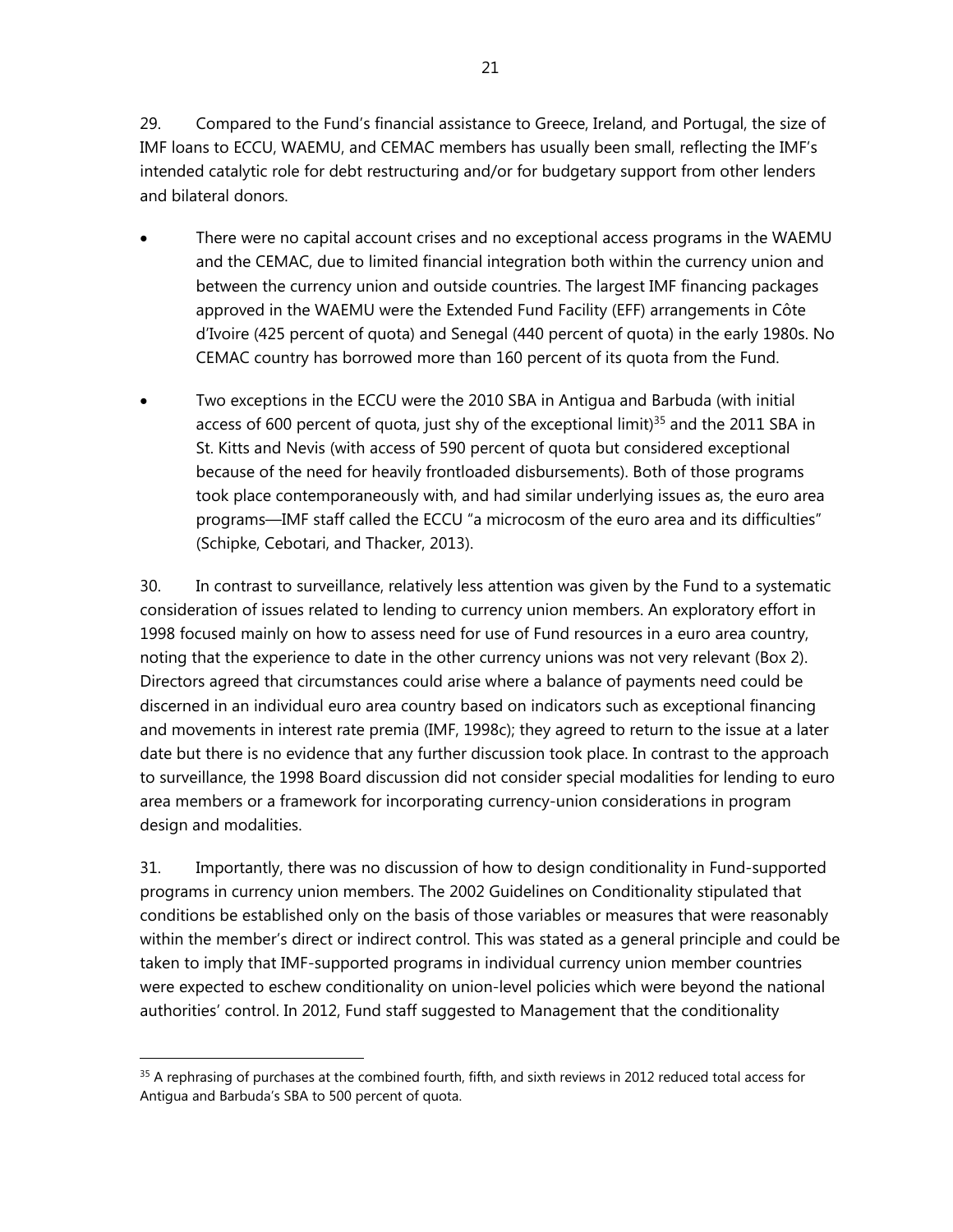29. Compared to the Fund's financial assistance to Greece, Ireland, and Portugal, the size of IMF loans to ECCU, WAEMU, and CEMAC members has usually been small, reflecting the IMF's intended catalytic role for debt restructuring and/or for budgetary support from other lenders and bilateral donors.

- There were no capital account crises and no exceptional access programs in the WAEMU and the CEMAC, due to limited financial integration both within the currency union and between the currency union and outside countries. The largest IMF financing packages approved in the WAEMU were the Extended Fund Facility (EFF) arrangements in Côte d'Ivoire (425 percent of quota) and Senegal (440 percent of quota) in the early 1980s. No CEMAC country has borrowed more than 160 percent of its quota from the Fund.
- Two exceptions in the ECCU were the 2010 SBA in Antigua and Barbuda (with initial access of 600 percent of quota, just shy of the exceptional limit)<sup>35</sup> and the 2011 SBA in St. Kitts and Nevis (with access of 590 percent of quota but considered exceptional because of the need for heavily frontloaded disbursements). Both of those programs took place contemporaneously with, and had similar underlying issues as, the euro area programs—IMF staff called the ECCU "a microcosm of the euro area and its difficulties" (Schipke, Cebotari, and Thacker, 2013).

30. In contrast to surveillance, relatively less attention was given by the Fund to a systematic consideration of issues related to lending to currency union members. An exploratory effort in 1998 focused mainly on how to assess need for use of Fund resources in a euro area country, noting that the experience to date in the other currency unions was not very relevant (Box 2). Directors agreed that circumstances could arise where a balance of payments need could be discerned in an individual euro area country based on indicators such as exceptional financing and movements in interest rate premia (IMF, 1998c); they agreed to return to the issue at a later date but there is no evidence that any further discussion took place. In contrast to the approach to surveillance, the 1998 Board discussion did not consider special modalities for lending to euro area members or a framework for incorporating currency-union considerations in program design and modalities.

31. Importantly, there was no discussion of how to design conditionality in Fund-supported programs in currency union members. The 2002 Guidelines on Conditionality stipulated that conditions be established only on the basis of those variables or measures that were reasonably within the member's direct or indirect control. This was stated as a general principle and could be taken to imply that IMF-supported programs in individual currency union member countries were expected to eschew conditionality on union-level policies which were beyond the national authorities' control. In 2012, Fund staff suggested to Management that the conditionality

<sup>&</sup>lt;sup>35</sup> A rephrasing of purchases at the combined fourth, fifth, and sixth reviews in 2012 reduced total access for Antigua and Barbuda's SBA to 500 percent of quota.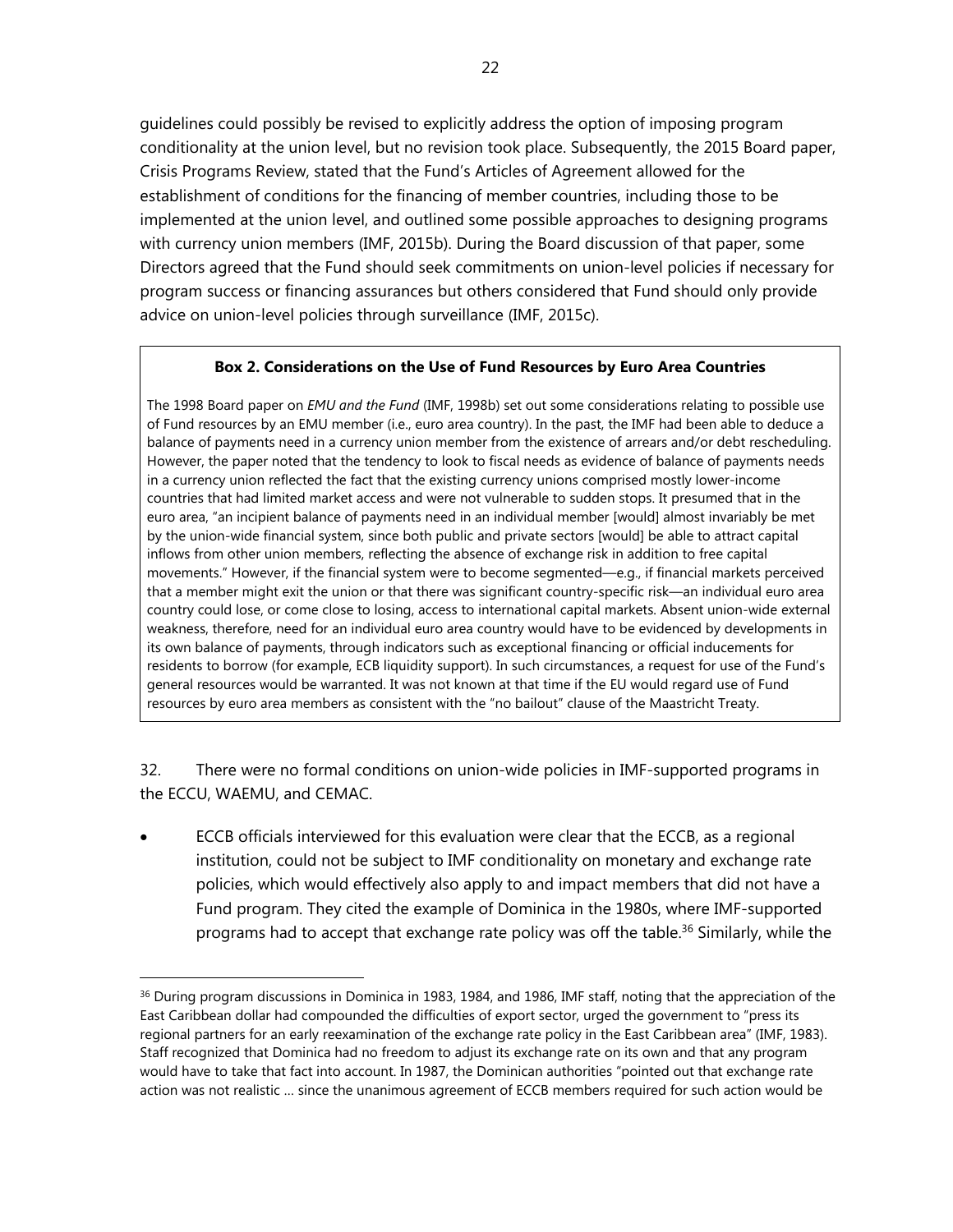guidelines could possibly be revised to explicitly address the option of imposing program conditionality at the union level, but no revision took place. Subsequently, the 2015 Board paper, Crisis Programs Review, stated that the Fund's Articles of Agreement allowed for the establishment of conditions for the financing of member countries, including those to be implemented at the union level, and outlined some possible approaches to designing programs with currency union members (IMF, 2015b). During the Board discussion of that paper, some Directors agreed that the Fund should seek commitments on union-level policies if necessary for program success or financing assurances but others considered that Fund should only provide advice on union-level policies through surveillance (IMF, 2015c).

## **Box 2. Considerations on the Use of Fund Resources by Euro Area Countries**

The 1998 Board paper on *EMU and the Fund* (IMF, 1998b) set out some considerations relating to possible use of Fund resources by an EMU member (i.e., euro area country). In the past, the IMF had been able to deduce a balance of payments need in a currency union member from the existence of arrears and/or debt rescheduling. However, the paper noted that the tendency to look to fiscal needs as evidence of balance of payments needs in a currency union reflected the fact that the existing currency unions comprised mostly lower-income countries that had limited market access and were not vulnerable to sudden stops. It presumed that in the euro area, "an incipient balance of payments need in an individual member [would] almost invariably be met by the union-wide financial system, since both public and private sectors [would] be able to attract capital inflows from other union members, reflecting the absence of exchange risk in addition to free capital movements." However, if the financial system were to become segmented—e.g., if financial markets perceived that a member might exit the union or that there was significant country-specific risk—an individual euro area country could lose, or come close to losing, access to international capital markets. Absent union-wide external weakness, therefore, need for an individual euro area country would have to be evidenced by developments in its own balance of payments, through indicators such as exceptional financing or official inducements for residents to borrow (for example, ECB liquidity support). In such circumstances, a request for use of the Fund's general resources would be warranted. It was not known at that time if the EU would regard use of Fund resources by euro area members as consistent with the "no bailout" clause of the Maastricht Treaty.

32. There were no formal conditions on union-wide policies in IMF-supported programs in the ECCU, WAEMU, and CEMAC.

 ECCB officials interviewed for this evaluation were clear that the ECCB, as a regional institution, could not be subject to IMF conditionality on monetary and exchange rate policies, which would effectively also apply to and impact members that did not have a Fund program. They cited the example of Dominica in the 1980s, where IMF-supported programs had to accept that exchange rate policy was off the table.<sup>36</sup> Similarly, while the

<sup>&</sup>lt;sup>36</sup> During program discussions in Dominica in 1983, 1984, and 1986, IMF staff, noting that the appreciation of the East Caribbean dollar had compounded the difficulties of export sector, urged the government to "press its regional partners for an early reexamination of the exchange rate policy in the East Caribbean area" (IMF, 1983). Staff recognized that Dominica had no freedom to adjust its exchange rate on its own and that any program would have to take that fact into account. In 1987, the Dominican authorities "pointed out that exchange rate action was not realistic … since the unanimous agreement of ECCB members required for such action would be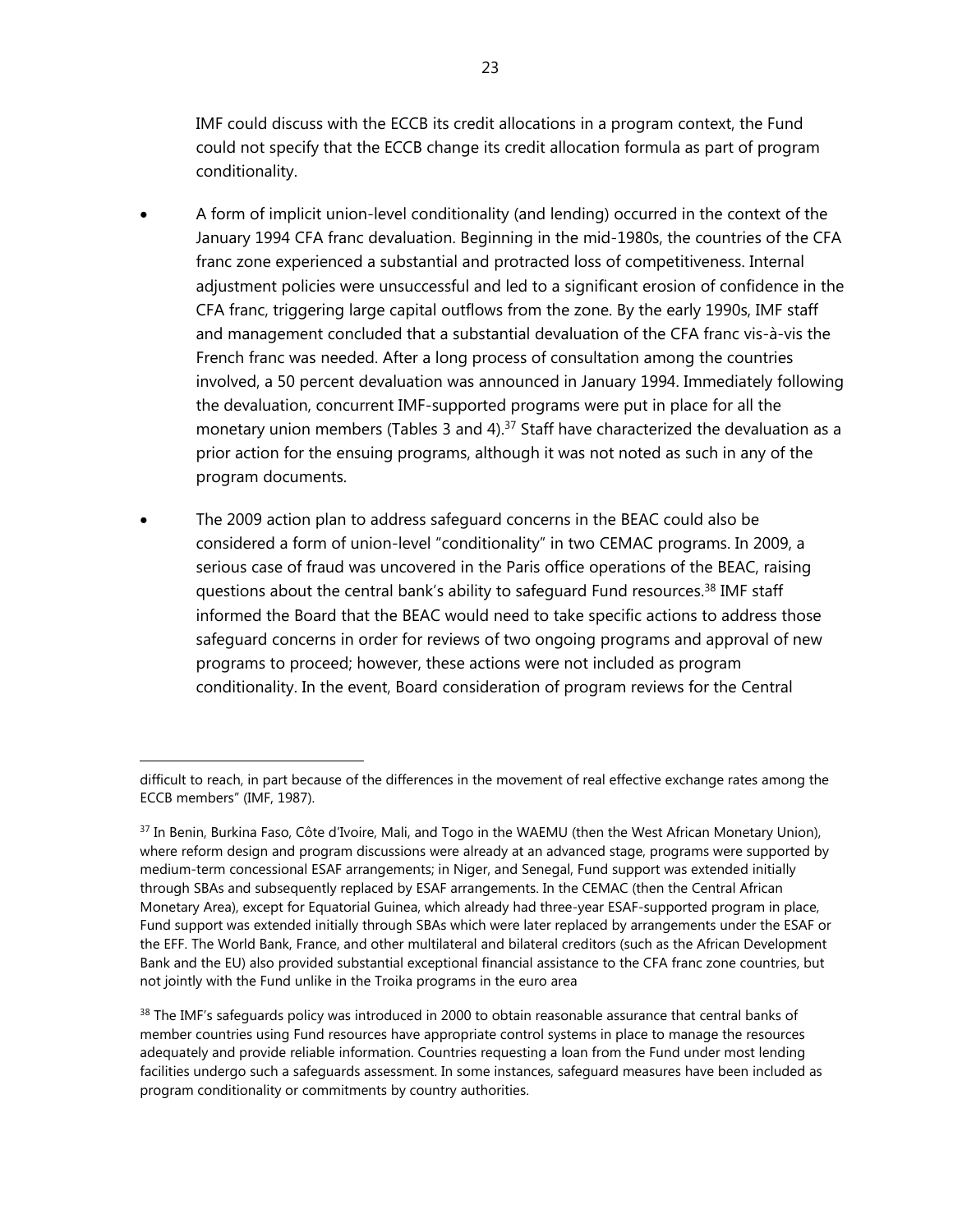IMF could discuss with the ECCB its credit allocations in a program context, the Fund could not specify that the ECCB change its credit allocation formula as part of program conditionality.

- A form of implicit union-level conditionality (and lending) occurred in the context of the January 1994 CFA franc devaluation. Beginning in the mid-1980s, the countries of the CFA franc zone experienced a substantial and protracted loss of competitiveness. Internal adjustment policies were unsuccessful and led to a significant erosion of confidence in the CFA franc, triggering large capital outflows from the zone. By the early 1990s, IMF staff and management concluded that a substantial devaluation of the CFA franc vis-à-vis the French franc was needed. After a long process of consultation among the countries involved, a 50 percent devaluation was announced in January 1994. Immediately following the devaluation, concurrent IMF-supported programs were put in place for all the monetary union members (Tables 3 and 4).<sup>37</sup> Staff have characterized the devaluation as a prior action for the ensuing programs, although it was not noted as such in any of the program documents.
- The 2009 action plan to address safeguard concerns in the BEAC could also be considered a form of union-level "conditionality" in two CEMAC programs. In 2009, a serious case of fraud was uncovered in the Paris office operations of the BEAC, raising questions about the central bank's ability to safeguard Fund resources.38 IMF staff informed the Board that the BEAC would need to take specific actions to address those safeguard concerns in order for reviews of two ongoing programs and approval of new programs to proceed; however, these actions were not included as program conditionality. In the event, Board consideration of program reviews for the Central

difficult to reach, in part because of the differences in the movement of real effective exchange rates among the ECCB members" (IMF, 1987).

<sup>37</sup> In Benin, Burkina Faso, Côte d'Ivoire, Mali, and Togo in the WAEMU (then the West African Monetary Union), where reform design and program discussions were already at an advanced stage, programs were supported by medium-term concessional ESAF arrangements; in Niger, and Senegal, Fund support was extended initially through SBAs and subsequently replaced by ESAF arrangements. In the CEMAC (then the Central African Monetary Area), except for Equatorial Guinea, which already had three-year ESAF-supported program in place, Fund support was extended initially through SBAs which were later replaced by arrangements under the ESAF or the EFF. The World Bank, France, and other multilateral and bilateral creditors (such as the African Development Bank and the EU) also provided substantial exceptional financial assistance to the CFA franc zone countries, but not jointly with the Fund unlike in the Troika programs in the euro area

<sup>&</sup>lt;sup>38</sup> The IMF's safeguards policy was introduced in 2000 to obtain reasonable assurance that central banks of member countries using Fund resources have appropriate control systems in place to manage the resources adequately and provide reliable information. Countries requesting a loan from the Fund under most lending facilities undergo such a safeguards assessment. In some instances, safeguard measures have been included as program conditionality or commitments by country authorities.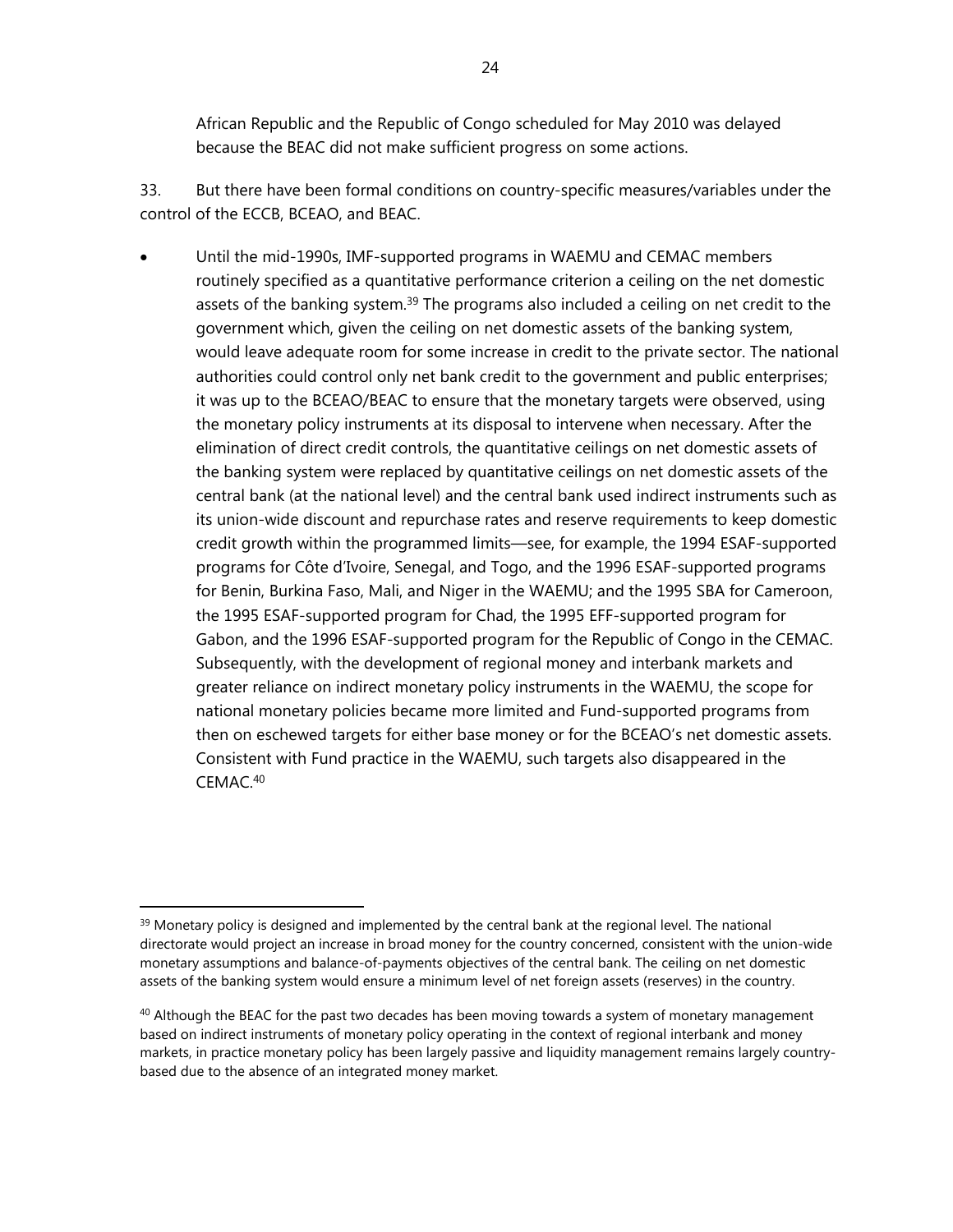African Republic and the Republic of Congo scheduled for May 2010 was delayed because the BEAC did not make sufficient progress on some actions.

33. But there have been formal conditions on country-specific measures/variables under the control of the ECCB, BCEAO, and BEAC.

 Until the mid-1990s, IMF-supported programs in WAEMU and CEMAC members routinely specified as a quantitative performance criterion a ceiling on the net domestic assets of the banking system.<sup>39</sup> The programs also included a ceiling on net credit to the government which, given the ceiling on net domestic assets of the banking system, would leave adequate room for some increase in credit to the private sector. The national authorities could control only net bank credit to the government and public enterprises; it was up to the BCEAO/BEAC to ensure that the monetary targets were observed, using the monetary policy instruments at its disposal to intervene when necessary. After the elimination of direct credit controls, the quantitative ceilings on net domestic assets of the banking system were replaced by quantitative ceilings on net domestic assets of the central bank (at the national level) and the central bank used indirect instruments such as its union-wide discount and repurchase rates and reserve requirements to keep domestic credit growth within the programmed limits—see, for example, the 1994 ESAF-supported programs for Côte d'Ivoire, Senegal, and Togo, and the 1996 ESAF-supported programs for Benin, Burkina Faso, Mali, and Niger in the WAEMU; and the 1995 SBA for Cameroon, the 1995 ESAF-supported program for Chad, the 1995 EFF-supported program for Gabon, and the 1996 ESAF-supported program for the Republic of Congo in the CEMAC. Subsequently, with the development of regional money and interbank markets and greater reliance on indirect monetary policy instruments in the WAEMU, the scope for national monetary policies became more limited and Fund-supported programs from then on eschewed targets for either base money or for the BCEAO's net domestic assets. Consistent with Fund practice in the WAEMU, such targets also disappeared in the CEMAC.40

 $39$  Monetary policy is designed and implemented by the central bank at the regional level. The national directorate would project an increase in broad money for the country concerned, consistent with the union-wide monetary assumptions and balance-of-payments objectives of the central bank. The ceiling on net domestic assets of the banking system would ensure a minimum level of net foreign assets (reserves) in the country.

 $40$  Although the BEAC for the past two decades has been moving towards a system of monetary management based on indirect instruments of monetary policy operating in the context of regional interbank and money markets, in practice monetary policy has been largely passive and liquidity management remains largely countrybased due to the absence of an integrated money market.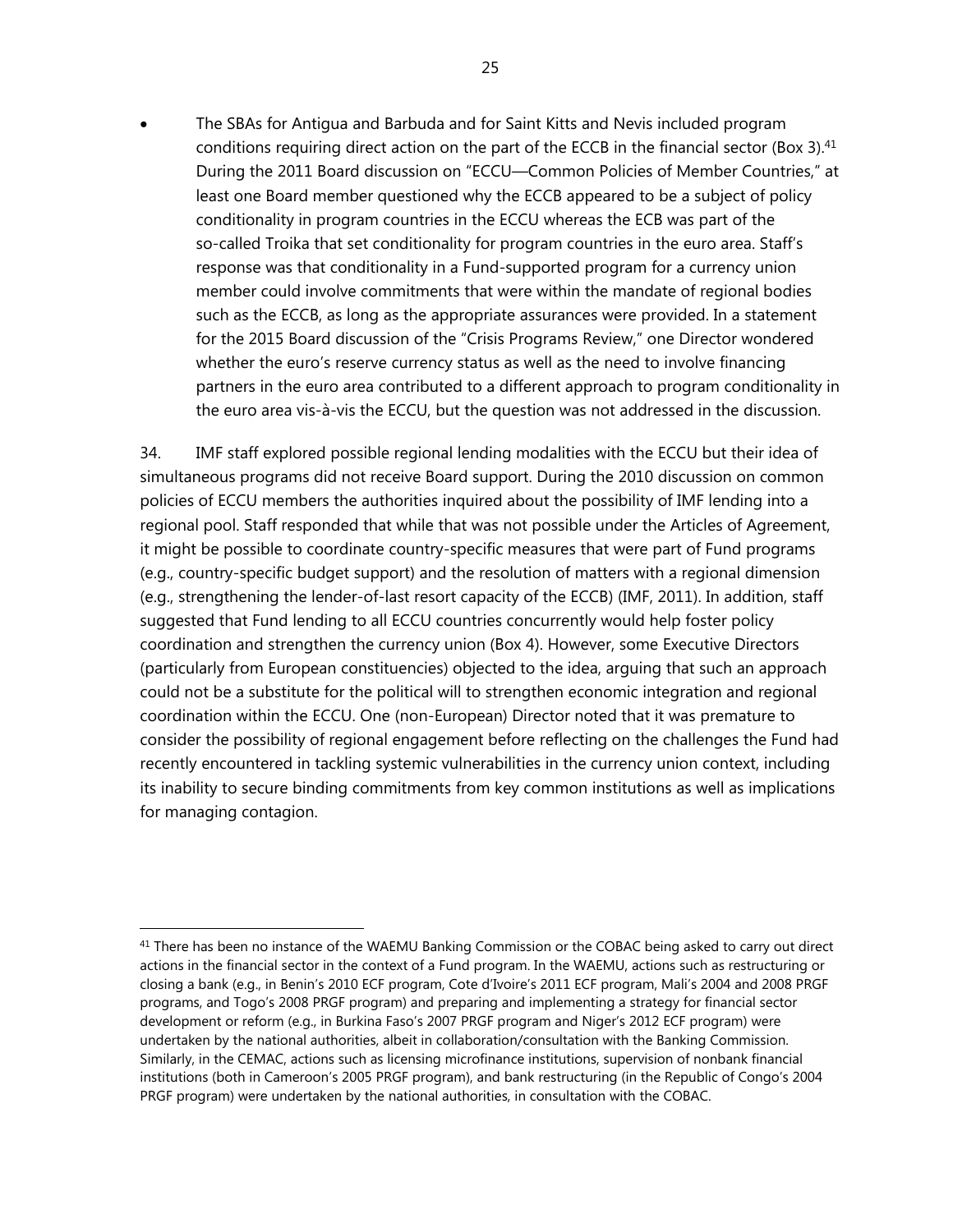The SBAs for Antigua and Barbuda and for Saint Kitts and Nevis included program conditions requiring direct action on the part of the ECCB in the financial sector (Box 3).<sup>41</sup> During the 2011 Board discussion on "ECCU—Common Policies of Member Countries," at least one Board member questioned why the ECCB appeared to be a subject of policy conditionality in program countries in the ECCU whereas the ECB was part of the so-called Troika that set conditionality for program countries in the euro area. Staff's response was that conditionality in a Fund-supported program for a currency union member could involve commitments that were within the mandate of regional bodies such as the ECCB, as long as the appropriate assurances were provided. In a statement for the 2015 Board discussion of the "Crisis Programs Review," one Director wondered whether the euro's reserve currency status as well as the need to involve financing partners in the euro area contributed to a different approach to program conditionality in the euro area vis-à-vis the ECCU, but the question was not addressed in the discussion.

34. IMF staff explored possible regional lending modalities with the ECCU but their idea of simultaneous programs did not receive Board support. During the 2010 discussion on common policies of ECCU members the authorities inquired about the possibility of IMF lending into a regional pool. Staff responded that while that was not possible under the Articles of Agreement, it might be possible to coordinate country-specific measures that were part of Fund programs (e.g., country-specific budget support) and the resolution of matters with a regional dimension (e.g., strengthening the lender-of-last resort capacity of the ECCB) (IMF, 2011). In addition, staff suggested that Fund lending to all ECCU countries concurrently would help foster policy coordination and strengthen the currency union (Box 4). However, some Executive Directors (particularly from European constituencies) objected to the idea, arguing that such an approach could not be a substitute for the political will to strengthen economic integration and regional coordination within the ECCU. One (non-European) Director noted that it was premature to consider the possibility of regional engagement before reflecting on the challenges the Fund had recently encountered in tackling systemic vulnerabilities in the currency union context, including its inability to secure binding commitments from key common institutions as well as implications for managing contagion.

 $41$  There has been no instance of the WAEMU Banking Commission or the COBAC being asked to carry out direct actions in the financial sector in the context of a Fund program. In the WAEMU, actions such as restructuring or closing a bank (e.g., in Benin's 2010 ECF program, Cote d'Ivoire's 2011 ECF program, Mali's 2004 and 2008 PRGF programs, and Togo's 2008 PRGF program) and preparing and implementing a strategy for financial sector development or reform (e.g., in Burkina Faso's 2007 PRGF program and Niger's 2012 ECF program) were undertaken by the national authorities, albeit in collaboration/consultation with the Banking Commission. Similarly, in the CEMAC, actions such as licensing microfinance institutions, supervision of nonbank financial institutions (both in Cameroon's 2005 PRGF program), and bank restructuring (in the Republic of Congo's 2004 PRGF program) were undertaken by the national authorities, in consultation with the COBAC.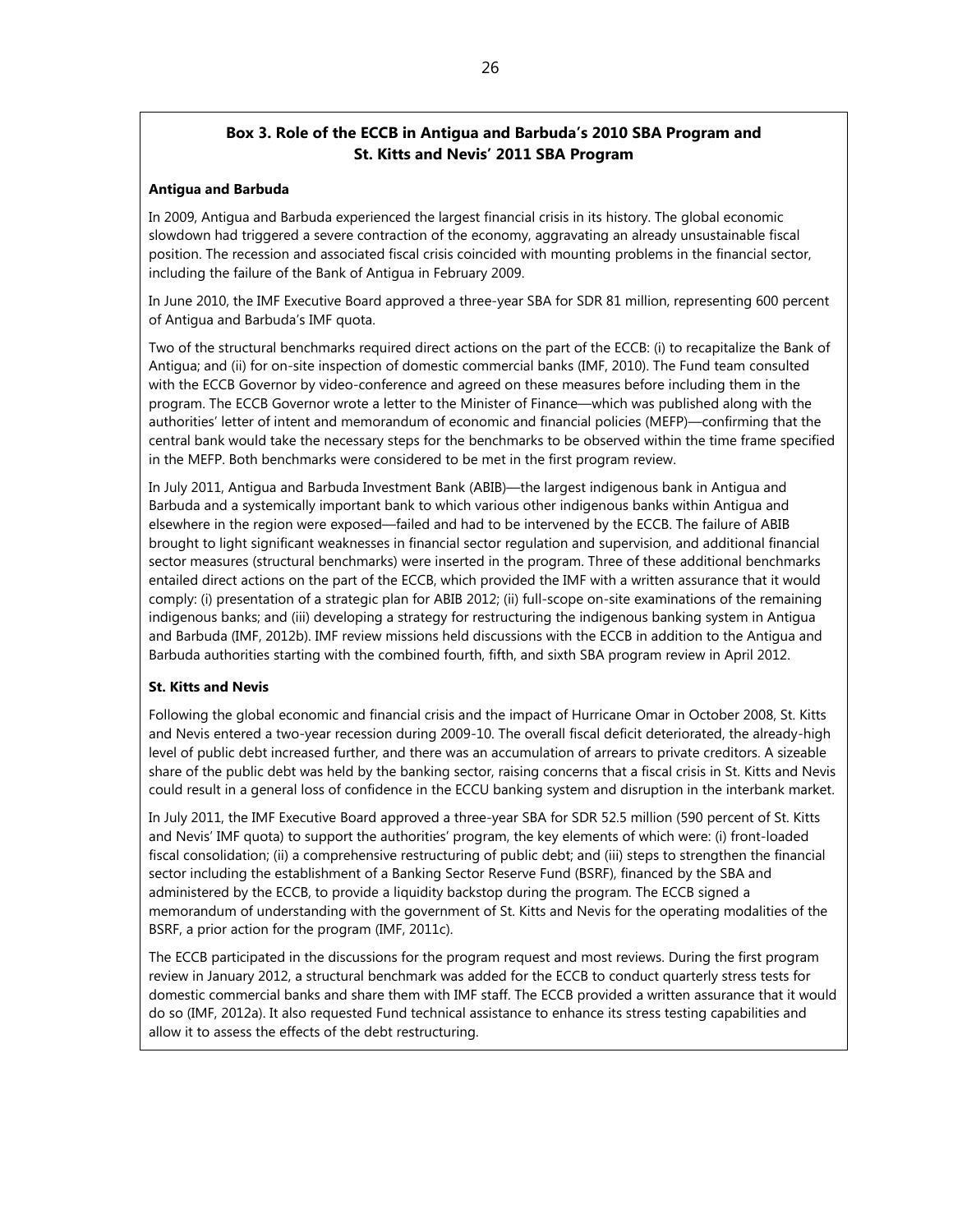# **Box 3. Role of the ECCB in Antigua and Barbuda's 2010 SBA Program and St. Kitts and Nevis' 2011 SBA Program**

#### **Antigua and Barbuda**

In 2009, Antigua and Barbuda experienced the largest financial crisis in its history. The global economic slowdown had triggered a severe contraction of the economy, aggravating an already unsustainable fiscal position. The recession and associated fiscal crisis coincided with mounting problems in the financial sector, including the failure of the Bank of Antigua in February 2009.

In June 2010, the IMF Executive Board approved a three-year SBA for SDR 81 million, representing 600 percent of Antigua and Barbuda's IMF quota.

Two of the structural benchmarks required direct actions on the part of the ECCB: (i) to recapitalize the Bank of Antigua; and (ii) for on-site inspection of domestic commercial banks (IMF, 2010). The Fund team consulted with the ECCB Governor by video-conference and agreed on these measures before including them in the program. The ECCB Governor wrote a letter to the Minister of Finance—which was published along with the authorities' letter of intent and memorandum of economic and financial policies (MEFP)—confirming that the central bank would take the necessary steps for the benchmarks to be observed within the time frame specified in the MEFP. Both benchmarks were considered to be met in the first program review.

In July 2011, Antigua and Barbuda Investment Bank (ABIB)—the largest indigenous bank in Antigua and Barbuda and a systemically important bank to which various other indigenous banks within Antigua and elsewhere in the region were exposed—failed and had to be intervened by the ECCB. The failure of ABIB brought to light significant weaknesses in financial sector regulation and supervision, and additional financial sector measures (structural benchmarks) were inserted in the program. Three of these additional benchmarks entailed direct actions on the part of the ECCB, which provided the IMF with a written assurance that it would comply: (i) presentation of a strategic plan for ABIB 2012; (ii) full-scope on-site examinations of the remaining indigenous banks; and (iii) developing a strategy for restructuring the indigenous banking system in Antigua and Barbuda (IMF, 2012b). IMF review missions held discussions with the ECCB in addition to the Antigua and Barbuda authorities starting with the combined fourth, fifth, and sixth SBA program review in April 2012.

#### **St. Kitts and Nevis**

Following the global economic and financial crisis and the impact of Hurricane Omar in October 2008, St. Kitts and Nevis entered a two-year recession during 2009-10. The overall fiscal deficit deteriorated, the already-high level of public debt increased further, and there was an accumulation of arrears to private creditors. A sizeable share of the public debt was held by the banking sector, raising concerns that a fiscal crisis in St. Kitts and Nevis could result in a general loss of confidence in the ECCU banking system and disruption in the interbank market.

In July 2011, the IMF Executive Board approved a three-year SBA for SDR 52.5 million (590 percent of St. Kitts and Nevis' IMF quota) to support the authorities' program, the key elements of which were: (i) front-loaded fiscal consolidation; (ii) a comprehensive restructuring of public debt; and (iii) steps to strengthen the financial sector including the establishment of a Banking Sector Reserve Fund (BSRF), financed by the SBA and administered by the ECCB, to provide a liquidity backstop during the program. The ECCB signed a memorandum of understanding with the government of St. Kitts and Nevis for the operating modalities of the BSRF, a prior action for the program (IMF, 2011c).

The ECCB participated in the discussions for the program request and most reviews. During the first program review in January 2012, a structural benchmark was added for the ECCB to conduct quarterly stress tests for domestic commercial banks and share them with IMF staff. The ECCB provided a written assurance that it would do so (IMF, 2012a). It also requested Fund technical assistance to enhance its stress testing capabilities and allow it to assess the effects of the debt restructuring.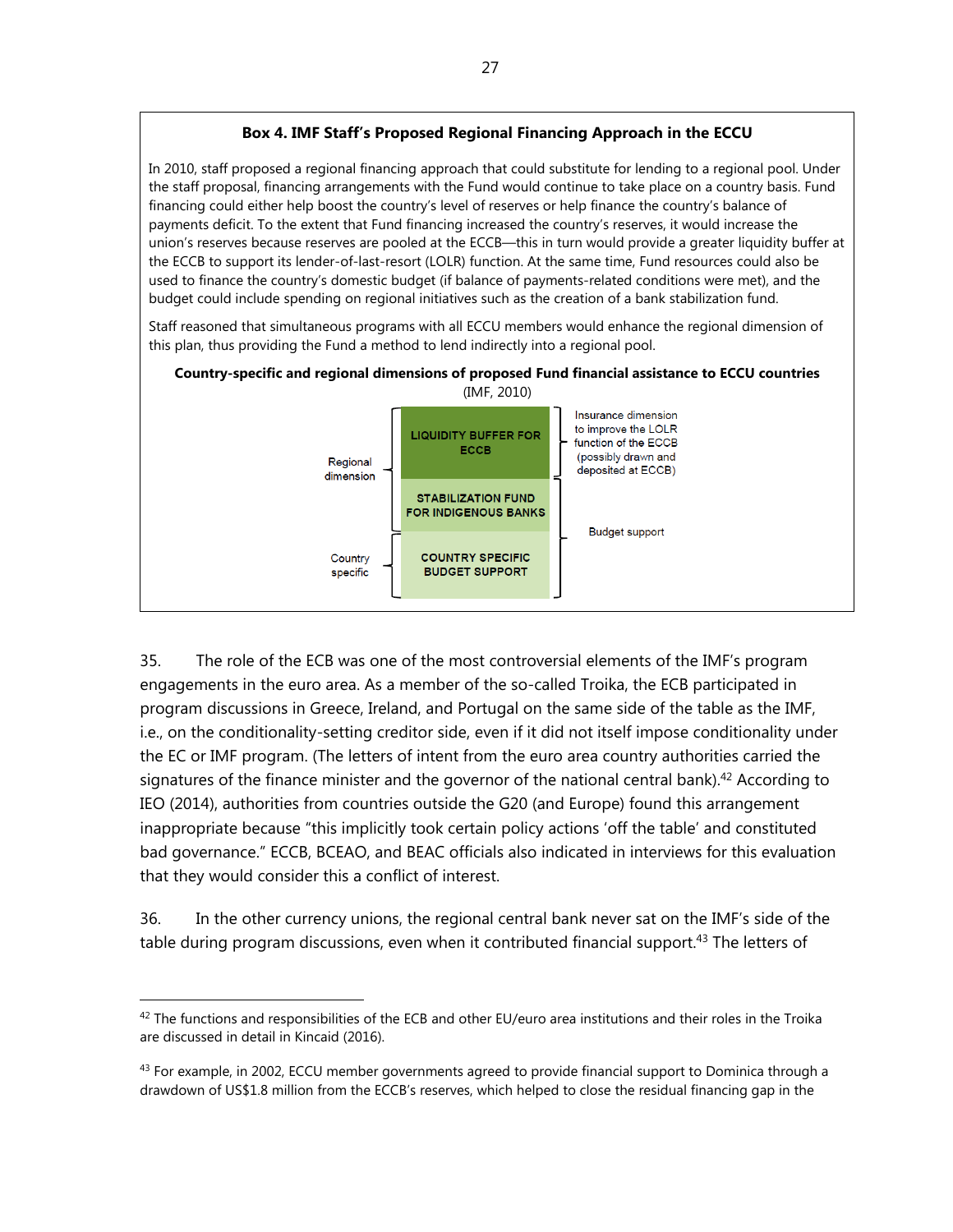## **Box 4. IMF Staff's Proposed Regional Financing Approach in the ECCU**

In 2010, staff proposed a regional financing approach that could substitute for lending to a regional pool. Under the staff proposal, financing arrangements with the Fund would continue to take place on a country basis. Fund financing could either help boost the country's level of reserves or help finance the country's balance of payments deficit. To the extent that Fund financing increased the country's reserves, it would increase the union's reserves because reserves are pooled at the ECCB—this in turn would provide a greater liquidity buffer at the ECCB to support its lender-of-last-resort (LOLR) function. At the same time, Fund resources could also be used to finance the country's domestic budget (if balance of payments-related conditions were met), and the budget could include spending on regional initiatives such as the creation of a bank stabilization fund.

Staff reasoned that simultaneous programs with all ECCU members would enhance the regional dimension of this plan, thus providing the Fund a method to lend indirectly into a regional pool.



35. The role of the ECB was one of the most controversial elements of the IMF's program engagements in the euro area. As a member of the so-called Troika, the ECB participated in program discussions in Greece, Ireland, and Portugal on the same side of the table as the IMF, i.e., on the conditionality-setting creditor side, even if it did not itself impose conditionality under the EC or IMF program. (The letters of intent from the euro area country authorities carried the signatures of the finance minister and the governor of the national central bank).<sup>42</sup> According to IEO (2014), authorities from countries outside the G20 (and Europe) found this arrangement inappropriate because "this implicitly took certain policy actions 'off the table' and constituted bad governance." ECCB, BCEAO, and BEAC officials also indicated in interviews for this evaluation that they would consider this a conflict of interest.

36. In the other currency unions, the regional central bank never sat on the IMF's side of the table during program discussions, even when it contributed financial support.<sup>43</sup> The letters of

 $42$  The functions and responsibilities of the ECB and other EU/euro area institutions and their roles in the Troika are discussed in detail in Kincaid (2016).

 $43$  For example, in 2002, ECCU member governments agreed to provide financial support to Dominica through a drawdown of US\$1.8 million from the ECCB's reserves, which helped to close the residual financing gap in the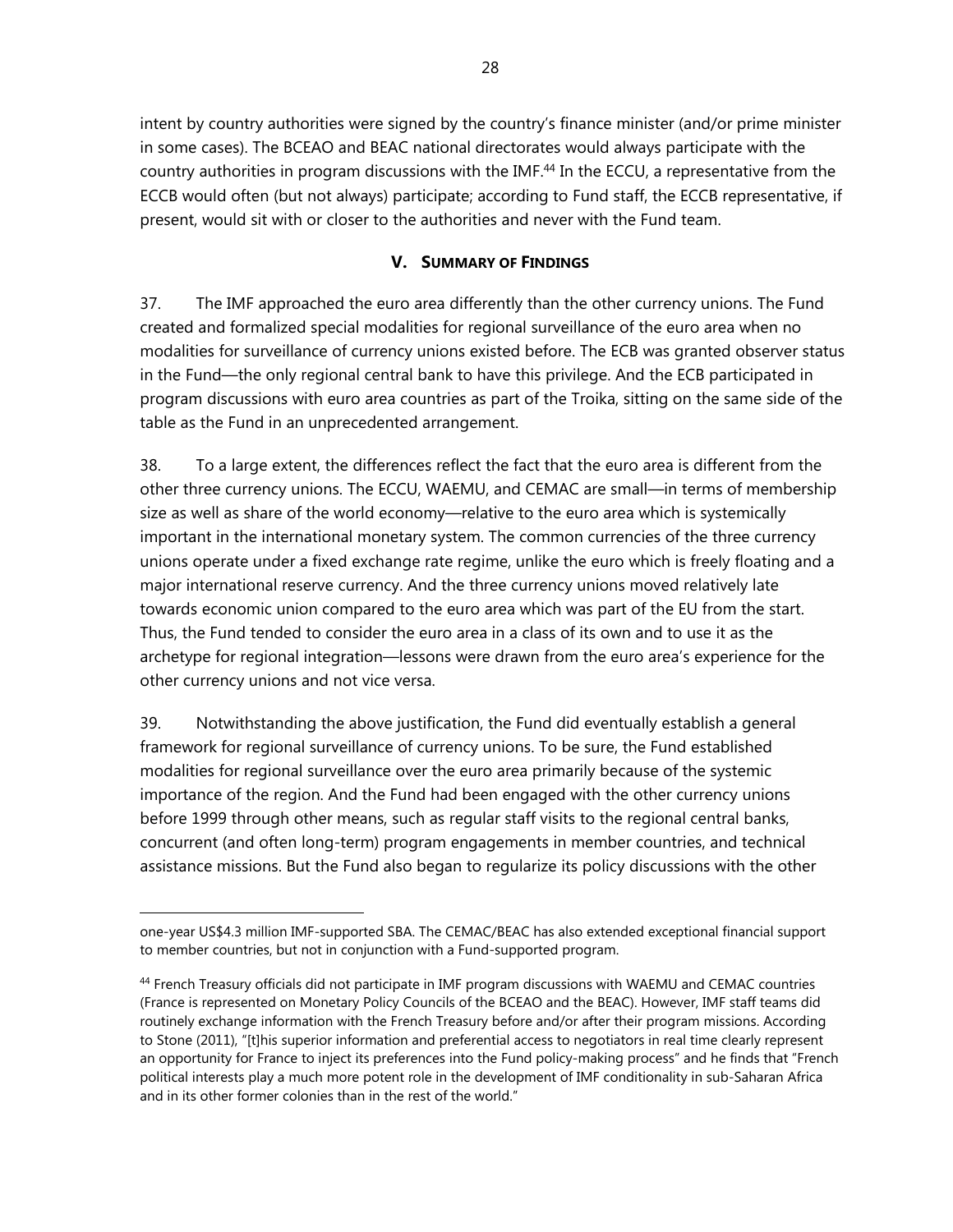intent by country authorities were signed by the country's finance minister (and/or prime minister in some cases). The BCEAO and BEAC national directorates would always participate with the country authorities in program discussions with the IMF.<sup>44</sup> In the ECCU, a representative from the ECCB would often (but not always) participate; according to Fund staff, the ECCB representative, if present, would sit with or closer to the authorities and never with the Fund team.

# **V. SUMMARY OF FINDINGS**

37. The IMF approached the euro area differently than the other currency unions. The Fund created and formalized special modalities for regional surveillance of the euro area when no modalities for surveillance of currency unions existed before. The ECB was granted observer status in the Fund—the only regional central bank to have this privilege. And the ECB participated in program discussions with euro area countries as part of the Troika, sitting on the same side of the table as the Fund in an unprecedented arrangement.

38. To a large extent, the differences reflect the fact that the euro area is different from the other three currency unions. The ECCU, WAEMU, and CEMAC are small—in terms of membership size as well as share of the world economy—relative to the euro area which is systemically important in the international monetary system. The common currencies of the three currency unions operate under a fixed exchange rate regime, unlike the euro which is freely floating and a major international reserve currency. And the three currency unions moved relatively late towards economic union compared to the euro area which was part of the EU from the start. Thus, the Fund tended to consider the euro area in a class of its own and to use it as the archetype for regional integration—lessons were drawn from the euro area's experience for the other currency unions and not vice versa.

39. Notwithstanding the above justification, the Fund did eventually establish a general framework for regional surveillance of currency unions. To be sure, the Fund established modalities for regional surveillance over the euro area primarily because of the systemic importance of the region. And the Fund had been engaged with the other currency unions before 1999 through other means, such as regular staff visits to the regional central banks, concurrent (and often long-term) program engagements in member countries, and technical assistance missions. But the Fund also began to regularize its policy discussions with the other

one-year US\$4.3 million IMF-supported SBA. The CEMAC/BEAC has also extended exceptional financial support to member countries, but not in conjunction with a Fund-supported program.

<sup>44</sup> French Treasury officials did not participate in IMF program discussions with WAEMU and CEMAC countries (France is represented on Monetary Policy Councils of the BCEAO and the BEAC). However, IMF staff teams did routinely exchange information with the French Treasury before and/or after their program missions. According to Stone (2011), "[t]his superior information and preferential access to negotiators in real time clearly represent an opportunity for France to inject its preferences into the Fund policy-making process" and he finds that "French political interests play a much more potent role in the development of IMF conditionality in sub-Saharan Africa and in its other former colonies than in the rest of the world."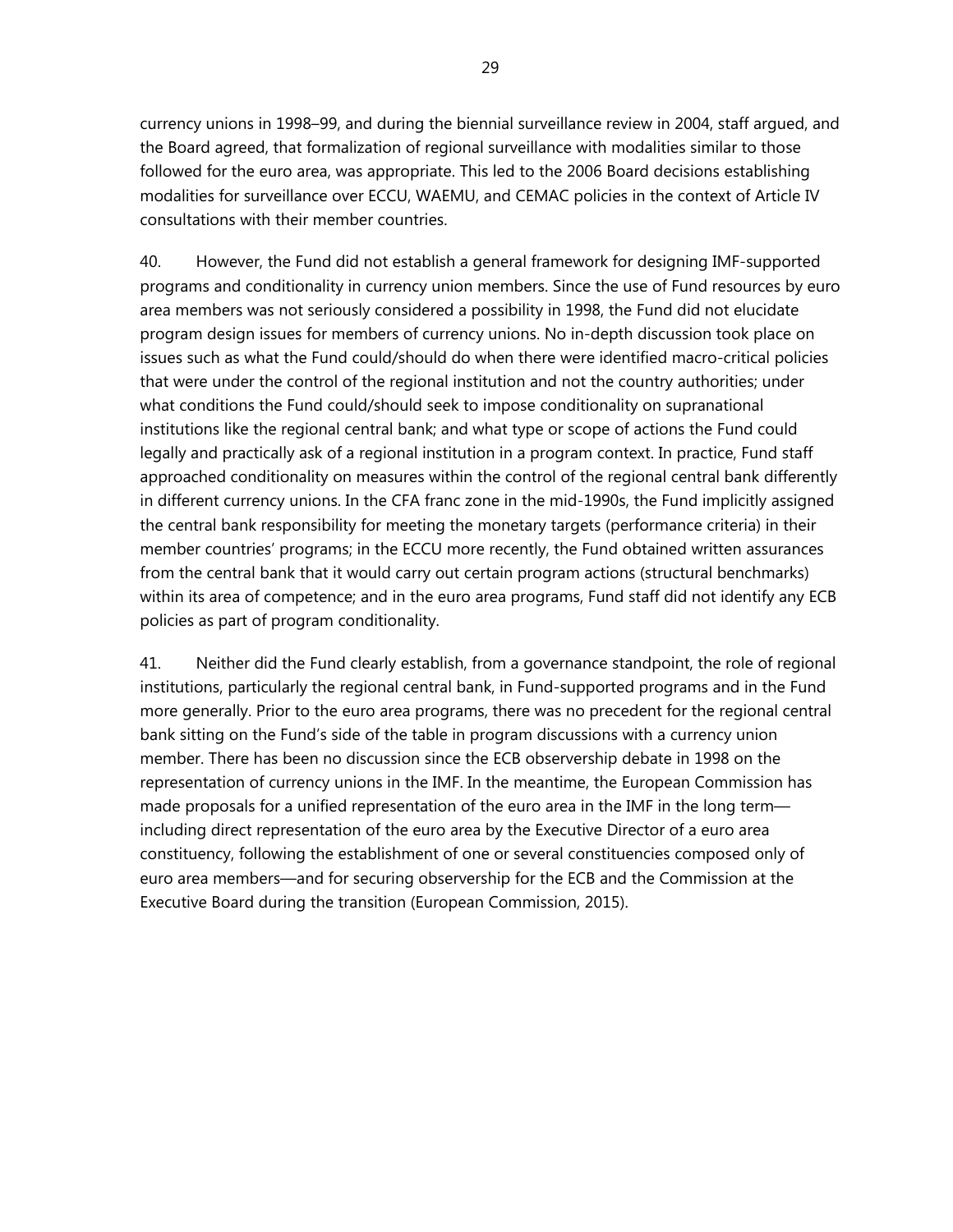currency unions in 1998–99, and during the biennial surveillance review in 2004, staff argued, and the Board agreed, that formalization of regional surveillance with modalities similar to those followed for the euro area, was appropriate. This led to the 2006 Board decisions establishing modalities for surveillance over ECCU, WAEMU, and CEMAC policies in the context of Article IV consultations with their member countries.

40. However, the Fund did not establish a general framework for designing IMF-supported programs and conditionality in currency union members. Since the use of Fund resources by euro area members was not seriously considered a possibility in 1998, the Fund did not elucidate program design issues for members of currency unions. No in-depth discussion took place on issues such as what the Fund could/should do when there were identified macro-critical policies that were under the control of the regional institution and not the country authorities; under what conditions the Fund could/should seek to impose conditionality on supranational institutions like the regional central bank; and what type or scope of actions the Fund could legally and practically ask of a regional institution in a program context. In practice, Fund staff approached conditionality on measures within the control of the regional central bank differently in different currency unions. In the CFA franc zone in the mid-1990s, the Fund implicitly assigned the central bank responsibility for meeting the monetary targets (performance criteria) in their member countries' programs; in the ECCU more recently, the Fund obtained written assurances from the central bank that it would carry out certain program actions (structural benchmarks) within its area of competence; and in the euro area programs, Fund staff did not identify any ECB policies as part of program conditionality.

41. Neither did the Fund clearly establish, from a governance standpoint, the role of regional institutions, particularly the regional central bank, in Fund-supported programs and in the Fund more generally. Prior to the euro area programs, there was no precedent for the regional central bank sitting on the Fund's side of the table in program discussions with a currency union member. There has been no discussion since the ECB observership debate in 1998 on the representation of currency unions in the IMF. In the meantime, the European Commission has made proposals for a unified representation of the euro area in the IMF in the long term including direct representation of the euro area by the Executive Director of a euro area constituency, following the establishment of one or several constituencies composed only of euro area members—and for securing observership for the ECB and the Commission at the Executive Board during the transition (European Commission, 2015).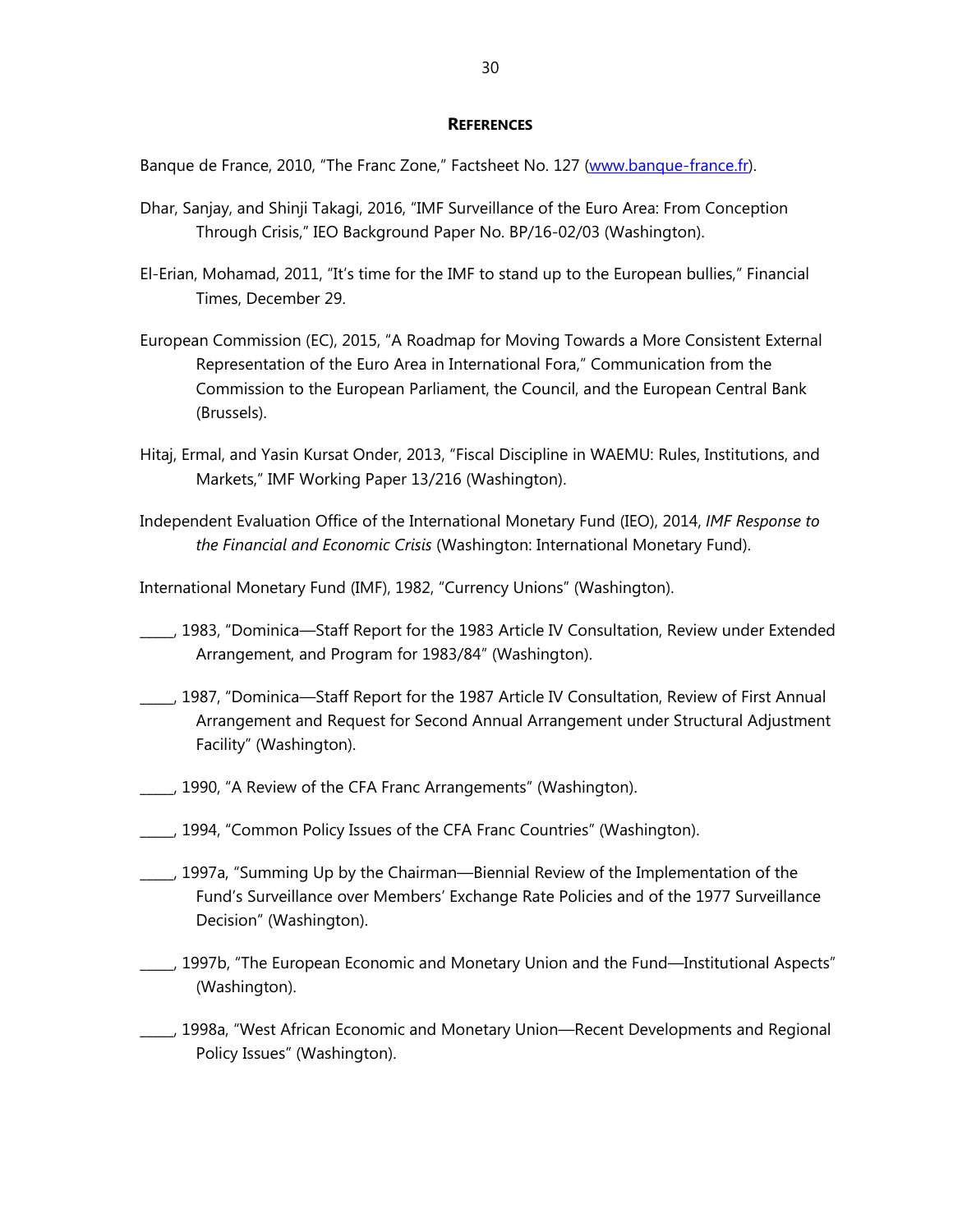## **REFERENCES**

Banque de France, 2010, "The Franc Zone," Factsheet No. 127 (www.banque-france.fr).

- Dhar, Sanjay, and Shinji Takagi, 2016, "IMF Surveillance of the Euro Area: From Conception Through Crisis," IEO Background Paper No. BP/16-02/03 (Washington).
- El-Erian, Mohamad, 2011, "It's time for the IMF to stand up to the European bullies," Financial Times, December 29.
- European Commission (EC), 2015, "A Roadmap for Moving Towards a More Consistent External Representation of the Euro Area in International Fora," Communication from the Commission to the European Parliament, the Council, and the European Central Bank (Brussels).
- Hitaj, Ermal, and Yasin Kursat Onder, 2013, "Fiscal Discipline in WAEMU: Rules, Institutions, and Markets," IMF Working Paper 13/216 (Washington).
- Independent Evaluation Office of the International Monetary Fund (IEO), 2014, *IMF Response to the Financial and Economic Crisis* (Washington: International Monetary Fund).

International Monetary Fund (IMF), 1982, "Currency Unions" (Washington).

- \_\_\_\_\_, 1983, "Dominica—Staff Report for the 1983 Article IV Consultation, Review under Extended Arrangement, and Program for 1983/84" (Washington).
- \_\_\_\_\_, 1987, "Dominica—Staff Report for the 1987 Article IV Consultation, Review of First Annual Arrangement and Request for Second Annual Arrangement under Structural Adjustment Facility" (Washington).
- \_\_\_\_\_, 1990, "A Review of the CFA Franc Arrangements" (Washington).
- \_\_\_\_\_, 1994, "Common Policy Issues of the CFA Franc Countries" (Washington).
- \_\_\_\_\_, 1997a, "Summing Up by the Chairman—Biennial Review of the Implementation of the Fund's Surveillance over Members' Exchange Rate Policies and of the 1977 Surveillance Decision" (Washington).
- \_\_\_\_\_, 1997b, "The European Economic and Monetary Union and the Fund—Institutional Aspects" (Washington).
- \_\_\_\_\_, 1998a, "West African Economic and Monetary Union—Recent Developments and Regional Policy Issues" (Washington).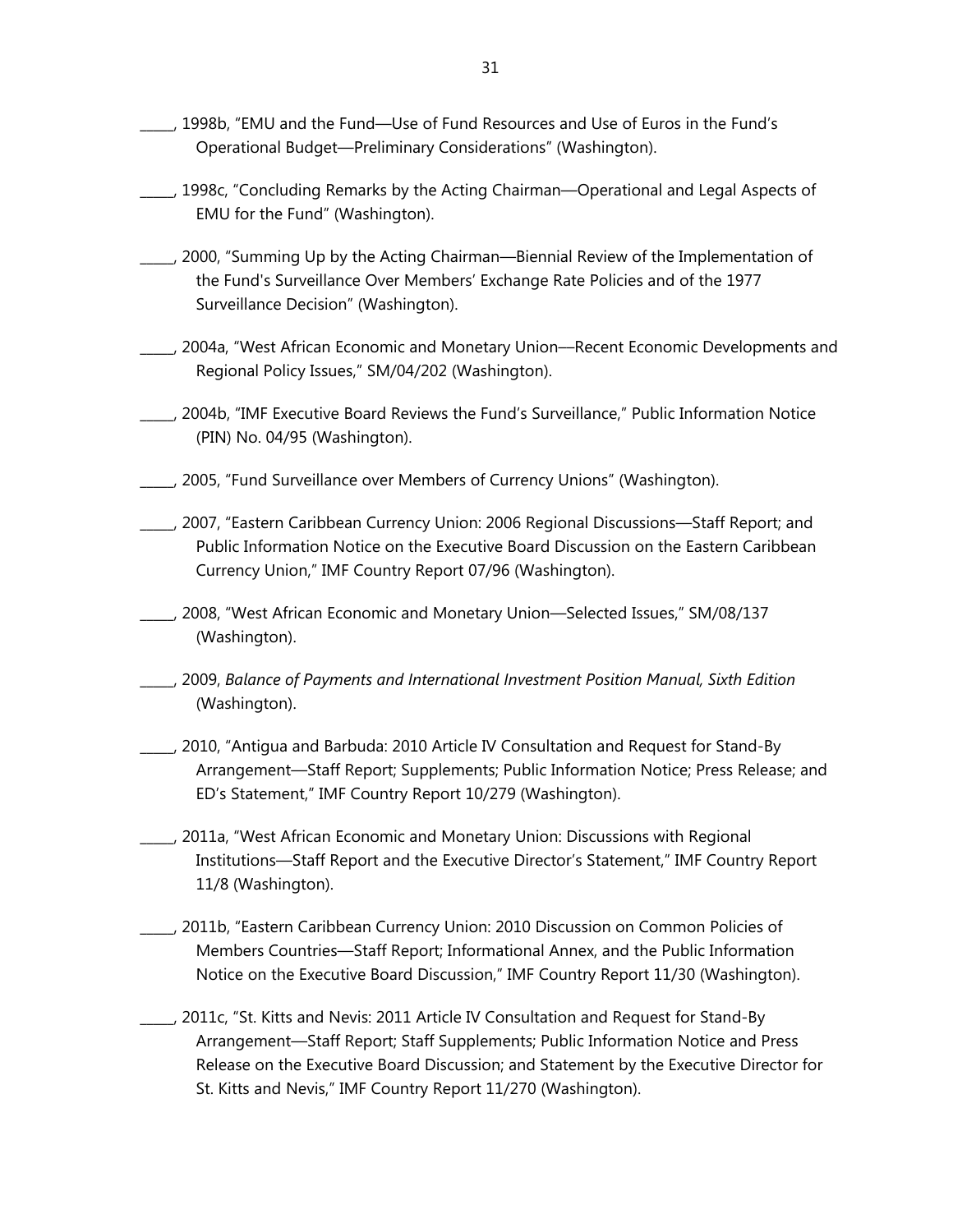- \_\_\_\_\_, 1998b, "EMU and the Fund—Use of Fund Resources and Use of Euros in the Fund's Operational Budget—Preliminary Considerations" (Washington).
- \_\_\_\_\_, 1998c, "Concluding Remarks by the Acting Chairman—Operational and Legal Aspects of EMU for the Fund" (Washington).
- \_\_\_\_\_, 2000, "Summing Up by the Acting Chairman—Biennial Review of the Implementation of the Fund's Surveillance Over Members' Exchange Rate Policies and of the 1977 Surveillance Decision" (Washington).
- \_\_\_\_\_, 2004a, "West African Economic and Monetary Union––Recent Economic Developments and Regional Policy Issues," SM/04/202 (Washington).
- \_\_\_\_\_, 2004b, "IMF Executive Board Reviews the Fund's Surveillance," Public Information Notice (PIN) No. 04/95 (Washington).
- \_\_\_\_\_, 2005, "Fund Surveillance over Members of Currency Unions" (Washington).
- \_\_\_\_\_, 2007, "Eastern Caribbean Currency Union: 2006 Regional Discussions—Staff Report; and Public Information Notice on the Executive Board Discussion on the Eastern Caribbean Currency Union," IMF Country Report 07/96 (Washington).
- \_\_\_\_\_, 2008, "West African Economic and Monetary Union—Selected Issues," SM/08/137 (Washington).
- \_\_\_\_\_, 2009, *Balance of Payments and International Investment Position Manual, Sixth Edition* (Washington).
- \_\_\_\_\_, 2010, "Antigua and Barbuda: 2010 Article IV Consultation and Request for Stand-By Arrangement—Staff Report; Supplements; Public Information Notice; Press Release; and ED's Statement," IMF Country Report 10/279 (Washington).
- \_\_\_\_\_, 2011a, "West African Economic and Monetary Union: Discussions with Regional Institutions—Staff Report and the Executive Director's Statement," IMF Country Report 11/8 (Washington).
- \_\_\_\_\_, 2011b, "Eastern Caribbean Currency Union: 2010 Discussion on Common Policies of Members Countries—Staff Report; Informational Annex, and the Public Information Notice on the Executive Board Discussion," IMF Country Report 11/30 (Washington).
- \_\_\_\_\_, 2011c, "St. Kitts and Nevis: 2011 Article IV Consultation and Request for Stand-By Arrangement—Staff Report; Staff Supplements; Public Information Notice and Press Release on the Executive Board Discussion; and Statement by the Executive Director for St. Kitts and Nevis," IMF Country Report 11/270 (Washington).